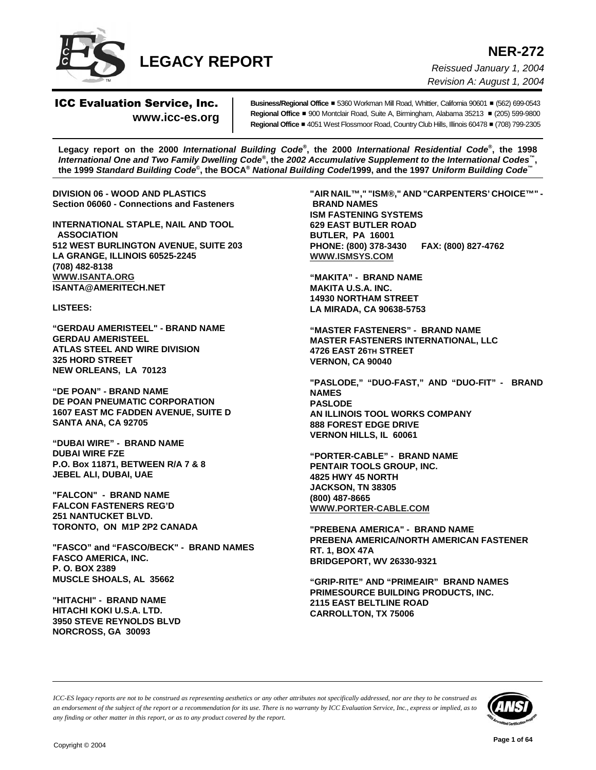

**NER-272** *Reissued January 1, 2004 Revision A: August 1, 2004*

# ICC Evaluation Service, Inc. **www.icc-es.org**

**Business/Regional Office** ■ 5360 Workman Mill Road, Whittier, California 90601 ■ (562) 699-0543 **Regional Office** ■ 900 Montclair Road, Suite A, Birmingham, Alabama 35213 ■ (205) 599-9800 **Regional Office** # 4051 West Flossmoor Road, Country Club Hills, Illinois 60478 # (708) 799-2305

**Legacy report on the 2000** *International Building Code***®, the 2000** *International Residential Code***®, the 1998** *International One and Two Family Dwelling Code***®, the** *2002 Accumulative Supplement to the International Codes***™, the 1999** *Standard Building Code***©, the BOCA®** *National Building Code***/1999, and the 1997** *Uniform Building Code***™**

**DIVISION 06 - WOOD AND PLASTICS Section 06060 - Connections and Fasteners**

**INTERNATIONAL STAPLE, NAIL AND TOOL ASSOCIATION 512 WEST BURLINGTON AVENUE, SUITE 203 LA GRANGE, ILLINOIS 60525-2245 (708) 482-8138 WWW.ISANTA.ORG ISANTA@AMERITECH.NET**

**LISTEES:**

**"GERDAU AMERISTEEL" - BRAND NAME GERDAU AMERISTEEL ATLAS STEEL AND WIRE DIVISION 325 HORD STREET NEW ORLEANS, LA 70123**

**"DE POAN" - BRAND NAME DE POAN PNEUMATIC CORPORATION 1607 EAST MC FADDEN AVENUE, SUITE D SANTA ANA, CA 92705**

**"DUBAI WIRE" - BRAND NAME DUBAI WIRE FZE P.O. Box 11871, BETWEEN R/A 7 & 8 JEBEL ALI, DUBAI, UAE**

**"FALCON" - BRAND NAME FALCON FASTENERS REG'D 251 NANTUCKET BLVD. TORONTO, ON M1P 2P2 CANADA**

**"FASCO" and "FASCO/BECK" - BRAND NAMES FASCO AMERICA, INC. P. O. BOX 2389 MUSCLE SHOALS, AL 35662**

**"HITACHI" - BRAND NAME HITACHI KOKI U.S.A. LTD. 3950 STEVE REYNOLDS BLVD NORCROSS, GA 30093**

**"AIR NAIL™," "ISM®," AND "CARPENTERS' CHOICE™" - BRAND NAMES ISM FASTENING SYSTEMS 629 EAST BUTLER ROAD BUTLER, PA 16001 PHONE: (800) 378-3430 FAX: (800) 827-4762 WWW.ISMSYS.COM**

**"MAKITA" - BRAND NAME MAKITA U.S.A. INC. 14930 NORTHAM STREET LA MIRADA, CA 90638-5753**

**"MASTER FASTENERS" - BRAND NAME MASTER FASTENERS INTERNATIONAL, LLC 4726 EAST 26TH STREET VERNON, CA 90040**

**"PASLODE," "DUO-FAST," AND "DUO-FIT" - BRAND NAMES PASLODE AN ILLINOIS TOOL WORKS COMPANY 888 FOREST EDGE DRIVE VERNON HILLS, IL 60061**

**"PORTER-CABLE" - BRAND NAME PENTAIR TOOLS GROUP, INC. 4825 HWY 45 NORTH JACKSON, TN 38305 (800) 487-8665 WWW.PORTER-CABLE.COM**

**"PREBENA AMERICA" - BRAND NAME PREBENA AMERICA/NORTH AMERICAN FASTENER RT. 1, BOX 47A BRIDGEPORT, WV 26330-9321**

**"GRIP-RITE" AND "PRIMEAIR" BRAND NAMES PRIMESOURCE BUILDING PRODUCTS, INC. 2115 EAST BELTLINE ROAD CARROLLTON, TX 75006**

*ICC-ES legacy reports are not to be construed as representing aesthetics or any other attributes not specifically addressed, nor are they to be construed as an endorsement of the subject of the report or a recommendation for its use. There is no warranty by ICC Evaluation Service, Inc., express or implied, as to any finding or other matter in this report, or as to any product covered by the report.*

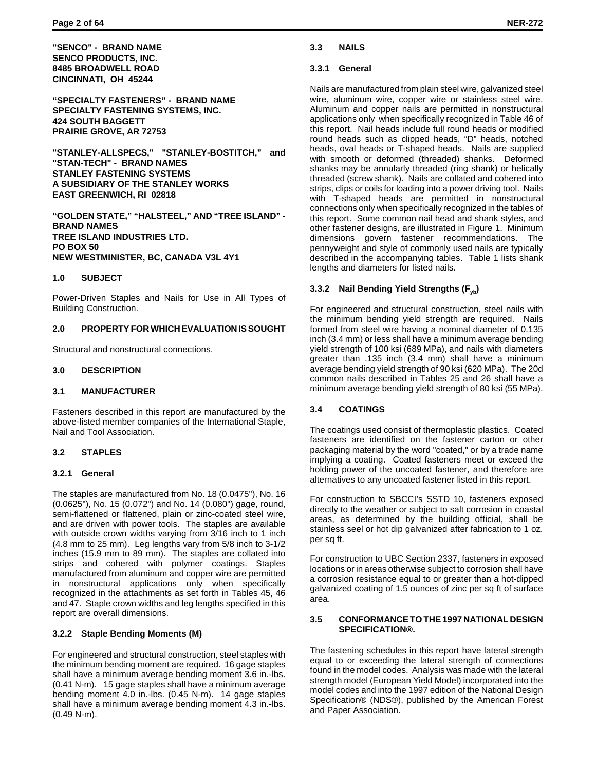**"SENCO" - BRAND NAME SENCO PRODUCTS, INC. 8485 BROADWELL ROAD CINCINNATI, OH 45244**

**"SPECIALTY FASTENERS" - BRAND NAME SPECIALTY FASTENING SYSTEMS, INC. 424 SOUTH BAGGETT PRAIRIE GROVE, AR 72753**

**"STANLEY-ALLSPECS," "STANLEY-BOSTITCH," and "STAN-TECH" - BRAND NAMES STANLEY FASTENING SYSTEMS A SUBSIDIARY OF THE STANLEY WORKS EAST GREENWICH, RI 02818**

**"GOLDEN STATE," "HALSTEEL," AND "TREE ISLAND" - BRAND NAMES TREE ISLAND INDUSTRIES LTD. PO BOX 50 NEW WESTMINISTER, BC, CANADA V3L 4Y1**

## **1.0 SUBJECT**

Power-Driven Staples and Nails for Use in All Types of Building Construction.

## **2.0 PROPERTY FOR WHICH EVALUATION IS SOUGHT**

Structural and nonstructural connections.

#### **3.0 DESCRIPTION**

#### **3.1 MANUFACTURER**

Fasteners described in this report are manufactured by the above-listed member companies of the International Staple, Nail and Tool Association.

## **3.2 STAPLES**

#### **3.2.1 General**

The staples are manufactured from No. 18 (0.0475"), No. 16 (0.0625"), No. 15 (0.072") and No. 14 (0.080") gage, round, semi-flattened or flattened, plain or zinc-coated steel wire, and are driven with power tools. The staples are available with outside crown widths varying from 3/16 inch to 1 inch (4.8 mm to 25 mm). Leg lengths vary from 5/8 inch to 3-1/2 inches (15.9 mm to 89 mm). The staples are collated into strips and cohered with polymer coatings. Staples manufactured from aluminum and copper wire are permitted in nonstructural applications only when specifically recognized in the attachments as set forth in Tables 45, 46 and 47. Staple crown widths and leg lengths specified in this report are overall dimensions.

## **3.2.2 Staple Bending Moments (M)**

For engineered and structural construction, steel staples with the minimum bending moment are required. 16 gage staples shall have a minimum average bending moment 3.6 in.-lbs. (0.41 N-m). 15 gage staples shall have a minimum average bending moment 4.0 in.-lbs. (0.45 N-m). 14 gage staples shall have a minimum average bending moment 4.3 in.-lbs. (0.49 N-m).

## **3.3 NAILS**

#### **3.3.1 General**

Nails are manufactured from plain steel wire, galvanized steel wire, aluminum wire, copper wire or stainless steel wire. Aluminum and copper nails are permitted in nonstructural applications only when specifically recognized in Table 46 of this report. Nail heads include full round heads or modified round heads such as clipped heads, "D" heads, notched heads, oval heads or T-shaped heads. Nails are supplied with smooth or deformed (threaded) shanks. Deformed shanks may be annularly threaded (ring shank) or helically threaded (screw shank). Nails are collated and cohered into strips, clips or coils for loading into a power driving tool. Nails with T-shaped heads are permitted in nonstructural connections only when specifically recognized in the tables of this report. Some common nail head and shank styles, and other fastener designs, are illustrated in Figure 1. Minimum dimensions govern fastener recommendations. The pennyweight and style of commonly used nails are typically described in the accompanying tables. Table 1 lists shank lengths and diameters for listed nails.

## **3.3.2 Nail Bending Yield Strengths (Fyb)**

For engineered and structural construction, steel nails with the minimum bending yield strength are required. Nails formed from steel wire having a nominal diameter of 0.135 inch (3.4 mm) or less shall have a minimum average bending yield strength of 100 ksi (689 MPa), and nails with diameters greater than .135 inch (3.4 mm) shall have a minimum average bending yield strength of 90 ksi (620 MPa). The 20d common nails described in Tables 25 and 26 shall have a minimum average bending yield strength of 80 ksi (55 MPa).

## **3.4 COATINGS**

The coatings used consist of thermoplastic plastics. Coated fasteners are identified on the fastener carton or other packaging material by the word "coated," or by a trade name implying a coating. Coated fasteners meet or exceed the holding power of the uncoated fastener, and therefore are alternatives to any uncoated fastener listed in this report.

For construction to SBCCI's SSTD 10, fasteners exposed directly to the weather or subject to salt corrosion in coastal areas, as determined by the building official, shall be stainless seel or hot dip galvanized after fabrication to 1 oz. per sq ft.

For construction to UBC Section 2337, fasteners in exposed locations or in areas otherwise subject to corrosion shall have a corrosion resistance equal to or greater than a hot-dipped galvanized coating of 1.5 ounces of zinc per sq ft of surface area.

#### **3.5 CONFORMANCE TO THE 1997 NATIONAL DESIGN SPECIFICATION®.**

The fastening schedules in this report have lateral strength equal to or exceeding the lateral strength of connections found in the model codes. Analysis was made with the lateral strength model (European Yield Model) incorporated into the model codes and into the 1997 edition of the National Design Specification® (NDS®), published by the American Forest and Paper Association.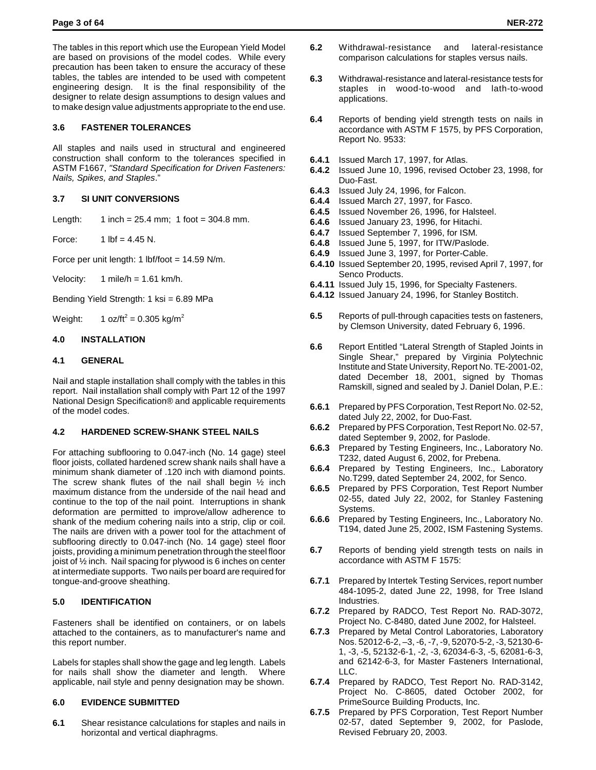The tables in this report which use the European Yield Model are based on provisions of the model codes. While every precaution has been taken to ensure the accuracy of these tables, the tables are intended to be used with competent engineering design. It is the final responsibility of the designer to relate design assumptions to design values and to make design value adjustments appropriate to the end use.

## **3.6 FASTENER TOLERANCES**

All staples and nails used in structural and engineered construction shall conform to the tolerances specified in ASTM F1667, *"Standard Specification for Driven Fasteners: Nails, Spikes, and Staples*."

## **3.7 SI UNIT CONVERSIONS**

Length:  $1$  inch = 25.4 mm;  $1$  foot = 304.8 mm.

Force:  $1 \text{ lbf} = 4.45 \text{ N}.$ 

Force per unit length: 1 lbf/foot =  $14.59$  N/m.

Velocity:  $1 \text{ mile/h} = 1.61 \text{ km/h}.$ 

Bending Yield Strength: 1 ksi = 6.89 MPa

Weight: 1 oz/ft<sup>2</sup> = 0.305 kg/m<sup>2</sup>

## **4.0 INSTALLATION**

## **4.1 GENERAL**

Nail and staple installation shall comply with the tables in this report. Nail installation shall comply with Part 12 of the 1997 National Design Specification® and applicable requirements of the model codes.

## **4.2 HARDENED SCREW-SHANK STEEL NAILS**

For attaching subflooring to 0.047-inch (No. 14 gage) steel floor joists, collated hardened screw shank nails shall have a minimum shank diameter of .120 inch with diamond points. The screw shank flutes of the nail shall begin ½ inch maximum distance from the underside of the nail head and continue to the top of the nail point. Interruptions in shank deformation are permitted to improve/allow adherence to shank of the medium cohering nails into a strip, clip or coil. The nails are driven with a power tool for the attachment of subflooring directly to 0.047-inch (No. 14 gage) steel floor joists, providing a minimum penetration through the steel floor joist of ½ inch. Nail spacing for plywood is 6 inches on center at intermediate supports. Two nails per board are required for tongue-and-groove sheathing.

## **5.0 IDENTIFICATION**

Fasteners shall be identified on containers, or on labels attached to the containers, as to manufacturer's name and this report number.

Labels for staples shall show the gage and leg length. Labels for nails shall show the diameter and length. Where applicable, nail style and penny designation may be shown.

## **6.0 EVIDENCE SUBMITTED**

**6.1** Shear resistance calculations for staples and nails in horizontal and vertical diaphragms.

- **6.2** Withdrawal-resistance and lateral-resistance comparison calculations for staples versus nails.
- **6.3** Withdrawal-resistance and lateral-resistance tests for staples in wood-to-wood and lath-to-wood applications.
- **6.4** Reports of bending yield strength tests on nails in accordance with ASTM F 1575, by PFS Corporation, Report No. 9533:
- **6.4.1** Issued March 17, 1997, for Atlas.
- **6.4.2** Issued June 10, 1996, revised October 23, 1998, for Duo-Fast.
- **6.4.3** Issued July 24, 1996, for Falcon.
- **6.4.4** Issued March 27, 1997, for Fasco.
- **6.4.5** Issued November 26, 1996, for Halsteel.
- **6.4.6** Issued January 23, 1996, for Hitachi.
- **6.4.7** Issued September 7, 1996, for ISM.
- **6.4.8** Issued June 5, 1997, for ITW/Paslode.
- **6.4.9** Issued June 3, 1997, for Porter-Cable.
- **6.4.10** Issued September 20, 1995, revised April 7, 1997, for Senco Products.
- **6.4.11** Issued July 15, 1996, for Specialty Fasteners.
- **6.4.12** Issued January 24, 1996, for Stanley Bostitch.
- **6.5** Reports of pull-through capacities tests on fasteners, by Clemson University, dated February 6, 1996.
- **6.6** Report Entitled "Lateral Strength of Stapled Joints in Single Shear," prepared by Virginia Polytechnic Institute and State University, Report No. TE-2001-02, dated December 18, 2001, signed by Thomas Ramskill, signed and sealed by J. Daniel Dolan, P.E.:
- **6.6.1** Prepared by PFS Corporation, Test Report No. 02-52, dated July 22, 2002, for Duo-Fast.
- **6.6.2** Prepared by PFS Corporation, Test Report No. 02-57, dated September 9, 2002, for Paslode.
- **6.6.3** Prepared by Testing Engineers, Inc., Laboratory No. T232, dated August 6, 2002, for Prebena.
- **6.6.4** Prepared by Testing Engineers, Inc., Laboratory No.T299, dated September 24, 2002, for Senco.
- **6.6.5** Prepared by PFS Corporation, Test Report Number 02-55, dated July 22, 2002, for Stanley Fastening Systems.
- **6.6.6** Prepared by Testing Engineers, Inc., Laboratory No. T194, dated June 25, 2002, ISM Fastening Systems.
- **6.7** Reports of bending yield strength tests on nails in accordance with ASTM F 1575:
- **6.7.1** Prepared by Intertek Testing Services, report number 484-1095-2, dated June 22, 1998, for Tree Island Industries.
- **6.7.2** Prepared by RADCO, Test Report No. RAD-3072, Project No. C-8480, dated June 2002, for Halsteel.
- **6.7.3** Prepared by Metal Control Laboratories, Laboratory Nos. 52012-6-2, –3, -6, -7, -9, 52070-5-2, -3, 52130-6- 1, -3, -5, 52132-6-1, -2, -3, 62034-6-3, -5, 62081-6-3, and 62142-6-3, for Master Fasteners International, LLC.
- **6.7.4** Prepared by RADCO, Test Report No. RAD-3142, Project No. C-8605, dated October 2002, for PrimeSource Building Products, Inc.
- **6.7.5** Prepared by PFS Corporation, Test Report Number 02-57, dated September 9, 2002, for Paslode, Revised February 20, 2003.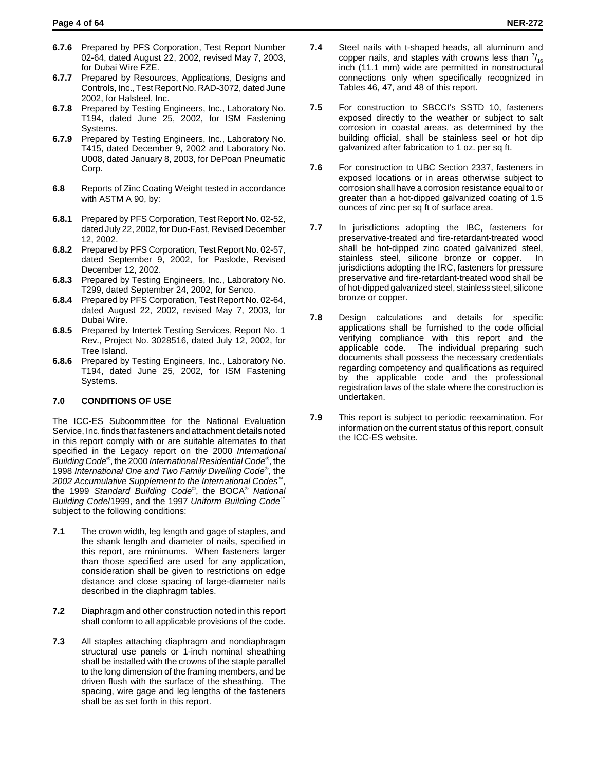- **6.7.6** Prepared by PFS Corporation, Test Report Number 02-64, dated August 22, 2002, revised May 7, 2003, for Dubai Wire FZE.
- **6.7.7** Prepared by Resources, Applications, Designs and Controls, Inc., Test Report No. RAD-3072, dated June 2002, for Halsteel, Inc.
- **6.7.8** Prepared by Testing Engineers, Inc., Laboratory No. T194, dated June 25, 2002, for ISM Fastening Systems.
- **6.7.9** Prepared by Testing Engineers, Inc., Laboratory No. T415, dated December 9, 2002 and Laboratory No. U008, dated January 8, 2003, for DePoan Pneumatic Corp.
- **6.8** Reports of Zinc Coating Weight tested in accordance with ASTM A 90, by:
- **6.8.1** Prepared by PFS Corporation, Test Report No. 02-52, dated July 22, 2002, for Duo-Fast, Revised December 12, 2002.
- **6.8.2** Prepared by PFS Corporation, Test Report No. 02-57, dated September 9, 2002, for Paslode, Revised December 12, 2002.
- **6.8.3** Prepared by Testing Engineers, Inc., Laboratory No. T299, dated September 24, 2002, for Senco.
- **6.8.4** Prepared by PFS Corporation, Test Report No. 02-64, dated August 22, 2002, revised May 7, 2003, for Dubai Wire.
- **6.8.5** Prepared by Intertek Testing Services, Report No. 1 Rev., Project No. 3028516, dated July 12, 2002, for Tree Island.
- **6.8.6** Prepared by Testing Engineers, Inc., Laboratory No. T194, dated June 25, 2002, for ISM Fastening Systems.

# **7.0 CONDITIONS OF USE**

The ICC-ES Subcommittee for the National Evaluation Service, Inc. finds that fasteners and attachment details noted in this report comply with or are suitable alternates to that specified in the Legacy report on the 2000 *International Building Code*®, the 2000 *International Residential Code*®, the 1998 *International One and Two Family Dwelling Code*®, the *2002 Accumulative Supplement to the International Codes*™, the 1999 *Standard Building Code*©, the BOCA® *National Building Code*/1999, and the 1997 *Uniform Building Code*™ subject to the following conditions:

- **7.1** The crown width, leg length and gage of staples, and the shank length and diameter of nails, specified in this report, are minimums. When fasteners larger than those specified are used for any application, consideration shall be given to restrictions on edge distance and close spacing of large-diameter nails described in the diaphragm tables.
- **7.2** Diaphragm and other construction noted in this report shall conform to all applicable provisions of the code.
- **7.3** All staples attaching diaphragm and nondiaphragm structural use panels or 1-inch nominal sheathing shall be installed with the crowns of the staple parallel to the long dimension of the framing members, and be driven flush with the surface of the sheathing. The spacing, wire gage and leg lengths of the fasteners shall be as set forth in this report.
- **7.4** Steel nails with t-shaped heads, all aluminum and copper nails, and staples with crowns less than  $\frac{7}{16}$ inch (11.1 mm) wide are permitted in nonstructural connections only when specifically recognized in Tables 46, 47, and 48 of this report.
- **7.5** For construction to SBCCI's SSTD 10, fasteners exposed directly to the weather or subject to salt corrosion in coastal areas, as determined by the building official, shall be stainless seel or hot dip galvanized after fabrication to 1 oz. per sq ft.
- **7.6** For construction to UBC Section 2337, fasteners in exposed locations or in areas otherwise subject to corrosion shall have a corrosion resistance equal to or greater than a hot-dipped galvanized coating of 1.5 ounces of zinc per sq ft of surface area.
- **7.7** In jurisdictions adopting the IBC, fasteners for preservative-treated and fire-retardant-treated wood shall be hot-dipped zinc coated galvanized steel, stainless steel, silicone bronze or copper. In jurisdictions adopting the IRC, fasteners for pressure preservative and fire-retardant-treated wood shall be of hot-dipped galvanized steel, stainless steel, silicone bronze or copper.
- **7.8** Design calculations and details for specific applications shall be furnished to the code official verifying compliance with this report and the applicable code. The individual preparing such documents shall possess the necessary credentials regarding competency and qualifications as required by the applicable code and the professional registration laws of the state where the construction is undertaken.
- **7.9** This report is subject to periodic reexamination. For information on the current status of this report, consult the ICC-ES website.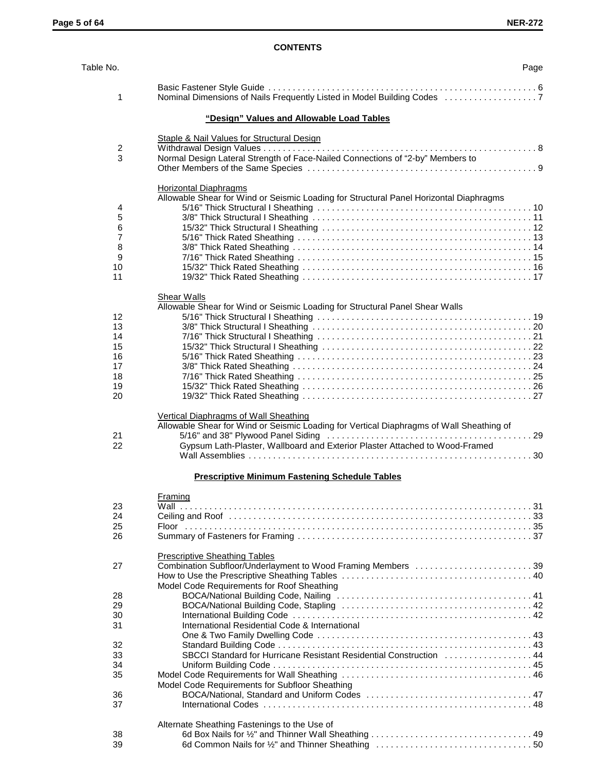# **CONTENTS**

| Table No.               | Page                                                                                                                                                                                                             |
|-------------------------|------------------------------------------------------------------------------------------------------------------------------------------------------------------------------------------------------------------|
| 1                       | Nominal Dimensions of Nails Frequently Listed in Model Building Codes                                                                                                                                            |
|                         | "Design" Values and Allowable Load Tables                                                                                                                                                                        |
|                         | <b>Staple &amp; Nail Values for Structural Design</b>                                                                                                                                                            |
| $\overline{\mathbf{c}}$ |                                                                                                                                                                                                                  |
| 3                       | Normal Design Lateral Strength of Face-Nailed Connections of "2-by" Members to                                                                                                                                   |
|                         |                                                                                                                                                                                                                  |
|                         | <b>Horizontal Diaphragms</b>                                                                                                                                                                                     |
|                         | Allowable Shear for Wind or Seismic Loading for Structural Panel Horizontal Diaphragms                                                                                                                           |
| 4                       |                                                                                                                                                                                                                  |
| 5                       |                                                                                                                                                                                                                  |
| 6                       |                                                                                                                                                                                                                  |
| 7                       |                                                                                                                                                                                                                  |
| 8<br>9                  |                                                                                                                                                                                                                  |
| 10                      |                                                                                                                                                                                                                  |
| 11                      |                                                                                                                                                                                                                  |
|                         |                                                                                                                                                                                                                  |
|                         | Shear Walls<br>Allowable Shear for Wind or Seismic Loading for Structural Panel Shear Walls                                                                                                                      |
| 12                      |                                                                                                                                                                                                                  |
| 13                      |                                                                                                                                                                                                                  |
| 14                      |                                                                                                                                                                                                                  |
| 15                      |                                                                                                                                                                                                                  |
| 16                      |                                                                                                                                                                                                                  |
| 17                      |                                                                                                                                                                                                                  |
| 18                      |                                                                                                                                                                                                                  |
| 19                      |                                                                                                                                                                                                                  |
| 20                      |                                                                                                                                                                                                                  |
| 21<br>22                | Vertical Diaphragms of Wall Sheathing<br>Allowable Shear for Wind or Seismic Loading for Vertical Diaphragms of Wall Sheathing of<br>Gypsum Lath-Plaster, Wallboard and Exterior Plaster Attached to Wood-Framed |
|                         | <b>Prescriptive Minimum Fastening Schedule Tables</b>                                                                                                                                                            |
|                         | Framing                                                                                                                                                                                                          |
| 23                      |                                                                                                                                                                                                                  |
| 24                      |                                                                                                                                                                                                                  |
| 25                      |                                                                                                                                                                                                                  |
| 26                      |                                                                                                                                                                                                                  |
|                         | <b>Prescriptive Sheathing Tables</b>                                                                                                                                                                             |
| 27                      | Combination Subfloor/Underlayment to Wood Framing Members 39                                                                                                                                                     |
|                         |                                                                                                                                                                                                                  |
|                         | Model Code Requirements for Roof Sheathing                                                                                                                                                                       |
| 28                      |                                                                                                                                                                                                                  |
| 29                      |                                                                                                                                                                                                                  |
| 30                      |                                                                                                                                                                                                                  |
| 31                      | International Residential Code & International                                                                                                                                                                   |
|                         |                                                                                                                                                                                                                  |
| 32                      | SBCCI Standard for Hurricane Resistant Residential Construction  44                                                                                                                                              |
| 33<br>34                |                                                                                                                                                                                                                  |
| 35                      |                                                                                                                                                                                                                  |
|                         | Model Code Requirements for Subfloor Sheathing                                                                                                                                                                   |
| 36                      |                                                                                                                                                                                                                  |
| 37                      |                                                                                                                                                                                                                  |
|                         |                                                                                                                                                                                                                  |
| 38                      | Alternate Sheathing Fastenings to the Use of                                                                                                                                                                     |
| 39                      |                                                                                                                                                                                                                  |
|                         |                                                                                                                                                                                                                  |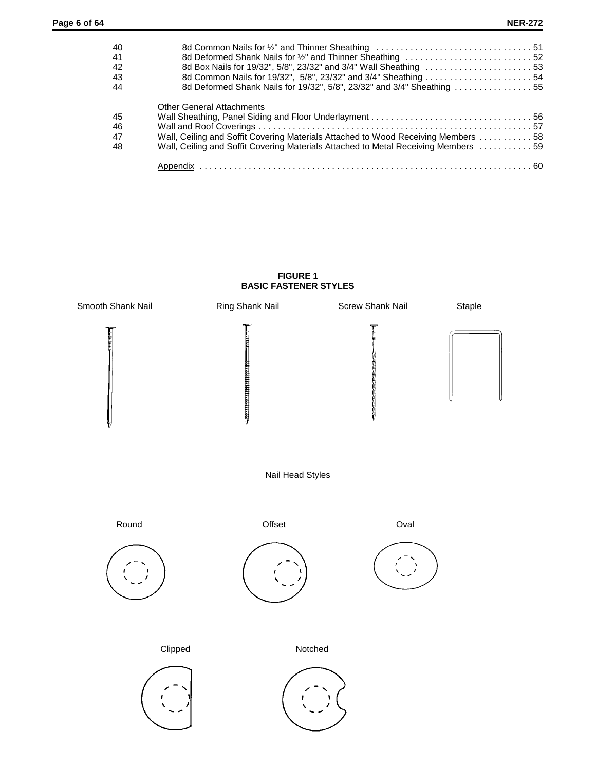| -40  |                                                                                    |  |
|------|------------------------------------------------------------------------------------|--|
| -41  |                                                                                    |  |
| -42  |                                                                                    |  |
| - 43 | 8d Common Nails for 19/32", 5/8", 23/32" and 3/4" Sheathing 54                     |  |
| 44   | 8d Deformed Shank Nails for 19/32", 5/8", 23/32" and 3/4" Sheathing 55             |  |
|      | <b>Other General Attachments</b>                                                   |  |
| 45   |                                                                                    |  |
| - 46 |                                                                                    |  |
| - 47 | Wall, Ceiling and Soffit Covering Materials Attached to Wood Receiving Members 58  |  |
| -48  | Wall, Ceiling and Soffit Covering Materials Attached to Metal Receiving Members 59 |  |
|      |                                                                                    |  |
|      |                                                                                    |  |

## **FIGURE 1 BASIC FASTENER STYLES**

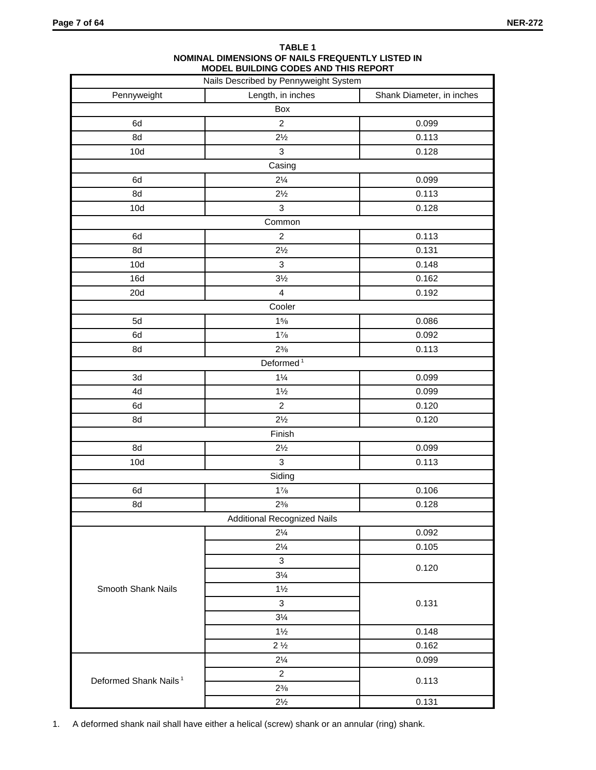|                                   | Nails Described by Pennyweight System |                           |
|-----------------------------------|---------------------------------------|---------------------------|
| Pennyweight                       | Length, in inches                     | Shank Diameter, in inches |
|                                   | Box                                   |                           |
| 6d                                | $\overline{c}$                        | 0.099                     |
| 8d                                | $2\frac{1}{2}$                        | 0.113                     |
| 10d                               | 3                                     | 0.128                     |
|                                   | Casing                                |                           |
| 6d                                | $2\frac{1}{4}$                        | 0.099                     |
| 8d                                | $2\frac{1}{2}$                        | 0.113                     |
| 10d                               | 3                                     | 0.128                     |
|                                   | Common                                |                           |
| 6d                                | $\overline{c}$                        | 0.113                     |
| 8d                                | $2\frac{1}{2}$                        | 0.131                     |
| 10d                               | $\mathbf{3}$                          | 0.148                     |
| 16d                               | $3\frac{1}{2}$                        | 0.162                     |
| 20d                               | $\overline{4}$                        | 0.192                     |
|                                   | Cooler                                |                           |
| 5d                                | 15/8                                  | 0.086                     |
| 6d                                | $1\frac{7}{8}$                        | 0.092                     |
| 8d                                | $2\frac{3}{8}$                        | 0.113                     |
|                                   | Deformed <sup>1</sup>                 |                           |
| 3d                                | $1\frac{1}{4}$                        | 0.099                     |
| 4d                                | $1\frac{1}{2}$                        | 0.099                     |
| 6d                                | $\overline{c}$                        | 0.120                     |
| 8d                                | $2\frac{1}{2}$                        | 0.120                     |
|                                   | Finish                                |                           |
| 8d                                | $2\frac{1}{2}$                        | 0.099                     |
| 10d                               | $\mathbf{3}$                          | 0.113                     |
|                                   | Siding                                |                           |
| 6d                                | $1\frac{7}{8}$                        | 0.106                     |
| 8d                                | $2\frac{3}{8}$                        | 0.128                     |
|                                   | <b>Additional Recognized Nails</b>    |                           |
|                                   | $2\frac{1}{4}$                        | 0.092                     |
|                                   | $2\frac{1}{4}$                        | 0.105                     |
|                                   | 3                                     |                           |
|                                   | $3\frac{1}{4}$                        | 0.120                     |
| Smooth Shank Nails                | $1\frac{1}{2}$                        |                           |
|                                   | 3                                     | 0.131                     |
|                                   | $3\frac{1}{4}$                        |                           |
|                                   | $1\frac{1}{2}$                        | 0.148                     |
|                                   | $2\frac{1}{2}$                        | 0.162                     |
|                                   | $2\frac{1}{4}$                        | 0.099                     |
|                                   | $\mathbf{2}$                          |                           |
| Deformed Shank Nails <sup>1</sup> | $2\frac{3}{8}$                        | 0.113                     |
|                                   | $2\frac{1}{2}$                        | 0.131                     |

#### **TABLE 1 NOMINAL DIMENSIONS OF NAILS FREQUENTLY LISTED IN MODEL BUILDING CODES AND THIS REPORT**

1. A deformed shank nail shall have either a helical (screw) shank or an annular (ring) shank.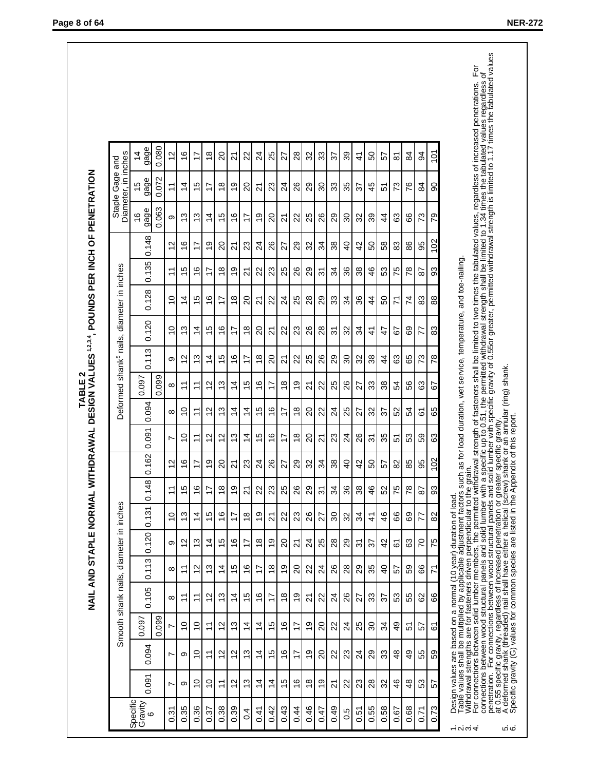| Specific       |                |                |                          |                 |                |                |                         |                |                               |                    |                     |                 |                |                |                 |                 |                       | Diameter, in inches   |                 |
|----------------|----------------|----------------|--------------------------|-----------------|----------------|----------------|-------------------------|----------------|-------------------------------|--------------------|---------------------|-----------------|----------------|----------------|-----------------|-----------------|-----------------------|-----------------------|-----------------|
| 0.091          | 0.094          | 0.097          | 0.105                    | 0.113           | 0.120          | 0.131          | 0.148                   | 0.162          | 0.091                         | 0.094              | 0.097               | 0.113           | 0.120          | 0.128          | 0.135           | 0.148           | gage<br>$\frac{6}{5}$ | gage<br>$\frac{5}{1}$ | gage<br>4       |
|                |                | 0.099          |                          |                 |                |                |                         |                |                               |                    | 0.099               |                 |                |                |                 |                 | 0.063                 | 0.072                 | 0.080           |
| N              | N              | N              | $\infty$                 | $\infty$        | တ              | $\overline{0}$ | $\overline{\mathbf{r}}$ | $\tilde{c}$    | N                             | $\infty$           | $\infty$            | တ               | $\overline{0}$ | $\overline{0}$ | $\overline{1}$  | $\tilde{c}$     | တ                     |                       | $\tilde{c}$     |
| တ              | တ              | S              | $\tilde{\tau}$           | $\tilde{\tau}$  | $\frac{2}{3}$  | ო              | $\frac{5}{1}$           | $\frac{6}{1}$  | $\tilde{C}$                   | $\tilde{c}$        | $\tilde{\tau}$      | $\sim$          | $\frac{3}{2}$  | 4              | Ю               | $\frac{6}{1}$   | ო                     | $\overline{4}$        | $\frac{6}{1}$   |
| $\tilde{C}$    | $\overline{0}$ | 9              | ᠮ                        | $\tilde{c}$     | က<br>↽         | $\overline{4}$ | $\frac{6}{1}$           | 17             | $\tilde{\tau}$                | $\overline{1}$     | $\tilde{\tau}$      | 3               | $\frac{4}{4}$  | LO             | $\frac{6}{5}$   | $\overline{1}$  | 13                    | Ю                     | $\overline{1}$  |
| $\overline{C}$ | Ξ              | $\overline{1}$ | $\frac{2}{3}$            | ო               | $\overline{4}$ | Ю              | 17                      | თ              | $\mathbf{\sim}$               | $\scriptstyle\sim$ | $\mathbf{\sim}$     | $\overline{4}$  | ഥ              | $\frac{6}{1}$  | 17              | <u>ဝှ</u>       | $\overline{4}$        | 7                     | ∞               |
| $\overline{1}$ | $\tilde{c}$    | $\frac{2}{3}$  | $\frac{3}{2}$            | $\overline{4}$  | 45             | $\frac{6}{5}$  | $\frac{8}{1}$           | 20             | $\frac{2}{3}$                 | $\frac{3}{2}$      | $\frac{3}{2}$       | $\frac{1}{2}$   | $\frac{6}{5}$  | 17             | $\frac{8}{1}$   | $\overline{20}$ | $\frac{5}{1}$         | $\frac{8}{1}$         | $\overline{20}$ |
| $\tilde{c}$    | $\tilde{c}$    | 3              | 4                        | $\frac{5}{1}$   | $\frac{6}{1}$  | 17             | ი<br>ს                  | 24             | 13                            | $\overline{4}$     | $\overline{4}$      | $\frac{6}{1}$   | 17             | $\frac{8}{1}$  | ó,              | 21              | $\frac{6}{5}$         | ი<br>ს                | 21              |
| $\frac{3}{2}$  | $\frac{3}{2}$  | $\overline{4}$ | $\frac{1}{2}$            | $\frac{6}{5}$   | $\overline{1}$ | $\infty$       | 21                      | 23             | $\frac{4}{4}$                 | $\overline{4}$     | $\frac{5}{1}$       | 17              | $\frac{8}{3}$  | 20             | 21              | 23              | 17                    | $\overline{c}$        | 22              |
| $\overline{4}$ | $\overline{4}$ | $\overline{4}$ | $\frac{6}{5}$            | 17              | $\frac{8}{1}$  | Q L            | 22                      | 24             | Ю<br>$\overline{\phantom{0}}$ | Ю                  | $\frac{6}{1}$       | $\frac{8}{1}$   | 20             | 21             | 22              | 24              | თ                     | 21                    | 24              |
| $\overline{4}$ | $\frac{5}{3}$  | $\frac{5}{1}$  | $\overline{\phantom{0}}$ | $\frac{8}{1}$   | ი<br>ს         | 21             | 23                      | 26             | $\frac{6}{5}$                 | $\frac{6}{5}$      | 17                  | $\overline{c}$  | 21             | 22             | 23              | 26              | $\overline{c}$        | 23                    | 25              |
| Ю              | $\frac{6}{5}$  | $\frac{6}{5}$  | $\frac{8}{1}$            | ი<br>ს          | 20             | 22             | 25                      | 27             | 17                            | 17                 | $\frac{8}{1}$       | 24              | 22             | 24             | 25              | 27              | 21                    | 24                    | 27              |
| $\frac{6}{5}$  | $\overline{1}$ | 17             | တ                        | $\overline{20}$ | $\overline{2}$ | 23             | 26                      | 29             | $\frac{8}{1}$                 | $\infty$           | တ<br>$\overline{ }$ | 22              | 23             | 25             | 26              | 29              | 22                    | 26                    | 28              |
| $\frac{8}{1}$  | Ö,             | ი<br>1         | ম                        | 22              | 24             | 26             | 29                      | 32             | 20                            | 20                 | 24                  | 25              | 26             | 28             | 29              | 32              | 25                    | 29                    | 32              |
| e,             | $\overline{c}$ | $\overline{c}$ | 22                       | 24              | 25             | 27             | 79                      | 34             | $\tilde{\Omega}$              | 22                 | 22                  | 26              | 28             | 29             | <u>ভ</u>        | 34              | 26                    | $\mathcal{S}^{\circ}$ | 33              |
| 21             | 22             | 22             | 24                       | 26              | 28             | 30             | 34                      | 38             | 23                            | 24                 | 25                  | 29              | रू             | 33             | 34              | 38              | 29                    | 33                    | 57              |
| 22             | 23             | 24             | 26                       | 28              | 29             | 32             | 36                      | $\overline{6}$ | 24                            | 25                 | 26                  | 30              | 32             | 34             | 36              | $\overline{6}$  | 30                    | 35                    | 39              |
| 23             | 24             | 25             | 27                       | 29              | 5              | 34             | 38                      | 42             | 26                            | 27                 | 27                  | 32              | 34             | 36             | 38              | 42              | 32                    | 57                    | 4               |
| 28             | 29             | వి             | 33                       | 35              | 57             | 4              | 46                      | 50             | 22                            | 32                 | 33                  | 38              | 41             | 44             | 46              | SO              | 39                    | 45                    | 50              |
| 32             | 33             | 34             | 57                       | $\overline{6}$  | 42             | 46             | 52                      | 57             | 35                            | 57                 | 38                  | $\overline{4}$  | $\ddot{t}$     | ვ<br>ი         | 53              | 58              | $\frac{4}{4}$         | 5                     | 57              |
| 46             | 48             | $\frac{4}{9}$  | 53                       | 57              | 6              | 88             | 75                      | 82             | 5                             | 52                 | 54                  | 63              | 52             | 71             | 75              | 83              | 83                    | 73                    | Σó              |
| 48             | $\overline{4}$ | 5              | 55                       | 59              | 63             | 89             | 78                      | 85             | 53                            | 54                 | 56                  | 65              | 69             | 74             | $\overline{78}$ | 86              | 89                    | 76                    | 84              |
| 53             | 55             | 57             | 82                       | 89              | 20             | 77             | $\overline{8}$          | 95             | 59                            | 67                 | 63                  | 73              | 77             | 83             | $\overline{8}$  | 95              | 73                    | 84                    | $\overline{6}$  |
| 57             | 59             | 67             | 89                       | 71              | 75             | 82             | 33                      | 102            | 63                            | 65                 | 29                  | $\overline{28}$ | 83             | 88             | 93              | 102             | 79                    | 8                     | $\overline{5}$  |

1. Design values are based on a normal (10 year) duration of load.<br>3. Withdrawal strengths are for fasteneis diven perpendicular to the grain.<br>4. For connections between solid lumber members, the permitted withdrawal stren

**Page 8 of 64 NER-272**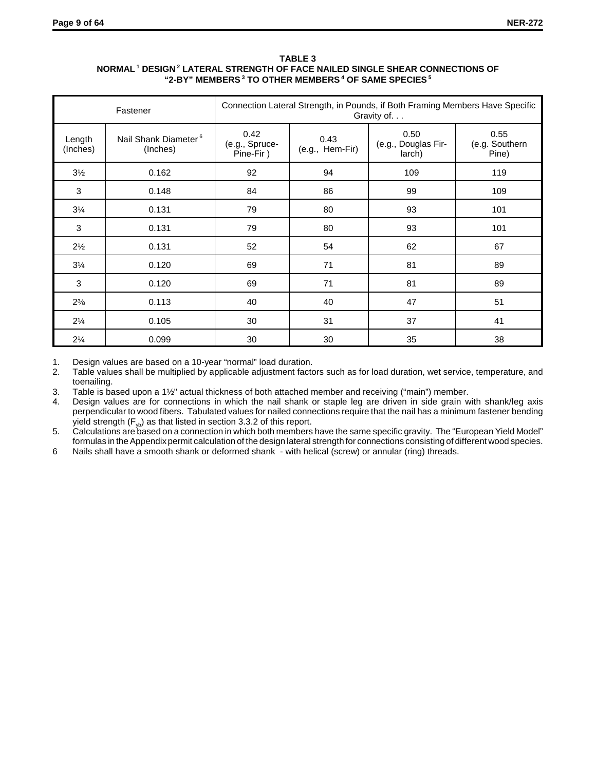## **TABLE 3 NORMAL 1 DESIGN 2 LATERAL STRENGTH OF FACE NAILED SINGLE SHEAR CONNECTIONS OF "2-BY" MEMBERS 3 TO OTHER MEMBERS 4 OF SAME SPECIES 5**

|                    | Fastener                                     |                                     |                         | Connection Lateral Strength, in Pounds, if Both Framing Members Have Specific<br>Gravity of |                                 |
|--------------------|----------------------------------------------|-------------------------------------|-------------------------|---------------------------------------------------------------------------------------------|---------------------------------|
| Length<br>(Inches) | Nail Shank Diameter <sup>6</sup><br>(Inches) | 0.42<br>(e.g., Spruce-<br>Pine-Fir) | 0.43<br>(e.g., Hem-Fir) | 0.50<br>(e.g., Douglas Fir-<br>larch)                                                       | 0.55<br>(e.g. Southern<br>Pine) |
| $3\frac{1}{2}$     | 0.162                                        | 92                                  | 94                      | 109                                                                                         | 119                             |
| 3                  | 0.148                                        | 84                                  | 86                      | 99                                                                                          | 109                             |
| $3\frac{1}{4}$     | 0.131                                        | 79                                  | 80                      | 93                                                                                          | 101                             |
| 3                  | 0.131                                        | 79                                  | 80                      | 93                                                                                          | 101                             |
| $2\frac{1}{2}$     | 0.131                                        | 52                                  | 54                      | 62                                                                                          | 67                              |
| $3\frac{1}{4}$     | 0.120                                        | 69                                  | 71                      | 81                                                                                          | 89                              |
| 3                  | 0.120                                        | 69                                  | 71                      | 81                                                                                          | 89                              |
| $2\frac{3}{8}$     | 0.113                                        | 40                                  | 40                      | 47                                                                                          | 51                              |
| $2\frac{1}{4}$     | 0.105                                        | 30                                  | 31                      | 37                                                                                          | 41                              |
| $2\frac{1}{4}$     | 0.099                                        | 30                                  | 30                      | 35                                                                                          | 38                              |

1. Design values are based on a 10-year "normal" load duration.

2. Table values shall be multiplied by applicable adjustment factors such as for load duration, wet service, temperature, and toenailing.

3. Table is based upon a 1½" actual thickness of both attached member and receiving ("main") member.

4. Design values are for connections in which the nail shank or staple leg are driven in side grain with shank/leg axis perpendicular to wood fibers. Tabulated values for nailed connections require that the nail has a minimum fastener bending yield strength  $(F_{y<sub>b</sub>})$  as that listed in section 3.3.2 of this report.

5. Calculations are based on a connection in which both members have the same specific gravity. The "European Yield Model" formulas in the Appendix permit calculation of the design lateral strength for connections consisting of different wood species.

6 Nails shall have a smooth shank or deformed shank - with helical (screw) or annular (ring) threads.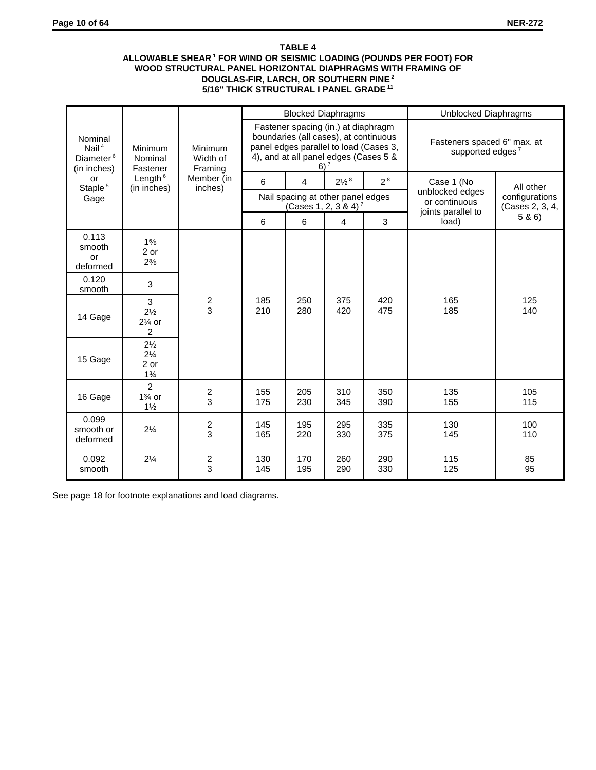## **TABLE 4 ALLOWABLE SHEAR 1 FOR WIND OR SEISMIC LOADING (POUNDS PER FOOT) FOR WOOD STRUCTURAL PANEL HORIZONTAL DIAPHRAGMS WITH FRAMING OF DOUGLAS-FIR, LARCH, OR SOUTHERN PINE 2 5/16" THICK STRUCTURAL I PANEL GRADE 11**

|                                                             |                                                            |                                  |            | <b>Blocked Diaphragms</b>                                                                                                                                       |                                  |            | Unblocked Diaphragms                                        |                                   |
|-------------------------------------------------------------|------------------------------------------------------------|----------------------------------|------------|-----------------------------------------------------------------------------------------------------------------------------------------------------------------|----------------------------------|------------|-------------------------------------------------------------|-----------------------------------|
| Nominal<br>Nail $4$<br>Diameter <sup>6</sup><br>(in inches) | <b>Minimum</b><br>Nominal<br>Fastener                      | Minimum<br>Width of<br>Framing   |            | Fastener spacing (in.) at diaphragm<br>boundaries (all cases), at continuous<br>panel edges parallel to load (Cases 3,<br>4), and at all panel edges (Cases 5 & | 6) <sup>7</sup>                  |            | Fasteners spaced 6" max. at<br>supported edges <sup>7</sup> |                                   |
| or<br>Staple <sup>5</sup>                                   | Length <sup>6</sup><br>(in inches)                         | Member (in<br>inches)            | 6          | 4                                                                                                                                                               | $2\frac{1}{2}$ <sup>8</sup>      | $2^8$      | Case 1 (No                                                  | All other                         |
| Gage                                                        |                                                            |                                  |            | Nail spacing at other panel edges                                                                                                                               | (Cases 1, 2, 3 & 4) <sup>7</sup> |            | unblocked edges<br>or continuous<br>joints parallel to      | configurations<br>(Cases 2, 3, 4, |
|                                                             |                                                            |                                  | 6          | 6                                                                                                                                                               | $\overline{4}$                   | 3          | load)                                                       | 5 & 6                             |
| 0.113<br>smooth<br>or<br>deformed                           | 15/8<br>2 or<br>$2\frac{3}{8}$                             |                                  |            |                                                                                                                                                                 |                                  |            |                                                             |                                   |
| 0.120<br>smooth                                             | 3                                                          |                                  |            |                                                                                                                                                                 |                                  |            |                                                             |                                   |
| 14 Gage                                                     | 3<br>$2\frac{1}{2}$<br>$2\frac{1}{4}$ or<br>2              | $\frac{2}{3}$                    | 185<br>210 | 250<br>280                                                                                                                                                      | 375<br>420                       | 420<br>475 | 165<br>185                                                  | 125<br>140                        |
| 15 Gage                                                     | $2\frac{1}{2}$<br>$2\frac{1}{4}$<br>2 or<br>$1\frac{3}{4}$ |                                  |            |                                                                                                                                                                 |                                  |            |                                                             |                                   |
| 16 Gage                                                     | $\overline{2}$<br>$1\%$ or<br>$1\frac{1}{2}$               | $\overline{c}$<br>$\overline{3}$ | 155<br>175 | 205<br>230                                                                                                                                                      | 310<br>345                       | 350<br>390 | 135<br>155                                                  | 105<br>115                        |
| 0.099<br>smooth or<br>deformed                              | $2\frac{1}{4}$                                             | $\overline{\mathbf{c}}$<br>3     | 145<br>165 | 195<br>220                                                                                                                                                      | 295<br>330                       | 335<br>375 | 130<br>145                                                  | 100<br>110                        |
| 0.092<br>smooth                                             | $2\frac{1}{4}$                                             | $\overline{c}$<br>3              | 130<br>145 | 170<br>195                                                                                                                                                      | 260<br>290                       | 290<br>330 | 115<br>125                                                  | 85<br>95                          |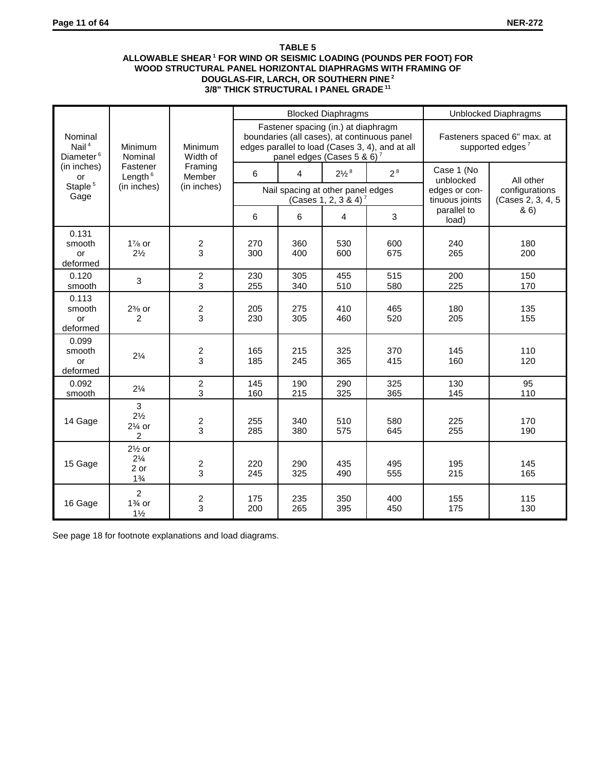## **TABLE 5 ALLOWABLE SHEAR 1 FOR WIND OR SEISMIC LOADING (POUNDS PER FOOT) FOR WOOD STRUCTURAL PANEL HORIZONTAL DIAPHRAGMS WITH FRAMING OF DOUGLAS-FIR, LARCH, OR SOUTHERN PINE 2 3/8" THICK STRUCTURAL I PANEL GRADE 11**

|                                                       |                                                                 |                              |            |                                                                               | <b>Blocked Diaphragms</b>        |                                                                                                |                                 | Unblocked Diaphragms                                        |
|-------------------------------------------------------|-----------------------------------------------------------------|------------------------------|------------|-------------------------------------------------------------------------------|----------------------------------|------------------------------------------------------------------------------------------------|---------------------------------|-------------------------------------------------------------|
| Nominal<br>Nail <sup>4</sup><br>Diameter <sup>6</sup> | Minimum<br>Nominal                                              | Minimum<br>Width of          |            | Fastener spacing (in.) at diaphragm<br>panel edges (Cases 5 & 6) <sup>7</sup> |                                  | boundaries (all cases), at continuous panel<br>edges parallel to load (Cases 3, 4), and at all |                                 | Fasteners spaced 6" max. at<br>supported edges <sup>7</sup> |
| (in inches)<br>or                                     | Fastener<br>Length $6$                                          | Framing<br>Member            | 6          | 4                                                                             | $2\frac{1}{2}$ <sup>8</sup>      | 2 <sup>8</sup>                                                                                 | Case 1 (No<br>unblocked         | All other                                                   |
| Staple <sup>5</sup><br>Gage                           | (in inches)                                                     | (in inches)                  |            | Nail spacing at other panel edges                                             | (Cases 1, 2, 3 & 4) <sup>7</sup> |                                                                                                | edges or con-<br>tinuous joints | configurations<br>(Cases 2, 3, 4, 5)                        |
|                                                       |                                                                 |                              | 6          | 6                                                                             | $\overline{4}$                   | 3                                                                                              | parallel to<br>load)            | & 6)                                                        |
| 0.131<br>smooth<br>or<br>deformed                     | $1\%$ or<br>$2\frac{1}{2}$                                      | $\overline{c}$<br>3          | 270<br>300 | 360<br>400                                                                    | 530<br>600                       | 600<br>675                                                                                     | 240<br>265                      | 180<br>200                                                  |
| 0.120<br>smooth                                       | 3                                                               | $\overline{c}$<br>3          | 230<br>255 | 305<br>340                                                                    | 455<br>510                       | 515<br>580                                                                                     | 200<br>225                      | 150<br>170                                                  |
| 0.113<br>smooth<br>or<br>deformed                     | $2\%$ or<br>2                                                   | $\overline{\mathbf{c}}$<br>3 | 205<br>230 | 275<br>305                                                                    | 410<br>460                       | 465<br>520                                                                                     | 180<br>205                      | 135<br>155                                                  |
| 0.099<br>smooth<br>or<br>deformed                     | $2\frac{1}{4}$                                                  | $\frac{2}{3}$                | 165<br>185 | 215<br>245                                                                    | 325<br>365                       | 370<br>415                                                                                     | 145<br>160                      | 110<br>120                                                  |
| 0.092<br>smooth                                       | $2\frac{1}{4}$                                                  | $\overline{c}$<br>3          | 145<br>160 | 190<br>215                                                                    | 290<br>325                       | 325<br>365                                                                                     | 130<br>145                      | 95<br>110                                                   |
| 14 Gage                                               | 3<br>$2\frac{1}{2}$<br>$2\%$ or<br>$\overline{2}$               | $\frac{2}{3}$                | 255<br>285 | 340<br>380                                                                    | 510<br>575                       | 580<br>645                                                                                     | 225<br>255                      | 170<br>190                                                  |
| 15 Gage                                               | $2\frac{1}{2}$ or<br>$2\frac{1}{4}$<br>$2$ or<br>$1\frac{3}{4}$ | $\overline{\mathbf{c}}$<br>3 | 220<br>245 | 290<br>325                                                                    | 435<br>490                       | 495<br>555                                                                                     | 195<br>215                      | 145<br>165                                                  |
| 16 Gage                                               | $\overline{2}$<br>$1\frac{3}{4}$ or<br>$1\frac{1}{2}$           | $\overline{\mathbf{c}}$<br>3 | 175<br>200 | 235<br>265                                                                    | 350<br>395                       | 400<br>450                                                                                     | 155<br>175                      | 115<br>130                                                  |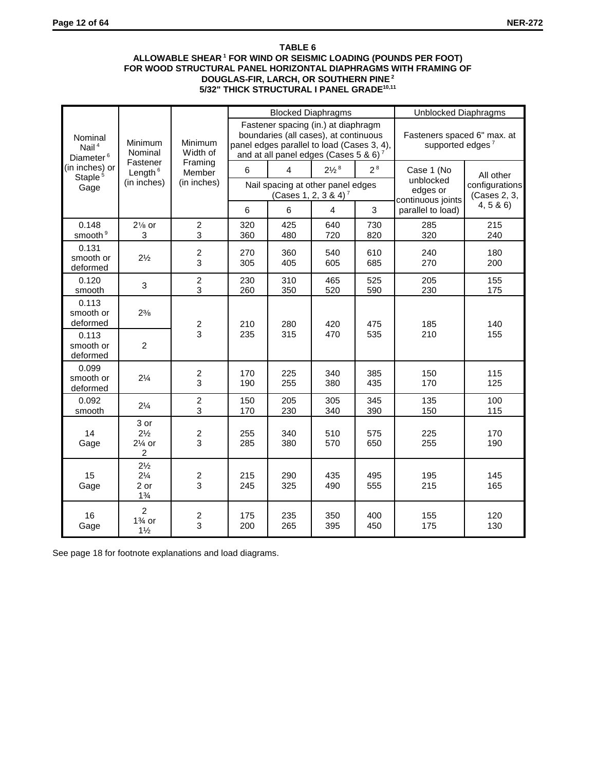## **TABLE 6 ALLOWABLE SHEAR 1 FOR WIND OR SEISMIC LOADING (POUNDS PER FOOT) FOR WOOD STRUCTURAL PANEL HORIZONTAL DIAPHRAGMS WITH FRAMING OF DOUGLAS-FIR, LARCH, OR SOUTHERN PINE 2 5/32" THICK STRUCTURAL I PANEL GRADE10,11**

|                                              |                                                            |                              |            | <b>Blocked Diaphragms</b>                                                                                                                                                       |                                  |                | <b>Unblocked Diaphragms</b>                                 |                                |
|----------------------------------------------|------------------------------------------------------------|------------------------------|------------|---------------------------------------------------------------------------------------------------------------------------------------------------------------------------------|----------------------------------|----------------|-------------------------------------------------------------|--------------------------------|
| Nominal<br>Nail $4$<br>Diameter <sup>6</sup> | Minimum<br>Nominal                                         | Minimum<br>Width of          |            | Fastener spacing (in.) at diaphragm<br>boundaries (all cases), at continuous<br>panel edges parallel to load (Cases 3, 4),<br>and at all panel edges (Cases 5 & 6) <sup>7</sup> |                                  |                | Fasteners spaced 6" max. at<br>supported edges <sup>7</sup> |                                |
| (in inches) or                               | Fastener<br>Length $6$                                     | Framing<br>Member            | 6          | 4                                                                                                                                                                               | $2\frac{1}{2}$ <sup>8</sup>      | 2 <sup>8</sup> | Case 1 (No                                                  | All other                      |
| Staple <sup>5</sup><br>Gage                  | (in inches)                                                | (in inches)                  |            | Nail spacing at other panel edges                                                                                                                                               | (Cases 1, 2, 3 & 4) <sup>7</sup> |                | unblocked<br>edges or<br>continuous joints                  | configurations<br>(Cases 2, 3, |
|                                              |                                                            |                              | 6          | 6                                                                                                                                                                               | $\overline{4}$                   | 3              | parallel to load)                                           | 4, 5 & 6                       |
| 0.148<br>smooth <sup>9</sup>                 | $2\frac{1}{8}$ or<br>3                                     | $\overline{c}$<br>3          | 320<br>360 | 425<br>480                                                                                                                                                                      | 640<br>720                       | 730<br>820     | 285<br>320                                                  | 215<br>240                     |
| 0.131<br>smooth or<br>deformed               | $2\frac{1}{2}$                                             | $\overline{c}$<br>3          | 270<br>305 | 360<br>405                                                                                                                                                                      | 540<br>605                       | 610<br>685     | 240<br>270                                                  | 180<br>200                     |
| 0.120<br>smooth                              | 3                                                          | $\overline{c}$<br>3          | 230<br>260 | 310<br>350                                                                                                                                                                      | 465<br>520                       | 525<br>590     | 205<br>230                                                  | 155<br>175                     |
| 0.113<br>smooth or<br>deformed               | $2\frac{3}{8}$                                             | $\overline{\mathbf{c}}$      | 210        | 280                                                                                                                                                                             | 420                              | 475            | 185                                                         | 140                            |
| 0.113<br>smooth or<br>deformed               | $\overline{2}$                                             | 3                            | 235        | 315                                                                                                                                                                             | 470                              | 535            | 210                                                         | 155                            |
| 0.099<br>smooth or<br>deformed               | $2\frac{1}{4}$                                             | $\overline{c}$<br>3          | 170<br>190 | 225<br>255                                                                                                                                                                      | 340<br>380                       | 385<br>435     | 150<br>170                                                  | 115<br>125                     |
| 0.092<br>smooth                              | $2\frac{1}{4}$                                             | $\overline{c}$<br>3          | 150<br>170 | 205<br>230                                                                                                                                                                      | 305<br>340                       | 345<br>390     | 135<br>150                                                  | 100<br>115                     |
| 14<br>Gage                                   | 3 or<br>$2\frac{1}{2}$<br>$2\%$ or<br>2                    | $\overline{c}$<br>3          | 255<br>285 | 340<br>380                                                                                                                                                                      | 510<br>570                       | 575<br>650     | 225<br>255                                                  | 170<br>190                     |
| 15<br>Gage                                   | $2\frac{1}{2}$<br>$2\frac{1}{4}$<br>2 or<br>$1\frac{3}{4}$ | $\overline{c}$<br>3          | 215<br>245 | 290<br>325                                                                                                                                                                      | 435<br>490                       | 495<br>555     | 195<br>215                                                  | 145<br>165                     |
| 16<br>Gage                                   | $\overline{2}$<br>$1\%$ or<br>$1\frac{1}{2}$               | $\overline{\mathbf{c}}$<br>3 | 175<br>200 | 235<br>265                                                                                                                                                                      | 350<br>395                       | 400<br>450     | 155<br>175                                                  | 120<br>130                     |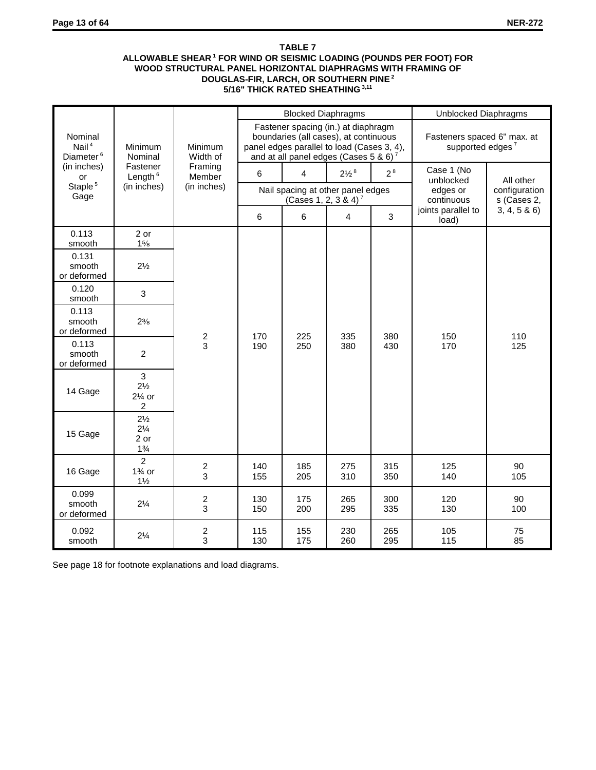## **TABLE 7 ALLOWABLE SHEAR 1 FOR WIND OR SEISMIC LOADING (POUNDS PER FOOT) FOR WOOD STRUCTURAL PANEL HORIZONTAL DIAPHRAGMS WITH FRAMING OF DOUGLAS-FIR, LARCH, OR SOUTHERN PINE 2 5/16" THICK RATED SHEATHING 3,11**

|                                              |                                                                                |                              |            | <b>Blocked Diaphragms</b>        |                                                                                                                                                                                 |                | Unblocked Diaphragms                                        |                              |
|----------------------------------------------|--------------------------------------------------------------------------------|------------------------------|------------|----------------------------------|---------------------------------------------------------------------------------------------------------------------------------------------------------------------------------|----------------|-------------------------------------------------------------|------------------------------|
| Nominal<br>Nail $4$<br>Diameter <sup>6</sup> | Minimum<br>Nominal                                                             | Minimum<br>Width of          |            |                                  | Fastener spacing (in.) at diaphragm<br>boundaries (all cases), at continuous<br>panel edges parallel to load (Cases 3, 4),<br>and at all panel edges (Cases 5 & 6) <sup>7</sup> |                | Fasteners spaced 6" max. at<br>supported edges <sup>7</sup> |                              |
| (in inches)<br>or                            | Fastener<br>Length $6$                                                         | Framing<br>Member            | 6          | 4                                | $2\frac{1}{2}$ <sup>8</sup>                                                                                                                                                     | 2 <sup>8</sup> | Case 1 (No<br>unblocked                                     | All other                    |
| Staple <sup>5</sup><br>Gage                  | (in inches)                                                                    | (in inches)                  |            | (Cases 1, 2, 3 & 4) <sup>7</sup> | Nail spacing at other panel edges                                                                                                                                               |                | edges or<br>continuous                                      | configuration<br>s (Cases 2, |
|                                              |                                                                                |                              | 6          | 6                                | 4                                                                                                                                                                               | $\mathbf{3}$   | joints parallel to<br>load)                                 | 3, 4, 5 & 6                  |
| 0.113<br>smooth                              | 2 or<br>15/8                                                                   |                              |            |                                  |                                                                                                                                                                                 |                |                                                             |                              |
| 0.131<br>smooth<br>or deformed               | $2\frac{1}{2}$                                                                 |                              |            |                                  |                                                                                                                                                                                 |                |                                                             |                              |
| 0.120<br>smooth                              | 3                                                                              |                              |            |                                  |                                                                                                                                                                                 |                |                                                             |                              |
| 0.113<br>smooth<br>or deformed               | $2^{3/8}$                                                                      |                              | 170        | 225                              | 335                                                                                                                                                                             | 380            | 150                                                         | 110                          |
| 0.113<br>smooth<br>or deformed               | $\overline{2}$                                                                 | $\frac{2}{3}$                | 190        | 250                              | 380                                                                                                                                                                             | 430            | 170                                                         | 125                          |
| 14 Gage                                      | $\mathbf{3}$<br>$2\frac{1}{2}$<br>$2\frac{1}{4}$ or<br>$\overline{\mathbf{c}}$ |                              |            |                                  |                                                                                                                                                                                 |                |                                                             |                              |
| 15 Gage                                      | $2\frac{1}{2}$<br>$2\frac{1}{4}$<br>2 or<br>$1\frac{3}{4}$                     |                              |            |                                  |                                                                                                                                                                                 |                |                                                             |                              |
| 16 Gage                                      | $\overline{2}$<br>$1\%$ or<br>$1\frac{1}{2}$                                   | $\overline{\mathbf{c}}$<br>3 | 140<br>155 | 185<br>205                       | 275<br>310                                                                                                                                                                      | 315<br>350     | 125<br>140                                                  | 90<br>105                    |
| 0.099<br>smooth<br>or deformed               | $2\frac{1}{4}$                                                                 | $\overline{\mathbf{c}}$<br>3 | 130<br>150 | 175<br>200                       | 265<br>295                                                                                                                                                                      | 300<br>335     | 120<br>130                                                  | 90<br>100                    |
| 0.092<br>smooth                              | $2\frac{1}{4}$                                                                 | $\overline{\mathbf{c}}$<br>3 | 115<br>130 | 155<br>175                       | 230<br>260                                                                                                                                                                      | 265<br>295     | 105<br>115                                                  | 75<br>85                     |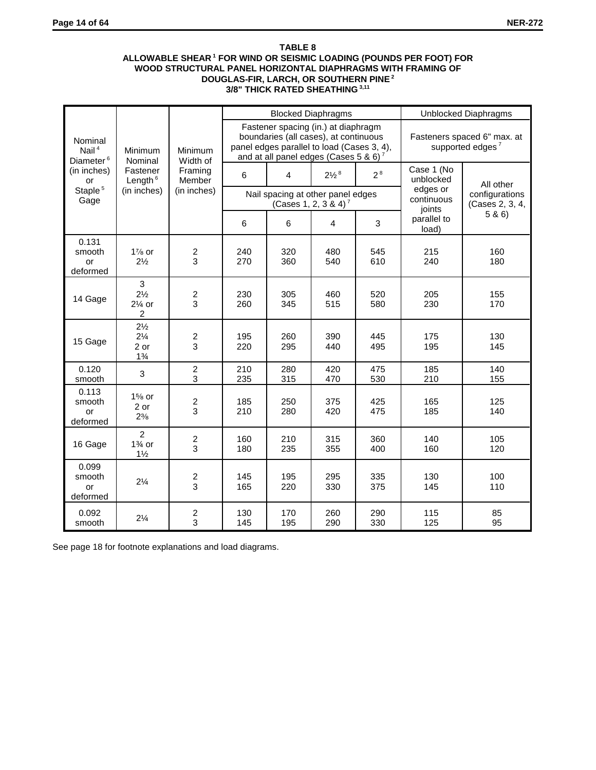## **TABLE 8 ALLOWABLE SHEAR 1 FOR WIND OR SEISMIC LOADING (POUNDS PER FOOT) FOR WOOD STRUCTURAL PANEL HORIZONTAL DIAPHRAGMS WITH FRAMING OF DOUGLAS-FIR, LARCH, OR SOUTHERN PINE 2 3/8" THICK RATED SHEATHING 3,11**

|                                              |                                                            |                              |            |                                                                                                                                                                    | <b>Blocked Diaphragms</b>        |                |                                | Unblocked Diaphragms                                        |
|----------------------------------------------|------------------------------------------------------------|------------------------------|------------|--------------------------------------------------------------------------------------------------------------------------------------------------------------------|----------------------------------|----------------|--------------------------------|-------------------------------------------------------------|
| Nominal<br>Nail $4$<br>Diameter <sup>6</sup> | Minimum<br>Nominal                                         | Minimum<br>Width of          |            | Fastener spacing (in.) at diaphragm<br>boundaries (all cases), at continuous<br>panel edges parallel to load (Cases 3, 4),<br>and at all panel edges (Cases 5 & 6) |                                  |                |                                | Fasteners spaced 6" max. at<br>supported edges <sup>7</sup> |
| (in inches)<br>or                            | Fastener<br>Length $6$                                     | Framing<br>Member            | 6          | $\overline{4}$                                                                                                                                                     | $2\frac{1}{2}$ <sup>8</sup>      | 2 <sup>8</sup> | Case 1 (No<br>unblocked        | All other                                                   |
| Staple <sup>5</sup><br>Gage                  | (in inches)                                                | (in inches)                  |            | Nail spacing at other panel edges                                                                                                                                  | (Cases 1, 2, 3 & 4) <sup>7</sup> |                | edges or<br>continuous         | configurations<br>(Cases 2, 3, 4,                           |
|                                              |                                                            |                              | 6          | 6                                                                                                                                                                  | 4                                | $\mathbf{3}$   | joints<br>parallel to<br>load) | 5 & 6)                                                      |
| 0.131<br>smooth<br>or<br>deformed            | $1\%$ or<br>$2\frac{1}{2}$                                 | $\overline{\mathbf{c}}$<br>3 | 240<br>270 | 320<br>360                                                                                                                                                         | 480<br>540                       | 545<br>610     | 215<br>240                     | 160<br>180                                                  |
| 14 Gage                                      | 3<br>$2\frac{1}{2}$<br>$2\%$ or<br>$\overline{c}$          | $\boldsymbol{2}$<br>3        | 230<br>260 | 305<br>345                                                                                                                                                         | 460<br>515                       | 520<br>580     | 205<br>230                     | 155<br>170                                                  |
| 15 Gage                                      | $2\frac{1}{2}$<br>$2\frac{1}{4}$<br>2 or<br>$1\frac{3}{4}$ | $\boldsymbol{2}$<br>3        | 195<br>220 | 260<br>295                                                                                                                                                         | 390<br>440                       | 445<br>495     | 175<br>195                     | 130<br>145                                                  |
| 0.120<br>smooth                              | 3                                                          | $\boldsymbol{2}$<br>3        | 210<br>235 | 280<br>315                                                                                                                                                         | 420<br>470                       | 475<br>530     | 185<br>210                     | 140<br>155                                                  |
| 0.113<br>smooth<br>or<br>deformed            | $1\%$ or<br>2 or<br>$2\frac{3}{8}$                         | $\boldsymbol{2}$<br>3        | 185<br>210 | 250<br>280                                                                                                                                                         | 375<br>420                       | 425<br>475     | 165<br>185                     | 125<br>140                                                  |
| 16 Gage                                      | $\overline{2}$<br>$1\%$ or<br>$1\frac{1}{2}$               | $\frac{2}{3}$                | 160<br>180 | 210<br>235                                                                                                                                                         | 315<br>355                       | 360<br>400     | 140<br>160                     | 105<br>120                                                  |
| 0.099<br>smooth<br>or<br>deformed            | $2\frac{1}{4}$                                             | $\frac{2}{3}$                | 145<br>165 | 195<br>220                                                                                                                                                         | 295<br>330                       | 335<br>375     | 130<br>145                     | 100<br>110                                                  |
| 0.092<br>smooth                              | $2\frac{1}{4}$                                             | $\boldsymbol{2}$<br>3        | 130<br>145 | 170<br>195                                                                                                                                                         | 260<br>290                       | 290<br>330     | 115<br>125                     | 85<br>95                                                    |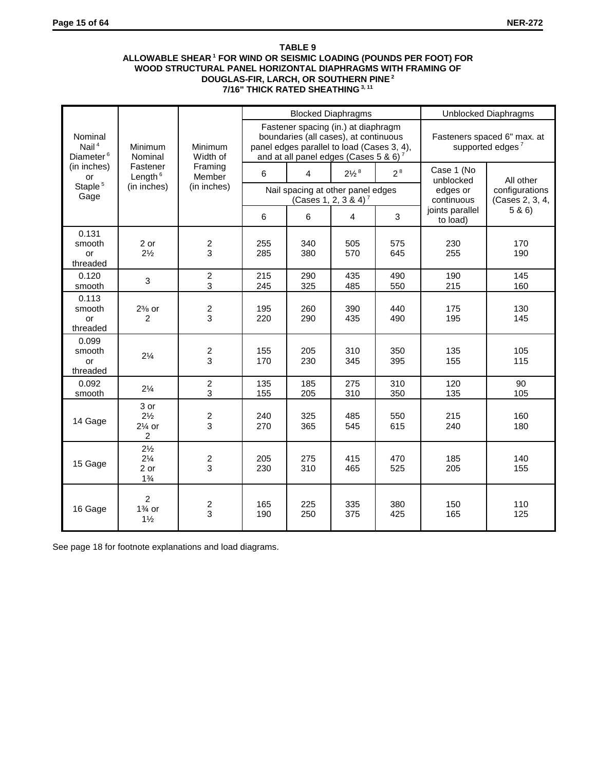## **TABLE 9 ALLOWABLE SHEAR 1 FOR WIND OR SEISMIC LOADING (POUNDS PER FOOT) FOR WOOD STRUCTURAL PANEL HORIZONTAL DIAPHRAGMS WITH FRAMING OF DOUGLAS-FIR, LARCH, OR SOUTHERN PINE 2 7/16" THICK RATED SHEATHING 3, 11**

|                                              |                                                            |                       |                |                | <b>Blocked Diaphragms</b>                                                                                                                                                       |                |                                     | <b>Unblocked Diaphragms</b>                                 |
|----------------------------------------------|------------------------------------------------------------|-----------------------|----------------|----------------|---------------------------------------------------------------------------------------------------------------------------------------------------------------------------------|----------------|-------------------------------------|-------------------------------------------------------------|
| Nominal<br>Nail $4$<br>Diameter <sup>6</sup> | Minimum<br>Nominal                                         | Minimum<br>Width of   |                |                | Fastener spacing (in.) at diaphragm<br>boundaries (all cases), at continuous<br>panel edges parallel to load (Cases 3, 4),<br>and at all panel edges (Cases 5 & 6) <sup>7</sup> |                |                                     | Fasteners spaced 6" max. at<br>supported edges <sup>7</sup> |
| (in inches)<br>or                            | Fastener<br>Length $6$                                     | Framing<br>Member     | $6\phantom{1}$ | $\overline{4}$ | $2\frac{1}{2}$ <sup>8</sup>                                                                                                                                                     | 2 <sup>8</sup> | Case 1 (No                          |                                                             |
| Staple <sup>5</sup><br>Gage                  | (in inches)                                                | (in inches)           |                |                | Nail spacing at other panel edges<br>(Cases 1, 2, 3 & 4) <sup>7</sup>                                                                                                           |                | unblocked<br>edges or<br>continuous | All other<br>configurations<br>(Cases 2, 3, 4,              |
|                                              |                                                            |                       | 6              | 6              | 4                                                                                                                                                                               | 3              | joints parallel<br>to load)         | 5 & 6                                                       |
| 0.131<br>smooth<br>or<br>threaded            | 2 or<br>$2\frac{1}{2}$                                     | 2<br>3                | 255<br>285     | 340<br>380     | 505<br>570                                                                                                                                                                      | 575<br>645     | 230<br>255                          | 170<br>190                                                  |
| 0.120<br>smooth                              | 3                                                          | $\overline{c}$<br>3   | 215<br>245     | 290<br>325     | 435<br>485                                                                                                                                                                      | 490<br>550     | 190<br>215                          | 145<br>160                                                  |
| 0.113<br>smooth<br>or<br>threaded            | $2\%$ or<br>2                                              | 2<br>3                | 195<br>220     | 260<br>290     | 390<br>435                                                                                                                                                                      | 440<br>490     | 175<br>195                          | 130<br>145                                                  |
| 0.099<br>smooth<br>or<br>threaded            | $2\frac{1}{4}$                                             | 2<br>3                | 155<br>170     | 205<br>230     | 310<br>345                                                                                                                                                                      | 350<br>395     | 135<br>155                          | 105<br>115                                                  |
| 0.092<br>smooth                              | $2\frac{1}{4}$                                             | $\boldsymbol{2}$<br>3 | 135<br>155     | 185<br>205     | 275<br>310                                                                                                                                                                      | 310<br>350     | 120<br>135                          | 90<br>105                                                   |
| 14 Gage                                      | 3 or<br>$2\frac{1}{2}$<br>$2\frac{1}{4}$ or<br>2           | 2<br>3                | 240<br>270     | 325<br>365     | 485<br>545                                                                                                                                                                      | 550<br>615     | 215<br>240                          | 160<br>180                                                  |
| 15 Gage                                      | $2\frac{1}{2}$<br>$2\frac{1}{4}$<br>2 or<br>$1\frac{3}{4}$ | 2<br>3                | 205<br>230     | 275<br>310     | 415<br>465                                                                                                                                                                      | 470<br>525     | 185<br>205                          | 140<br>155                                                  |
| 16 Gage                                      | $\overline{2}$<br>$1\%$ or<br>$1\frac{1}{2}$               | $\frac{2}{3}$         | 165<br>190     | 225<br>250     | 335<br>375                                                                                                                                                                      | 380<br>425     | 150<br>165                          | 110<br>125                                                  |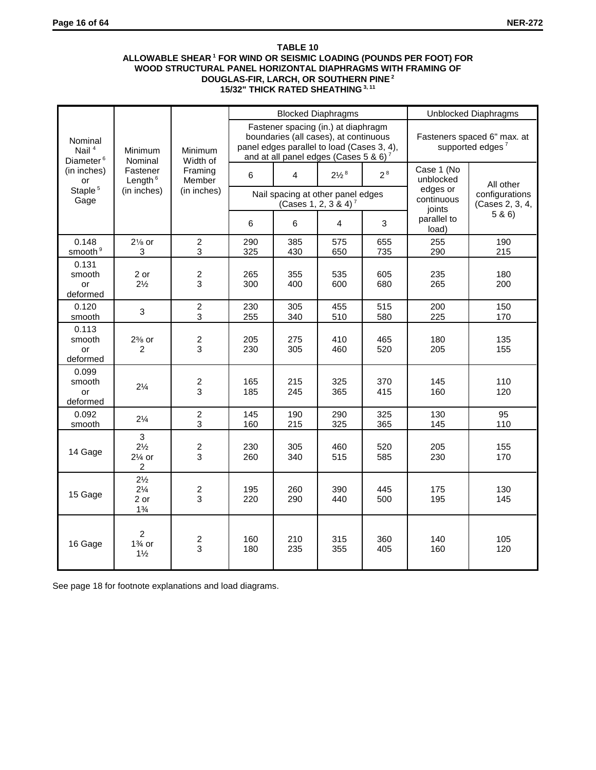## **TABLE 10 ALLOWABLE SHEAR 1 FOR WIND OR SEISMIC LOADING (POUNDS PER FOOT) FOR WOOD STRUCTURAL PANEL HORIZONTAL DIAPHRAGMS WITH FRAMING OF DOUGLAS-FIR, LARCH, OR SOUTHERN PINE 2 15/32" THICK RATED SHEATHING 3, 11**

|                                              |                                                            |                              |            |                                                                                                                                                                                 | <b>Blocked Diaphragms</b>        |                |                                  | <b>Unblocked Diaphragms</b>                                 |
|----------------------------------------------|------------------------------------------------------------|------------------------------|------------|---------------------------------------------------------------------------------------------------------------------------------------------------------------------------------|----------------------------------|----------------|----------------------------------|-------------------------------------------------------------|
| Nominal<br>Nail $4$<br>Diameter <sup>6</sup> | Minimum<br>Nominal                                         | Minimum<br>Width of          |            | Fastener spacing (in.) at diaphragm<br>boundaries (all cases), at continuous<br>panel edges parallel to load (Cases 3, 4),<br>and at all panel edges (Cases 5 & 6) <sup>7</sup> |                                  |                |                                  | Fasteners spaced 6" max. at<br>supported edges <sup>7</sup> |
| (in inches)<br>or                            | Fastener<br>Length $6$                                     | Framing<br>Member            | 6          | $\overline{4}$                                                                                                                                                                  | $2\frac{1}{2}$ <sup>8</sup>      | 2 <sup>8</sup> | Case 1 (No<br>unblocked          | All other                                                   |
| Staple <sup>5</sup><br>Gage                  | (in inches)                                                | (in inches)                  |            | Nail spacing at other panel edges                                                                                                                                               | (Cases 1, 2, 3 & 4) <sup>7</sup> |                | edges or<br>continuous<br>joints | configurations<br>(Cases 2, 3, 4,                           |
|                                              |                                                            |                              | 6          | 6                                                                                                                                                                               | 4                                | 3              | parallel to<br>load)             | 5 & 6                                                       |
| 0.148<br>smooth <sup>9</sup>                 | $2\frac{1}{8}$ or<br>3                                     | $\overline{c}$<br>3          | 290<br>325 | 385<br>430                                                                                                                                                                      | 575<br>650                       | 655<br>735     | 255<br>290                       | 190<br>215                                                  |
| 0.131<br>smooth<br>or<br>deformed            | 2 or<br>$2\frac{1}{2}$                                     | $\overline{c}$<br>3          | 265<br>300 | 355<br>400                                                                                                                                                                      | 535<br>600                       | 605<br>680     | 235<br>265                       | 180<br>200                                                  |
| 0.120<br>smooth                              | 3                                                          | $\overline{c}$<br>3          | 230<br>255 | 305<br>340                                                                                                                                                                      | 455<br>510                       | 515<br>580     | 200<br>225                       | 150<br>170                                                  |
| 0.113<br>smooth<br>or<br>deformed            | $2\%$ or<br>2                                              | $\overline{c}$<br>3          | 205<br>230 | 275<br>305                                                                                                                                                                      | 410<br>460                       | 465<br>520     | 180<br>205                       | 135<br>155                                                  |
| 0.099<br>smooth<br>or<br>deformed            | $2\frac{1}{4}$                                             | $\overline{\mathbf{c}}$<br>3 | 165<br>185 | 215<br>245                                                                                                                                                                      | 325<br>365                       | 370<br>415     | 145<br>160                       | 110<br>120                                                  |
| 0.092<br>smooth                              | $2\frac{1}{4}$                                             | $\overline{c}$<br>3          | 145<br>160 | 190<br>215                                                                                                                                                                      | 290<br>325                       | 325<br>365     | 130<br>145                       | 95<br>110                                                   |
| 14 Gage                                      | 3<br>$2\frac{1}{2}$<br>$2\%$ or<br>2                       | $\overline{\mathbf{c}}$<br>3 | 230<br>260 | 305<br>340                                                                                                                                                                      | 460<br>515                       | 520<br>585     | 205<br>230                       | 155<br>170                                                  |
| 15 Gage                                      | $2\frac{1}{2}$<br>$2\frac{1}{4}$<br>2 or<br>$1\frac{3}{4}$ | $\overline{c}$<br>3          | 195<br>220 | 260<br>290                                                                                                                                                                      | 390<br>440                       | 445<br>500     | 175<br>195                       | 130<br>145                                                  |
| 16 Gage                                      | $\overline{2}$<br>$1\%$ or<br>$1\frac{1}{2}$               | $\frac{2}{3}$                | 160<br>180 | 210<br>235                                                                                                                                                                      | 315<br>355                       | 360<br>405     | 140<br>160                       | 105<br>120                                                  |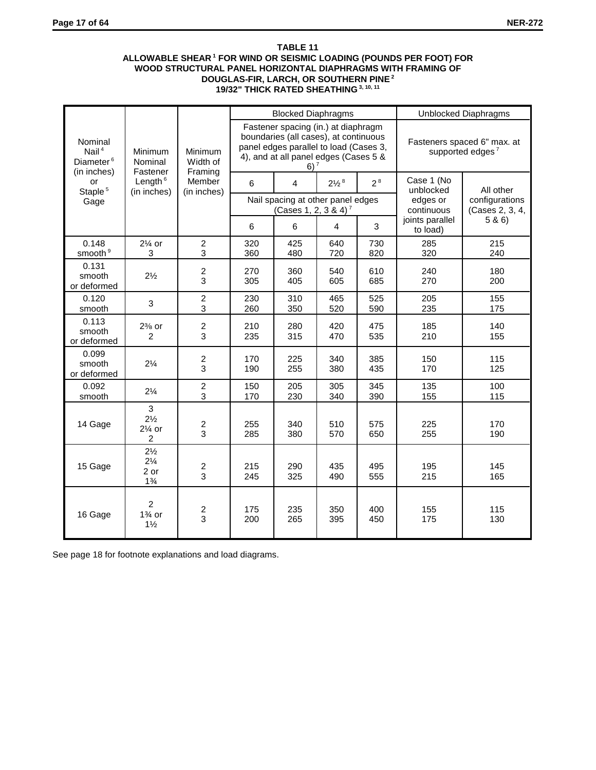## **TABLE 11 ALLOWABLE SHEAR 1 FOR WIND OR SEISMIC LOADING (POUNDS PER FOOT) FOR WOOD STRUCTURAL PANEL HORIZONTAL DIAPHRAGMS WITH FRAMING OF DOUGLAS-FIR, LARCH, OR SOUTHERN PINE 2 19/32" THICK RATED SHEATHING 3, 10, 11**

|                                                                      |                                                            |                                |            | <b>Blocked Diaphragms</b>                                                                                                                                                   |                             |                |                             | Unblocked Diaphragms                                        |  |
|----------------------------------------------------------------------|------------------------------------------------------------|--------------------------------|------------|-----------------------------------------------------------------------------------------------------------------------------------------------------------------------------|-----------------------------|----------------|-----------------------------|-------------------------------------------------------------|--|
| Nominal<br>Nail <sup>4</sup><br>Diameter <sup>6</sup><br>(in inches) | Minimum<br>Nominal<br>Fastener                             | Minimum<br>Width of<br>Framing |            | Fastener spacing (in.) at diaphragm<br>boundaries (all cases), at continuous<br>panel edges parallel to load (Cases 3,<br>4), and at all panel edges (Cases 5 &<br>$6)^{7}$ |                             |                |                             | Fasteners spaced 6" max. at<br>supported edges <sup>7</sup> |  |
| or<br>Staple <sup>5</sup>                                            | Length $6$<br>(in inches)                                  | Member<br>(in inches)          | 6          | 4                                                                                                                                                                           | $2\frac{1}{2}$ <sup>8</sup> | 2 <sup>8</sup> | Case 1 (No<br>unblocked     | All other                                                   |  |
| Gage                                                                 |                                                            |                                |            | Nail spacing at other panel edges<br>(Cases 1, 2, 3 & 4) <sup>7</sup>                                                                                                       |                             |                | edges or<br>continuous      | configurations<br>(Cases 2, 3, 4,                           |  |
|                                                                      |                                                            |                                | 6          | 6                                                                                                                                                                           | 4                           | 3              | joints parallel<br>to load) | 5 & 6)                                                      |  |
| 0.148<br>smooth <sup>9</sup>                                         | $2\frac{1}{4}$ or<br>3                                     | $\overline{2}$<br>3            | 320<br>360 | 425<br>480                                                                                                                                                                  | 640<br>720                  | 730<br>820     | 285<br>320                  | 215<br>240                                                  |  |
| 0.131<br>smooth<br>or deformed                                       | $2\frac{1}{2}$                                             | $\boldsymbol{2}$<br>3          | 270<br>305 | 360<br>405                                                                                                                                                                  | 540<br>605                  | 610<br>685     | 240<br>270                  | 180<br>200                                                  |  |
| 0.120<br>smooth                                                      | 3                                                          | 2<br>3                         | 230<br>260 | 310<br>350                                                                                                                                                                  | 465<br>520                  | 525<br>590     | 205<br>235                  | 155<br>175                                                  |  |
| 0.113<br>smooth<br>or deformed                                       | $2\%$ or<br>$\overline{2}$                                 | $\boldsymbol{2}$<br>3          | 210<br>235 | 280<br>315                                                                                                                                                                  | 420<br>470                  | 475<br>535     | 185<br>210                  | 140<br>155                                                  |  |
| 0.099<br>smooth<br>or deformed                                       | $2\frac{1}{4}$                                             | 2<br>3                         | 170<br>190 | 225<br>255                                                                                                                                                                  | 340<br>380                  | 385<br>435     | 150<br>170                  | 115<br>125                                                  |  |
| 0.092<br>smooth                                                      | $2\frac{1}{4}$                                             | 2<br>3                         | 150<br>170 | 205<br>230                                                                                                                                                                  | 305<br>340                  | 345<br>390     | 135<br>155                  | 100<br>115                                                  |  |
| 14 Gage                                                              | 3<br>$2\frac{1}{2}$<br>$2\frac{1}{4}$ or<br>$\overline{2}$ | $\boldsymbol{2}$<br>3          | 255<br>285 | 340<br>380                                                                                                                                                                  | 510<br>570                  | 575<br>650     | 225<br>255                  | 170<br>190                                                  |  |
| 15 Gage                                                              | $2\frac{1}{2}$<br>$2\frac{1}{4}$<br>2 or<br>$1\frac{3}{4}$ | $\overline{\mathbf{c}}$<br>3   | 215<br>245 | 290<br>325                                                                                                                                                                  | 435<br>490                  | 495<br>555     | 195<br>215                  | 145<br>165                                                  |  |
| 16 Gage                                                              | $\overline{2}$<br>$1\%$ or<br>$1\frac{1}{2}$               | $\frac{2}{3}$                  | 175<br>200 | 235<br>265                                                                                                                                                                  | 350<br>395                  | 400<br>450     | 155<br>175                  | 115<br>130                                                  |  |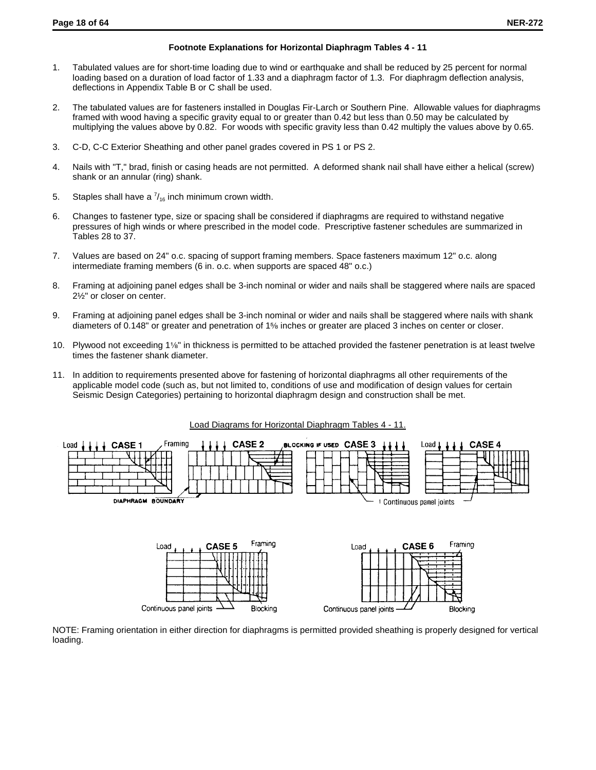#### **Footnote Explanations for Horizontal Diaphragm Tables 4 - 11**

- 1. Tabulated values are for short-time loading due to wind or earthquake and shall be reduced by 25 percent for normal loading based on a duration of load factor of 1.33 and a diaphragm factor of 1.3. For diaphragm deflection analysis, deflections in Appendix Table B or C shall be used.
- 2. The tabulated values are for fasteners installed in Douglas Fir-Larch or Southern Pine. Allowable values for diaphragms framed with wood having a specific gravity equal to or greater than 0.42 but less than 0.50 may be calculated by multiplying the values above by 0.82. For woods with specific gravity less than 0.42 multiply the values above by 0.65.
- 3. C-D, C-C Exterior Sheathing and other panel grades covered in PS 1 or PS 2.
- 4. Nails with "T," brad, finish or casing heads are not permitted. A deformed shank nail shall have either a helical (screw) shank or an annular (ring) shank.
- 5. Staples shall have a  $\frac{7}{16}$  inch minimum crown width.

Continuous panel joints

- 6. Changes to fastener type, size or spacing shall be considered if diaphragms are required to withstand negative pressures of high winds or where prescribed in the model code. Prescriptive fastener schedules are summarized in Tables 28 to 37.
- 7. Values are based on 24" o.c. spacing of support framing members. Space fasteners maximum 12" o.c. along intermediate framing members (6 in. o.c. when supports are spaced 48" o.c.)
- 8. Framing at adjoining panel edges shall be 3-inch nominal or wider and nails shall be staggered where nails are spaced 2½" or closer on center.
- 9. Framing at adjoining panel edges shall be 3-inch nominal or wider and nails shall be staggered where nails with shank diameters of 0.148" or greater and penetration of 1% inches or greater are placed 3 inches on center or closer.
- 10. Plywood not exceeding 1<sup>1/8"</sup> in thickness is permitted to be attached provided the fastener penetration is at least twelve times the fastener shank diameter.
- 11. In addition to requirements presented above for fastening of horizontal diaphragms all other requirements of the applicable model code (such as, but not limited to, conditions of use and modification of design values for certain Seismic Design Categories) pertaining to horizontal diaphragm design and construction shall be met.



NOTE: Framing orientation in either direction for diaphragms is permitted provided sheathing is properly designed for vertical loading.

Continuous panel joints

Blocking

Blocking

#### Load Diagrams for Horizontal Diaphragm Tables 4 - 11.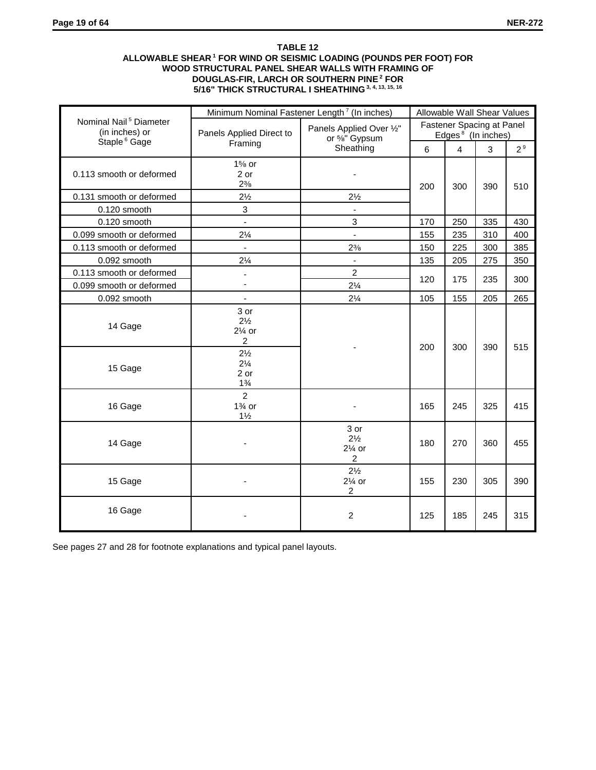## **TABLE 12 ALLOWABLE SHEAR 1 FOR WIND OR SEISMIC LOADING (POUNDS PER FOOT) FOR WOOD STRUCTURAL PANEL SHEAR WALLS WITH FRAMING OF DOUGLAS-FIR, LARCH OR SOUTHERN PINE 2 FOR 5/16" THICK STRUCTURAL I SHEATHING 3, 4, 13, 15, 16**

|                                                      | Minimum Nominal Fastener Length <sup>7</sup> (In inches)   |                                          | Allowable Wall Shear Values                                                                                                                     |                |                                                                                       |                |
|------------------------------------------------------|------------------------------------------------------------|------------------------------------------|-------------------------------------------------------------------------------------------------------------------------------------------------|----------------|---------------------------------------------------------------------------------------|----------------|
| Nominal Nail <sup>5</sup> Diameter<br>(in inches) or | Panels Applied Direct to                                   | Panels Applied Over 1/2"<br>or %" Gypsum |                                                                                                                                                 |                |                                                                                       |                |
| Staple <sup>6</sup> Gage                             | Framing                                                    | Sheathing                                | 6                                                                                                                                               | $\overline{4}$ | 3<br>390<br>335<br>310<br>300<br>275<br>235<br>205<br>390<br>325<br>360<br>305<br>245 | 2 <sup>9</sup> |
| 0.113 smooth or deformed                             | $1\%$ or<br>2 or<br>$2\frac{3}{8}$                         |                                          |                                                                                                                                                 |                |                                                                                       | 510            |
| 0.131 smooth or deformed                             | $2\frac{1}{2}$                                             | $2\frac{1}{2}$                           |                                                                                                                                                 |                |                                                                                       |                |
| 0.120 smooth                                         | 3                                                          | $\blacksquare$                           |                                                                                                                                                 |                |                                                                                       |                |
| 0.120 smooth                                         | $\blacksquare$                                             | 3                                        | 170                                                                                                                                             | 250            |                                                                                       | 430            |
| 0.099 smooth or deformed                             | $2\frac{1}{4}$                                             | $\overline{a}$                           | 155                                                                                                                                             | 235            |                                                                                       | 400            |
| 0.113 smooth or deformed                             | $\mathbf{r}$                                               | $2\frac{3}{8}$                           | 150                                                                                                                                             | 225            |                                                                                       | 385            |
| 0.092 smooth                                         | $2\frac{1}{4}$                                             | $\blacksquare$                           | 135                                                                                                                                             | 205            |                                                                                       | 350            |
| 0.113 smooth or deformed                             | ÷                                                          | $\overline{2}$                           |                                                                                                                                                 |                |                                                                                       | 300            |
| 0.099 smooth or deformed                             | $\overline{\phantom{a}}$                                   | $2\frac{1}{4}$                           |                                                                                                                                                 |                |                                                                                       |                |
| 0.092 smooth                                         | $\blacksquare$                                             | $2\frac{1}{4}$                           | 105                                                                                                                                             | 155            |                                                                                       | 265            |
| 14 Gage                                              | 3 or<br>$2\frac{1}{2}$<br>$2\%$ or<br>$\overline{c}$       |                                          | 200                                                                                                                                             | 300            |                                                                                       | 515            |
| 15 Gage                                              | $2\frac{1}{2}$<br>$2\frac{1}{4}$<br>2 or<br>$1\frac{3}{4}$ |                                          | Fastener Spacing at Panel<br>Edges <sup>8</sup> (In inches)<br>200<br>300<br>120<br>175<br>165<br>245<br>180<br>270<br>155<br>230<br>185<br>125 |                |                                                                                       |                |
| 16 Gage                                              | $\overline{2}$<br>$1\%$ or<br>$1\frac{1}{2}$               |                                          |                                                                                                                                                 |                |                                                                                       | 415            |
| 14 Gage                                              |                                                            | 3 or<br>$2\frac{1}{2}$<br>$2\%$ or<br>2  |                                                                                                                                                 |                |                                                                                       | 455            |
| 15 Gage                                              |                                                            | $2\frac{1}{2}$<br>$2\%$ or<br>2          |                                                                                                                                                 |                |                                                                                       | 390            |
| 16 Gage                                              |                                                            | $\overline{2}$                           |                                                                                                                                                 |                |                                                                                       | 315            |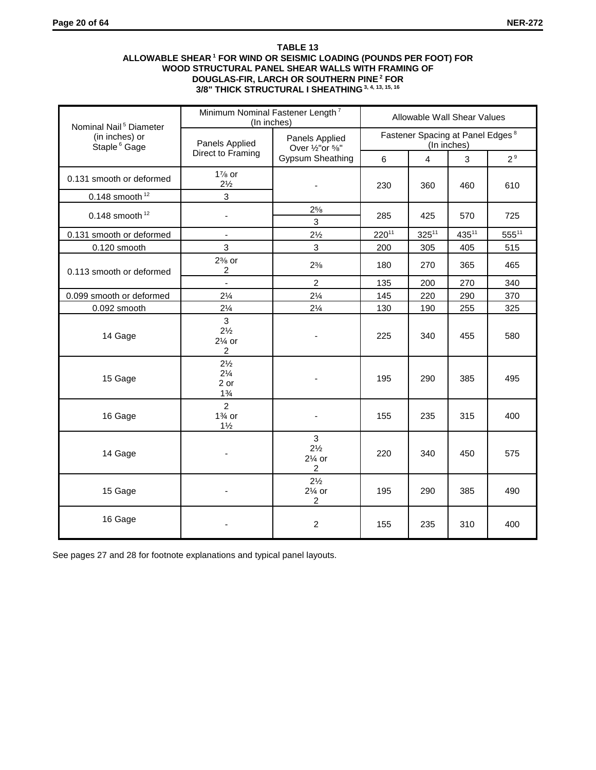## **TABLE 13 ALLOWABLE SHEAR 1 FOR WIND OR SEISMIC LOADING (POUNDS PER FOOT) FOR WOOD STRUCTURAL PANEL SHEAR WALLS WITH FRAMING OF DOUGLAS-FIR, LARCH OR SOUTHERN PINE 2 FOR 3/8" THICK STRUCTURAL I SHEATHING 3, 4, 13, 15, 16**

| Nominal Nail <sup>5</sup> Diameter         | Minimum Nominal Fastener Length <sup>7</sup><br>(In inches)    | Allowable Wall Shear Values                                      |                                                             |            |                                                                                                       |                |  |
|--------------------------------------------|----------------------------------------------------------------|------------------------------------------------------------------|-------------------------------------------------------------|------------|-------------------------------------------------------------------------------------------------------|----------------|--|
| (in inches) or<br>Staple <sup>6</sup> Gage | Panels Applied                                                 | Panels Applied<br>Over $\frac{1}{2}$ "or $\frac{5}{8}$ "         | Fastener Spacing at Panel Edges <sup>8</sup><br>(In inches) |            |                                                                                                       |                |  |
|                                            | Direct to Framing                                              | <b>Gypsum Sheathing</b>                                          | 6                                                           | 4          | 3<br>460<br>570<br>43511<br>405<br>365<br>270<br>290<br>255<br>455<br>385<br>315<br>450<br>385<br>310 | 2 <sup>9</sup> |  |
| 0.131 smooth or deformed                   | $1\%$ or<br>$2\frac{1}{2}$                                     |                                                                  | 230                                                         | 360        |                                                                                                       | 610            |  |
| 0.148 smooth $12$                          | 3                                                              |                                                                  |                                                             |            |                                                                                                       |                |  |
| 0.148 smooth $12$                          | $\overline{\phantom{a}}$                                       | $2^{5/8}$<br>3                                                   | 285                                                         | 425        |                                                                                                       | 725            |  |
| 0.131 smooth or deformed                   | $\blacksquare$                                                 | $2\frac{1}{2}$                                                   | $220^{11}$                                                  | $325^{11}$ |                                                                                                       | $555^{11}$     |  |
| 0.120 smooth                               | 3                                                              | 3                                                                | 200                                                         | 305        |                                                                                                       | 515            |  |
| 0.113 smooth or deformed                   | $2\%$ or<br>$\overline{\mathbf{c}}$                            | $2\frac{3}{8}$                                                   | 180                                                         | 270        |                                                                                                       | 465            |  |
|                                            | $\frac{1}{2}$                                                  | $\overline{2}$                                                   | 135                                                         | 200        |                                                                                                       | 340            |  |
| 0.099 smooth or deformed                   | $2\frac{1}{4}$                                                 | $2\frac{1}{4}$                                                   | 145                                                         | 220        |                                                                                                       | 370            |  |
| 0.092 smooth                               | $2\frac{1}{4}$                                                 | $2\frac{1}{4}$                                                   | 130                                                         | 190        |                                                                                                       | 325            |  |
| 14 Gage                                    | $\overline{3}$<br>$2\frac{1}{2}$<br>$2\%$ or<br>$\overline{c}$ |                                                                  | 225                                                         | 340        |                                                                                                       | 580            |  |
| 15 Gage                                    | $2\frac{1}{2}$<br>$2\frac{1}{4}$<br>2 or<br>$1\frac{3}{4}$     |                                                                  | 195                                                         | 290        |                                                                                                       | 495            |  |
| 16 Gage                                    | $\overline{2}$<br>$1\%$ or<br>$1\frac{1}{2}$                   |                                                                  | 155                                                         | 235        |                                                                                                       | 400            |  |
| 14 Gage                                    |                                                                | $\mathfrak{S}$<br>$2\frac{1}{2}$<br>$2\%$ or<br>$\boldsymbol{2}$ | 220                                                         | 340        |                                                                                                       | 575            |  |
| 15 Gage                                    |                                                                | $2\frac{1}{2}$<br>$2\%$ or<br>2                                  | 195                                                         | 290        |                                                                                                       | 490            |  |
| 16 Gage                                    |                                                                | $\overline{c}$                                                   | 155                                                         | 235        |                                                                                                       | 400            |  |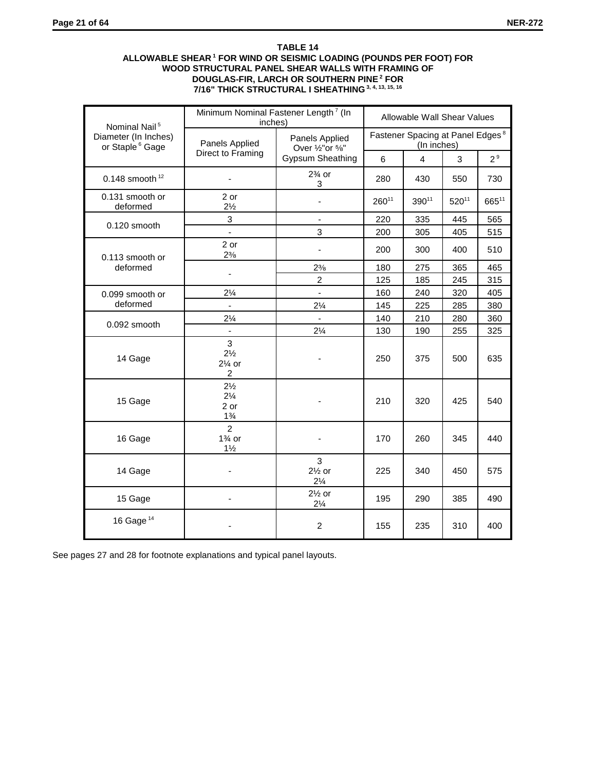## **TABLE 14 ALLOWABLE SHEAR 1 FOR WIND OR SEISMIC LOADING (POUNDS PER FOOT) FOR WOOD STRUCTURAL PANEL SHEAR WALLS WITH FRAMING OF DOUGLAS-FIR, LARCH OR SOUTHERN PINE 2 FOR 7/16" THICK STRUCTURAL I SHEATHING 3, 4, 13, 15, 16**

| Nominal Nail <sup>5</sup>                           | Minimum Nominal Fastener Length <sup>7</sup> (In<br>inches) |                                          | Allowable Wall Shear Values                                 |                |                                                                                                                          |                |
|-----------------------------------------------------|-------------------------------------------------------------|------------------------------------------|-------------------------------------------------------------|----------------|--------------------------------------------------------------------------------------------------------------------------|----------------|
| Diameter (In Inches)<br>or Staple <sup>6</sup> Gage | Panels Applied                                              | Panels Applied<br>Over 1/2" or 5/8"      | Fastener Spacing at Panel Edges <sup>8</sup><br>(In inches) |                |                                                                                                                          |                |
|                                                     | Direct to Framing                                           | <b>Gypsum Sheathing</b>                  | 6                                                           | $\overline{4}$ | 3<br>550<br>$520^{11}$<br>445<br>405<br>400<br>365<br>245<br>320<br>285<br>280<br>255<br>500<br>425<br>345<br>450<br>385 | 2 <sup>9</sup> |
| 0.148 smooth $12$                                   |                                                             | $2\%$ or<br>3                            | 280                                                         | 430            |                                                                                                                          | 730            |
| 0.131 smooth or<br>deformed                         | 2 or<br>$2\frac{1}{2}$                                      | $\overline{\phantom{a}}$                 | $260^{11}$                                                  | 39011          |                                                                                                                          | 66511          |
| 0.120 smooth                                        | 3                                                           | $\blacksquare$                           | 220                                                         | 335            |                                                                                                                          | 565            |
|                                                     | $\overline{a}$                                              | 3                                        | 200                                                         | 305            |                                                                                                                          | 515            |
| 0.113 smooth or                                     | 2 or<br>$2\frac{3}{8}$                                      | ä,                                       | 200                                                         | 300            |                                                                                                                          | 510            |
| deformed                                            | ä,                                                          | $2\frac{3}{8}$                           | 180                                                         | 275            |                                                                                                                          | 465            |
|                                                     |                                                             | $\overline{2}$                           | 125                                                         | 185            |                                                                                                                          | 315            |
| 0.099 smooth or                                     | $2\frac{1}{4}$                                              | $\blacksquare$                           | 160                                                         | 240            |                                                                                                                          | 405            |
| deformed                                            | $\Box$                                                      | $2\frac{1}{4}$                           | 145                                                         | 225            |                                                                                                                          | 380            |
| 0.092 smooth                                        | $2\frac{1}{4}$                                              | ÷.                                       | 140                                                         | 210            |                                                                                                                          | 360            |
|                                                     | $\overline{\phantom{a}}$                                    | $2\frac{1}{4}$                           | 130                                                         | 190            |                                                                                                                          | 325            |
| 14 Gage                                             | 3<br>$2\frac{1}{2}$<br>$2\%$ or<br>$\overline{c}$           |                                          | 250                                                         | 375            |                                                                                                                          | 635            |
| 15 Gage                                             | $2\frac{1}{2}$<br>$2\frac{1}{4}$<br>2 or<br>$1\frac{3}{4}$  |                                          | 210                                                         | 320            |                                                                                                                          | 540            |
| 16 Gage                                             | $\overline{2}$<br>$1\%$ or<br>$1\frac{1}{2}$                |                                          | 170                                                         | 260            |                                                                                                                          | 440            |
| 14 Gage                                             |                                                             | 3<br>$2\frac{1}{2}$ or<br>$2\frac{1}{4}$ | 225                                                         | 340            |                                                                                                                          | 575            |
| 15 Gage                                             |                                                             | $2\frac{1}{2}$ or<br>$2\frac{1}{4}$      | 195                                                         | 290            |                                                                                                                          | 490            |
| 16 Gage $14$                                        |                                                             | $\overline{2}$                           | 155                                                         | 235            | 310                                                                                                                      | 400            |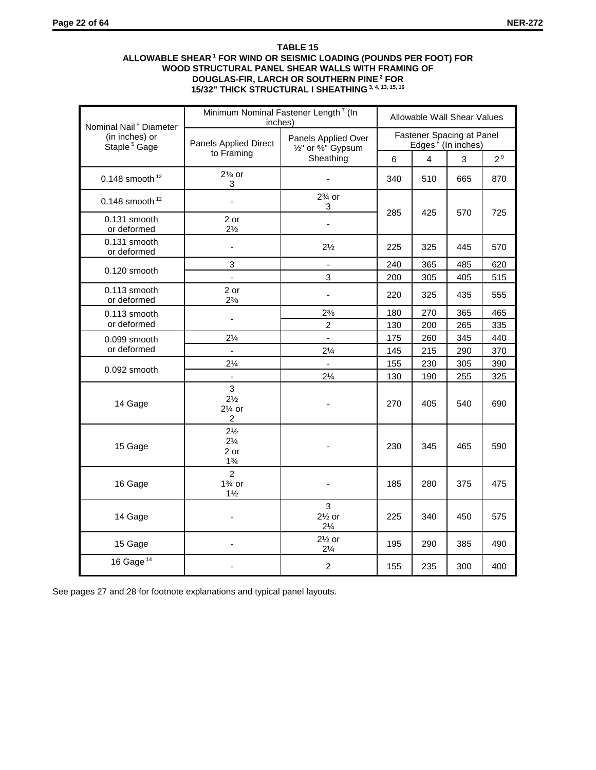## **TABLE 15 ALLOWABLE SHEAR 1 FOR WIND OR SEISMIC LOADING (POUNDS PER FOOT) FOR WOOD STRUCTURAL PANEL SHEAR WALLS WITH FRAMING OF DOUGLAS-FIR, LARCH OR SOUTHERN PINE 2 FOR 15/32" THICK STRUCTURAL I SHEATHING 3, 4, 13, 15, 16**

| Nominal Nail <sup>5</sup> Diameter         | Minimum Nominal Fastener Length <sup>7</sup> (In<br>inches) | Allowable Wall Shear Values                                                      |                                                                                                                                                                                                                                                                                                                                       |     |                |     |  |
|--------------------------------------------|-------------------------------------------------------------|----------------------------------------------------------------------------------|---------------------------------------------------------------------------------------------------------------------------------------------------------------------------------------------------------------------------------------------------------------------------------------------------------------------------------------|-----|----------------|-----|--|
| (in inches) or<br>Staple <sup>5</sup> Gage | Panels Applied Direct                                       | Panels Applied Over<br>1/ <sub>2</sub> " or <sup>5</sup> / <sub>8</sub> " Gypsum | Fastener Spacing at Panel<br>Edges <sup>8</sup> (In inches)                                                                                                                                                                                                                                                                           |     |                |     |  |
|                                            | to Framing                                                  | Sheathing                                                                        | $\overline{4}$<br>3<br>6<br>510<br>340<br>665<br>285<br>425<br>570<br>225<br>325<br>445<br>240<br>365<br>485<br>200<br>305<br>405<br>220<br>325<br>435<br>270<br>180<br>365<br>130<br>200<br>265<br>175<br>260<br>345<br>145<br>215<br>290<br>155<br>230<br>305<br>130<br>255<br>190<br>270<br>405<br>230<br>345<br>465<br>185<br>280 |     | 2 <sup>9</sup> |     |  |
| 0.148 smooth $12$                          | $2\frac{1}{8}$ or<br>3                                      |                                                                                  |                                                                                                                                                                                                                                                                                                                                       |     |                | 870 |  |
| 0.148 smooth $12$                          | $\blacksquare$                                              | $2\%$ or<br>3                                                                    |                                                                                                                                                                                                                                                                                                                                       |     |                |     |  |
| 0.131 smooth<br>or deformed                | 2 or<br>$2\frac{1}{2}$                                      | ä,                                                                               |                                                                                                                                                                                                                                                                                                                                       |     |                | 725 |  |
| 0.131 smooth<br>or deformed                | $\blacksquare$                                              | $2\frac{1}{2}$                                                                   |                                                                                                                                                                                                                                                                                                                                       |     |                | 570 |  |
| 0.120 smooth                               | 3                                                           | ä,                                                                               |                                                                                                                                                                                                                                                                                                                                       |     |                | 620 |  |
|                                            |                                                             | 3                                                                                |                                                                                                                                                                                                                                                                                                                                       |     |                | 515 |  |
| 0.113 smooth<br>or deformed                | 2 or<br>$2\frac{3}{8}$                                      | $\blacksquare$                                                                   |                                                                                                                                                                                                                                                                                                                                       |     |                | 555 |  |
| 0.113 smooth                               | L,                                                          | $2\frac{3}{8}$                                                                   |                                                                                                                                                                                                                                                                                                                                       |     |                | 465 |  |
| or deformed                                |                                                             | $\overline{2}$                                                                   |                                                                                                                                                                                                                                                                                                                                       |     |                | 335 |  |
| 0.099 smooth                               | $2\frac{1}{4}$                                              | ä,                                                                               |                                                                                                                                                                                                                                                                                                                                       |     |                | 440 |  |
| or deformed                                |                                                             | $2\frac{1}{4}$                                                                   |                                                                                                                                                                                                                                                                                                                                       |     |                | 370 |  |
| 0.092 smooth                               | $2\frac{1}{4}$                                              | ÷.                                                                               |                                                                                                                                                                                                                                                                                                                                       |     |                | 390 |  |
|                                            | ä,                                                          | $2\frac{1}{4}$                                                                   |                                                                                                                                                                                                                                                                                                                                       |     |                | 325 |  |
| 14 Gage                                    | 3<br>$2\frac{1}{2}$<br>$2\%$ or<br>$\overline{c}$           |                                                                                  |                                                                                                                                                                                                                                                                                                                                       |     | 540            | 690 |  |
| 15 Gage                                    | $2\frac{1}{2}$<br>$2\frac{1}{4}$<br>2 or<br>$1\frac{3}{4}$  |                                                                                  |                                                                                                                                                                                                                                                                                                                                       |     |                | 590 |  |
| 16 Gage                                    | $\overline{2}$<br>$1\%$ or<br>$1\frac{1}{2}$                |                                                                                  |                                                                                                                                                                                                                                                                                                                                       |     | 375            | 475 |  |
| 14 Gage                                    |                                                             | 3<br>$2\frac{1}{2}$ or<br>$2\frac{1}{4}$                                         | 225                                                                                                                                                                                                                                                                                                                                   | 340 | 450            | 575 |  |
| 15 Gage                                    |                                                             | $2\frac{1}{2}$ or<br>$2\frac{1}{4}$                                              | 195                                                                                                                                                                                                                                                                                                                                   | 290 | 385            | 490 |  |
| 16 Gage <sup>14</sup>                      |                                                             | $\overline{c}$                                                                   | 155                                                                                                                                                                                                                                                                                                                                   | 235 | 300            | 400 |  |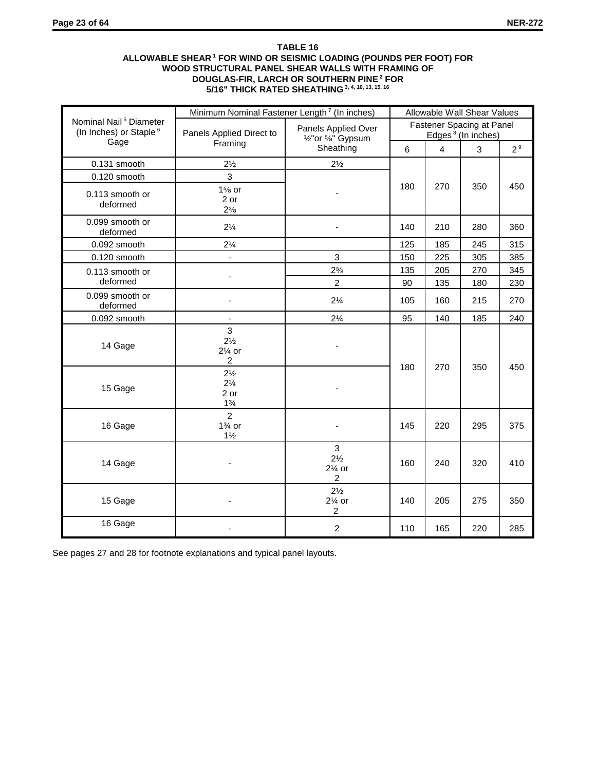## **TABLE 16 ALLOWABLE SHEAR 1 FOR WIND OR SEISMIC LOADING (POUNDS PER FOOT) FOR WOOD STRUCTURAL PANEL SHEAR WALLS WITH FRAMING OF DOUGLAS-FIR, LARCH OR SOUTHERN PINE 2 FOR 5/16" THICK RATED SHEATHING 3, 4, 10, 13, 15, 16**

|                                                                          | Minimum Nominal Fastener Length <sup>7</sup> (In inches)   |                                                                                  | Allowable Wall Shear Values                                 |                                                                                                           |                |                |  |
|--------------------------------------------------------------------------|------------------------------------------------------------|----------------------------------------------------------------------------------|-------------------------------------------------------------|-----------------------------------------------------------------------------------------------------------|----------------|----------------|--|
| Nominal Nail <sup>5</sup> Diameter<br>(In Inches) or Staple <sup>6</sup> | Panels Applied Direct to                                   | Panels Applied Over<br>1/ <sub>2</sub> " or <sup>5</sup> / <sub>8</sub> " Gypsum | Fastener Spacing at Panel<br>Edges <sup>8</sup> (In inches) |                                                                                                           |                |                |  |
| Gage                                                                     | Framing                                                    | Sheathing                                                                        | $6\phantom{1}$                                              | $\overline{4}$<br>270<br>210<br>185<br>225<br>205<br>135<br>160<br>140<br>180<br>270<br>220<br>240<br>205 | $\overline{3}$ | 2 <sup>9</sup> |  |
| 0.131 smooth                                                             | $2\frac{1}{2}$                                             | $2\frac{1}{2}$                                                                   |                                                             |                                                                                                           |                |                |  |
| 0.120 smooth                                                             | 3                                                          |                                                                                  |                                                             |                                                                                                           |                |                |  |
| 0.113 smooth or<br>deformed                                              | $1\%$ or<br>2 or<br>$2\frac{3}{8}$                         |                                                                                  | 180                                                         |                                                                                                           | 350            | 450            |  |
| 0.099 smooth or<br>deformed                                              | $2\frac{1}{4}$                                             |                                                                                  | 140                                                         |                                                                                                           | 280            | 360            |  |
| 0.092 smooth                                                             | $2\frac{1}{4}$                                             |                                                                                  | 125                                                         |                                                                                                           | 245            | 315            |  |
| 0.120 smooth                                                             | $\blacksquare$                                             | $\mathfrak{S}$                                                                   | 150                                                         |                                                                                                           | 305            | 385            |  |
| 0.113 smooth or                                                          | ä,                                                         | $2\frac{3}{8}$                                                                   | 135                                                         |                                                                                                           | 270            | 345            |  |
| deformed                                                                 |                                                            | $\overline{2}$                                                                   | 90                                                          |                                                                                                           | 180            | 230            |  |
| 0.099 smooth or<br>deformed                                              |                                                            | $2\frac{1}{4}$                                                                   | 105                                                         |                                                                                                           | 215            | 270            |  |
| 0.092 smooth                                                             |                                                            | $2\frac{1}{4}$                                                                   | 95                                                          |                                                                                                           | 185            | 240            |  |
| 14 Gage                                                                  | 3<br>$2\frac{1}{2}$<br>$2\%$ or<br>2                       |                                                                                  |                                                             |                                                                                                           | 350            |                |  |
| 15 Gage                                                                  | $2\frac{1}{2}$<br>$2\frac{1}{4}$<br>2 or<br>$1\frac{3}{4}$ |                                                                                  |                                                             |                                                                                                           |                | 450            |  |
| 16 Gage                                                                  | $\overline{2}$<br>$1\%$ or<br>$1\frac{1}{2}$               |                                                                                  | 145                                                         |                                                                                                           | 295            | 375            |  |
| 14 Gage                                                                  |                                                            | 3<br>$2\frac{1}{2}$<br>$2\%$ or<br>$\overline{c}$                                | 160                                                         |                                                                                                           | 320            | 410            |  |
| 15 Gage                                                                  |                                                            | $2\frac{1}{2}$<br>$2\%$ or<br>2                                                  | 140                                                         |                                                                                                           | 275            | 350            |  |
| 16 Gage                                                                  |                                                            | $\overline{2}$                                                                   | 110                                                         | 165                                                                                                       | 220            | 285            |  |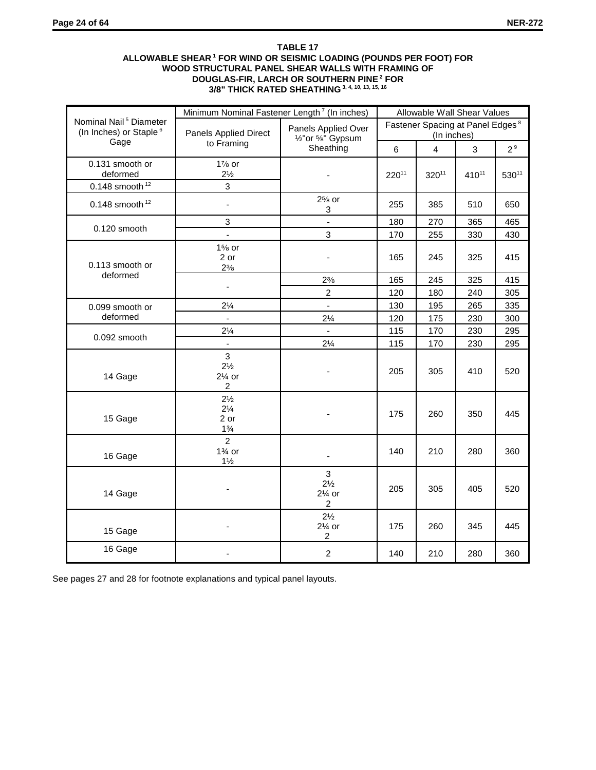## **TABLE 17 ALLOWABLE SHEAR 1 FOR WIND OR SEISMIC LOADING (POUNDS PER FOOT) FOR WOOD STRUCTURAL PANEL SHEAR WALLS WITH FRAMING OF DOUGLAS-FIR, LARCH OR SOUTHERN PINE 2 FOR 3/8" THICK RATED SHEATHING 3, 4, 10, 13, 15, 16**

|                                                                          | Minimum Nominal Fastener Length <sup>7</sup> (In inches)   |                                                                                  |                                                                                                                                                                                                                | Allowable Wall Shear Values |            |                |
|--------------------------------------------------------------------------|------------------------------------------------------------|----------------------------------------------------------------------------------|----------------------------------------------------------------------------------------------------------------------------------------------------------------------------------------------------------------|-----------------------------|------------|----------------|
| Nominal Nail <sup>5</sup> Diameter<br>(In Inches) or Staple <sup>6</sup> | <b>Panels Applied Direct</b>                               | Panels Applied Over<br>1/ <sub>2</sub> " or <sup>5</sup> / <sub>8</sub> " Gypsum |                                                                                                                                                                                                                |                             |            |                |
| Gage                                                                     | to Framing                                                 | Sheathing                                                                        | 6                                                                                                                                                                                                              | $\overline{4}$              | 3          | 2 <sup>9</sup> |
| 0.131 smooth or<br>deformed                                              | $1\%$ or<br>$2\frac{1}{2}$<br>3                            |                                                                                  | $220^{11}$                                                                                                                                                                                                     | 32011                       | $410^{11}$ | $530^{11}$     |
| 0.148 smooth $12$                                                        |                                                            |                                                                                  |                                                                                                                                                                                                                |                             |            |                |
| 0.148 smooth $12$                                                        | $\blacksquare$                                             | $2\%$ or<br>3                                                                    | 255                                                                                                                                                                                                            | 385                         | 510        | 650            |
| 0.120 smooth                                                             | 3                                                          | $\overline{a}$                                                                   | 180                                                                                                                                                                                                            | 270                         | 365        | 465            |
|                                                                          | $\mathbf{r}$                                               | 3                                                                                | 170                                                                                                                                                                                                            | 255                         | 330        | 430            |
| 0.113 smooth or<br>deformed                                              | $1\%$ or<br>2 or<br>$2\frac{3}{8}$                         |                                                                                  | 165                                                                                                                                                                                                            | 245                         | 325        | 415            |
|                                                                          |                                                            | $2\frac{3}{8}$                                                                   | 165                                                                                                                                                                                                            | 245                         | 325        | 415            |
|                                                                          | $\blacksquare$                                             | $\overline{2}$                                                                   | 120                                                                                                                                                                                                            | 180                         | 240        | 305            |
| 0.099 smooth or                                                          | $2\frac{1}{4}$                                             | $\blacksquare$                                                                   | 130                                                                                                                                                                                                            | 195                         | 265        | 335            |
| deformed                                                                 | $\mathcal{L}^{\mathcal{A}}$                                | $2\frac{1}{4}$                                                                   | 120                                                                                                                                                                                                            | 175                         | 230        | 300            |
|                                                                          | $2\frac{1}{4}$                                             | ÷.                                                                               | 115                                                                                                                                                                                                            | 170                         | 230        | 295            |
| 0.092 smooth                                                             | $\omega$                                                   | $2\frac{1}{4}$                                                                   | Fastener Spacing at Panel Edges <sup>8</sup><br>(In inches)<br>115<br>170<br>230<br>205<br>305<br>410<br>175<br>260<br>350<br>140<br>210<br>280<br>205<br>305<br>405<br>175<br>260<br>345<br>140<br>210<br>280 | 295                         |            |                |
| 14 Gage                                                                  | 3<br>$2\frac{1}{2}$<br>$2\%$ or<br>$\overline{c}$          |                                                                                  |                                                                                                                                                                                                                |                             |            | 520            |
| 15 Gage                                                                  | $2\frac{1}{2}$<br>$2\frac{1}{4}$<br>2 or<br>$1\frac{3}{4}$ |                                                                                  |                                                                                                                                                                                                                |                             |            | 445            |
| 16 Gage                                                                  | $\overline{2}$<br>$1\%$ or<br>$1\frac{1}{2}$               | $\overline{a}$                                                                   |                                                                                                                                                                                                                |                             |            | 360            |
| 14 Gage                                                                  |                                                            | $\overline{3}$<br>$2\frac{1}{2}$<br>$2\%$ or<br>2                                |                                                                                                                                                                                                                |                             |            | 520            |
| 15 Gage                                                                  |                                                            | $2\frac{1}{2}$<br>$2\%$ or<br>$\overline{\mathbf{c}}$                            |                                                                                                                                                                                                                |                             |            | 445            |
| 16 Gage                                                                  |                                                            | $\overline{c}$                                                                   |                                                                                                                                                                                                                |                             |            | 360            |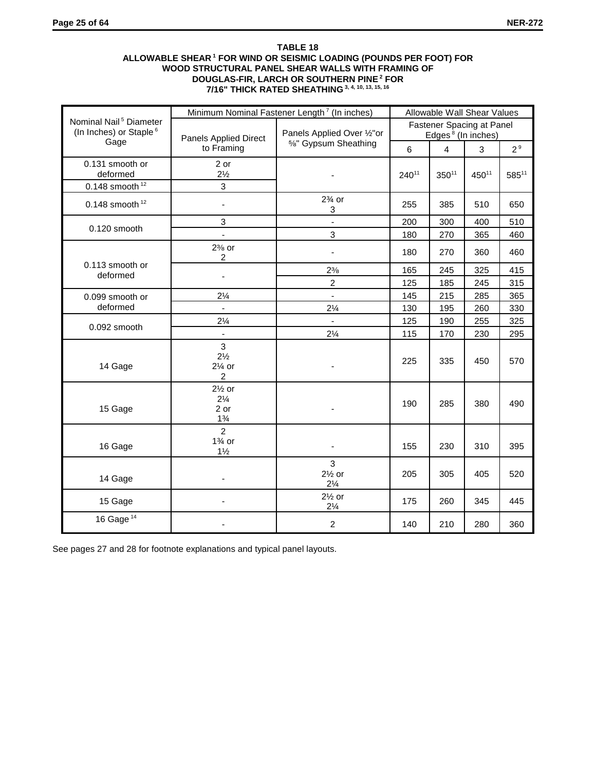## **TABLE 18 ALLOWABLE SHEAR 1 FOR WIND OR SEISMIC LOADING (POUNDS PER FOOT) FOR WOOD STRUCTURAL PANEL SHEAR WALLS WITH FRAMING OF DOUGLAS-FIR, LARCH OR SOUTHERN PINE 2 FOR 7/16" THICK RATED SHEATHING 3, 4, 10, 13, 15, 16**

|                                                                          |                                                               | Minimum Nominal Fastener Length <sup>7</sup> (In inches) | Allowable Wall Shear Values                                                                                                                                                                                                                         |     |                |            |  |
|--------------------------------------------------------------------------|---------------------------------------------------------------|----------------------------------------------------------|-----------------------------------------------------------------------------------------------------------------------------------------------------------------------------------------------------------------------------------------------------|-----|----------------|------------|--|
| Nominal Nail <sup>5</sup> Diameter<br>(In Inches) or Staple <sup>6</sup> | <b>Panels Applied Direct</b>                                  | Panels Applied Over 1/2" or                              | Fastener Spacing at Panel<br>Edges <sup>8</sup> (In inches)                                                                                                                                                                                         |     |                |            |  |
| Gage                                                                     | to Framing                                                    | 5%" Gypsum Sheathing                                     | $\overline{4}$<br>6<br>$240^{11}$<br>$350^{11}$<br>255<br>385<br>200<br>300<br>270<br>180<br>180<br>270<br>165<br>245<br>125<br>185<br>145<br>215<br>130<br>195<br>125<br>190<br>115<br>170<br>225<br>335<br>190<br>285<br>155<br>230<br>205<br>305 | 3   | 2 <sup>9</sup> |            |  |
| 0.131 smooth or<br>deformed                                              | 2 or<br>$2\frac{1}{2}$                                        |                                                          |                                                                                                                                                                                                                                                     |     | 45011          | $585^{11}$ |  |
| 0.148 smooth $12$                                                        | 3                                                             |                                                          |                                                                                                                                                                                                                                                     |     |                |            |  |
| 0.148 smooth $12$                                                        |                                                               | $2\%$ or<br>3                                            |                                                                                                                                                                                                                                                     |     | 510            | 650        |  |
| 0.120 smooth                                                             | 3                                                             | $\blacksquare$                                           |                                                                                                                                                                                                                                                     |     | 400            | 510        |  |
|                                                                          | $\blacksquare$                                                | 3                                                        |                                                                                                                                                                                                                                                     |     | 365            | 460        |  |
|                                                                          | $2\%$ or<br>$\overline{2}$                                    | $\overline{\phantom{a}}$                                 |                                                                                                                                                                                                                                                     |     | 360            | 460        |  |
| 0.113 smooth or                                                          |                                                               | $2\frac{3}{8}$                                           |                                                                                                                                                                                                                                                     |     | 325            | 415        |  |
| deformed                                                                 |                                                               | $\overline{2}$                                           |                                                                                                                                                                                                                                                     |     | 245            | 315        |  |
| 0.099 smooth or                                                          | $2\frac{1}{4}$                                                | $\blacksquare$                                           |                                                                                                                                                                                                                                                     |     | 285            | 365        |  |
| deformed                                                                 | $\blacksquare$                                                | $2\frac{1}{4}$                                           |                                                                                                                                                                                                                                                     |     | 260            | 330        |  |
| 0.092 smooth                                                             | $2\frac{1}{4}$                                                | $\blacksquare$                                           |                                                                                                                                                                                                                                                     |     | 255            | 325        |  |
|                                                                          |                                                               | $2\frac{1}{4}$                                           |                                                                                                                                                                                                                                                     |     | 230            | 295        |  |
| 14 Gage                                                                  | $\overline{3}$<br>$2\frac{1}{2}$<br>$2\%$ or<br>2             |                                                          |                                                                                                                                                                                                                                                     |     | 450            | 570        |  |
| 15 Gage                                                                  | $2\frac{1}{2}$ or<br>$2\frac{1}{4}$<br>2 or<br>$1\frac{3}{4}$ |                                                          |                                                                                                                                                                                                                                                     |     | 380            | 490        |  |
| 16 Gage                                                                  | $\overline{2}$<br>$1\%$ or<br>$1\frac{1}{2}$                  |                                                          |                                                                                                                                                                                                                                                     |     | 310            | 395        |  |
| 14 Gage                                                                  |                                                               | $\overline{3}$<br>$2\frac{1}{2}$ or<br>$2\frac{1}{4}$    |                                                                                                                                                                                                                                                     |     | 405            | 520        |  |
| 15 Gage                                                                  |                                                               | $2\frac{1}{2}$ or<br>$2\frac{1}{4}$                      | 175                                                                                                                                                                                                                                                 | 260 | 345            | 445        |  |
| 16 Gage <sup>14</sup>                                                    |                                                               | $\overline{c}$                                           | 140                                                                                                                                                                                                                                                 | 210 | 280            | 360        |  |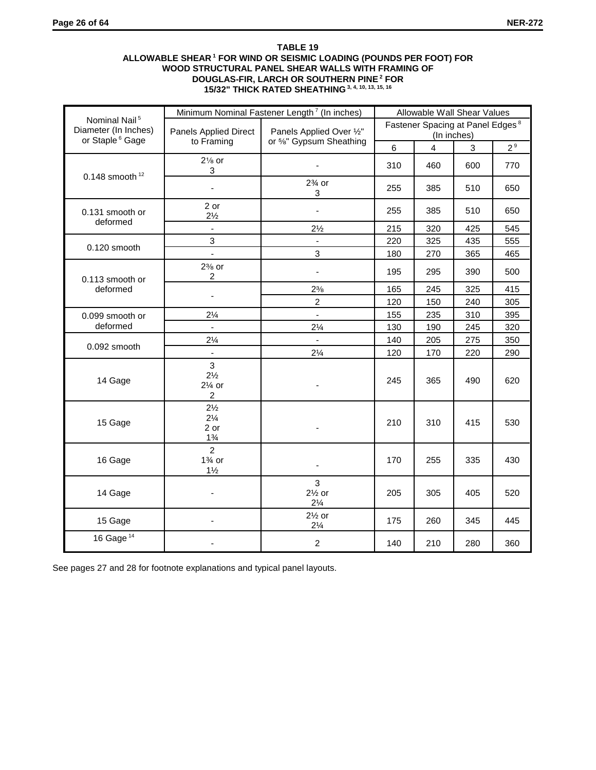## **TABLE 19 ALLOWABLE SHEAR 1 FOR WIND OR SEISMIC LOADING (POUNDS PER FOOT) FOR WOOD STRUCTURAL PANEL SHEAR WALLS WITH FRAMING OF DOUGLAS-FIR, LARCH OR SOUTHERN PINE 2 FOR 15/32" THICK RATED SHEATHING 3, 4, 10, 13, 15, 16**

|                                                                                  |                                                            |                                                                                                                                                                                                                                                                                                                                                                                                                                                                                                                                                                                                                                                                                                                                 | Allowable Wall Shear Values |                |     |                |
|----------------------------------------------------------------------------------|------------------------------------------------------------|---------------------------------------------------------------------------------------------------------------------------------------------------------------------------------------------------------------------------------------------------------------------------------------------------------------------------------------------------------------------------------------------------------------------------------------------------------------------------------------------------------------------------------------------------------------------------------------------------------------------------------------------------------------------------------------------------------------------------------|-----------------------------|----------------|-----|----------------|
| Nominal Nail <sup>5</sup><br>Diameter (In Inches)<br>or Staple <sup>6</sup> Gage | <b>Panels Applied Direct</b>                               | Panels Applied Over 1/2"                                                                                                                                                                                                                                                                                                                                                                                                                                                                                                                                                                                                                                                                                                        |                             |                |     |                |
|                                                                                  | to Framing                                                 |                                                                                                                                                                                                                                                                                                                                                                                                                                                                                                                                                                                                                                                                                                                                 | 6                           | $\overline{4}$ | 3   | 2 <sup>9</sup> |
|                                                                                  | $2\frac{1}{8}$ or<br>3                                     |                                                                                                                                                                                                                                                                                                                                                                                                                                                                                                                                                                                                                                                                                                                                 | 310                         | 460            | 600 | 770            |
| 0.148 smooth $12$                                                                |                                                            | Minimum Nominal Fastener Length <sup>7</sup> (In inches)<br>(In inches)<br>or %" Gypsum Sheathing<br>$2\frac{3}{4}$ or<br>255<br>385<br>510<br>3<br>255<br>385<br>510<br>$\overline{\phantom{a}}$<br>$2\frac{1}{2}$<br>215<br>425<br>320<br>220<br>325<br>435<br>÷,<br>3<br>365<br>180<br>270<br>195<br>295<br>390<br>÷,<br>$2\frac{3}{8}$<br>165<br>245<br>325<br>$\overline{2}$<br>120<br>150<br>240<br>$\mathbb{Z}^{\mathbb{Z}}$<br>155<br>235<br>310<br>$2\frac{1}{4}$<br>190<br>245<br>130<br>140<br>205<br>275<br>$\blacksquare$<br>$2\frac{1}{4}$<br>220<br>120<br>170<br>245<br>365<br>490<br>210<br>310<br>415<br>170<br>255<br>335<br>$\blacksquare$<br>3<br>$2\frac{1}{2}$ or<br>205<br>305<br>405<br>$2\frac{1}{4}$ | 650                         |                |     |                |
| 0.131 smooth or                                                                  | 2 or<br>$2\frac{1}{2}$                                     |                                                                                                                                                                                                                                                                                                                                                                                                                                                                                                                                                                                                                                                                                                                                 |                             |                |     | 650            |
| deformed                                                                         | ÷,                                                         |                                                                                                                                                                                                                                                                                                                                                                                                                                                                                                                                                                                                                                                                                                                                 |                             |                |     | 545            |
|                                                                                  | 3                                                          |                                                                                                                                                                                                                                                                                                                                                                                                                                                                                                                                                                                                                                                                                                                                 |                             |                |     | 555            |
| $0.120$ smooth                                                                   | L.                                                         |                                                                                                                                                                                                                                                                                                                                                                                                                                                                                                                                                                                                                                                                                                                                 |                             |                |     | 465            |
| 0.113 smooth or                                                                  | $2\%$ or<br>$\overline{c}$                                 |                                                                                                                                                                                                                                                                                                                                                                                                                                                                                                                                                                                                                                                                                                                                 |                             |                |     | 500            |
| deformed                                                                         |                                                            |                                                                                                                                                                                                                                                                                                                                                                                                                                                                                                                                                                                                                                                                                                                                 |                             |                |     | 415            |
|                                                                                  |                                                            | Fastener Spacing at Panel Edges <sup>8</sup><br>530<br>520<br>$2\frac{1}{2}$ or<br>175<br>260<br>345<br>$2\frac{1}{4}$<br>$\overline{c}$<br>280<br>140<br>210                                                                                                                                                                                                                                                                                                                                                                                                                                                                                                                                                                   | 305                         |                |     |                |
| 0.099 smooth or                                                                  | $2\frac{1}{4}$                                             |                                                                                                                                                                                                                                                                                                                                                                                                                                                                                                                                                                                                                                                                                                                                 |                             |                |     | 395            |
| deformed                                                                         | $\mathbf{r}$                                               |                                                                                                                                                                                                                                                                                                                                                                                                                                                                                                                                                                                                                                                                                                                                 |                             |                |     | 320            |
|                                                                                  | $2\frac{1}{4}$                                             |                                                                                                                                                                                                                                                                                                                                                                                                                                                                                                                                                                                                                                                                                                                                 |                             |                |     | 350            |
| 0.092 smooth                                                                     | $\blacksquare$                                             |                                                                                                                                                                                                                                                                                                                                                                                                                                                                                                                                                                                                                                                                                                                                 |                             |                |     | 290            |
| 14 Gage                                                                          | 3<br>$2\frac{1}{2}$<br>$2\%$ or<br>$\overline{c}$          |                                                                                                                                                                                                                                                                                                                                                                                                                                                                                                                                                                                                                                                                                                                                 |                             |                |     | 620            |
| 15 Gage                                                                          | $2\frac{1}{2}$<br>$2\frac{1}{4}$<br>2 or<br>$1\frac{3}{4}$ |                                                                                                                                                                                                                                                                                                                                                                                                                                                                                                                                                                                                                                                                                                                                 |                             |                |     |                |
| 16 Gage                                                                          | $\overline{2}$<br>$1\%$ or<br>$1\frac{1}{2}$               |                                                                                                                                                                                                                                                                                                                                                                                                                                                                                                                                                                                                                                                                                                                                 |                             |                |     | 430            |
| 14 Gage                                                                          |                                                            |                                                                                                                                                                                                                                                                                                                                                                                                                                                                                                                                                                                                                                                                                                                                 |                             |                |     |                |
| 15 Gage                                                                          |                                                            |                                                                                                                                                                                                                                                                                                                                                                                                                                                                                                                                                                                                                                                                                                                                 |                             |                |     | 445            |
| 16 Gage <sup>14</sup>                                                            |                                                            |                                                                                                                                                                                                                                                                                                                                                                                                                                                                                                                                                                                                                                                                                                                                 |                             |                |     | 360            |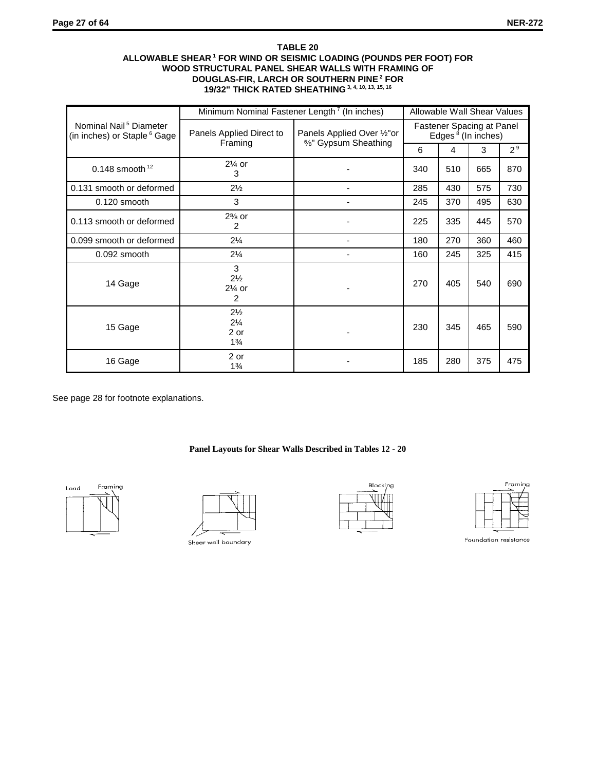## **TABLE 20 ALLOWABLE SHEAR 1 FOR WIND OR SEISMIC LOADING (POUNDS PER FOOT) FOR WOOD STRUCTURAL PANEL SHEAR WALLS WITH FRAMING OF DOUGLAS-FIR, LARCH OR SOUTHERN PINE 2 FOR 19/32" THICK RATED SHEATHING 3, 4, 10, 13, 15, 16**

|                                                                               | Minimum Nominal Fastener Length <sup>7</sup> (In inches)   |                                                     | Allowable Wall Shear Values                                 |     |                                                                  |                |
|-------------------------------------------------------------------------------|------------------------------------------------------------|-----------------------------------------------------|-------------------------------------------------------------|-----|------------------------------------------------------------------|----------------|
| Nominal Nail <sup>5</sup> Diameter<br>(in inches) or Staple <sup>6</sup> Gage | Panels Applied Direct to<br>Framing                        | Panels Applied Over 1/2" or<br>5%" Gypsum Sheathing | Fastener Spacing at Panel<br>Edges <sup>8</sup> (In inches) |     |                                                                  |                |
|                                                                               |                                                            |                                                     | 6                                                           | 4   | 3<br>665<br>575<br>495<br>445<br>360<br>325<br>540<br>465<br>375 | 2 <sup>9</sup> |
| $0.148$ smooth $12$                                                           | $2\frac{1}{4}$ or<br>3                                     |                                                     | 340                                                         | 510 |                                                                  | 870            |
| 0.131 smooth or deformed                                                      | $2\frac{1}{2}$                                             |                                                     | 285                                                         | 430 |                                                                  | 730            |
| 0.120 smooth                                                                  | 3                                                          |                                                     | 245                                                         | 370 |                                                                  | 630            |
| 0.113 smooth or deformed                                                      | $2\%$ or<br>2                                              |                                                     | 225                                                         | 335 |                                                                  | 570            |
| 0.099 smooth or deformed                                                      | $2\frac{1}{4}$                                             |                                                     | 180                                                         | 270 |                                                                  | 460            |
| 0.092 smooth                                                                  | $2\frac{1}{4}$                                             |                                                     | 160                                                         | 245 |                                                                  | 415            |
| 14 Gage                                                                       | 3<br>$2\frac{1}{2}$<br>$2\%$ or<br>$\overline{2}$          |                                                     | 270                                                         | 405 |                                                                  | 690            |
| 15 Gage                                                                       | $2\frac{1}{2}$<br>$2\frac{1}{4}$<br>2 or<br>$1\frac{3}{4}$ |                                                     | 230                                                         | 345 |                                                                  | 590            |
| 16 Gage                                                                       | 2 or<br>$1\frac{3}{4}$                                     |                                                     | 185                                                         | 280 |                                                                  | 475            |

See page 28 for footnote explanations.

# **Panel Layouts for Shear Walls Described in Tables 12 - 20**





Shear wall boundary





Foundation resistance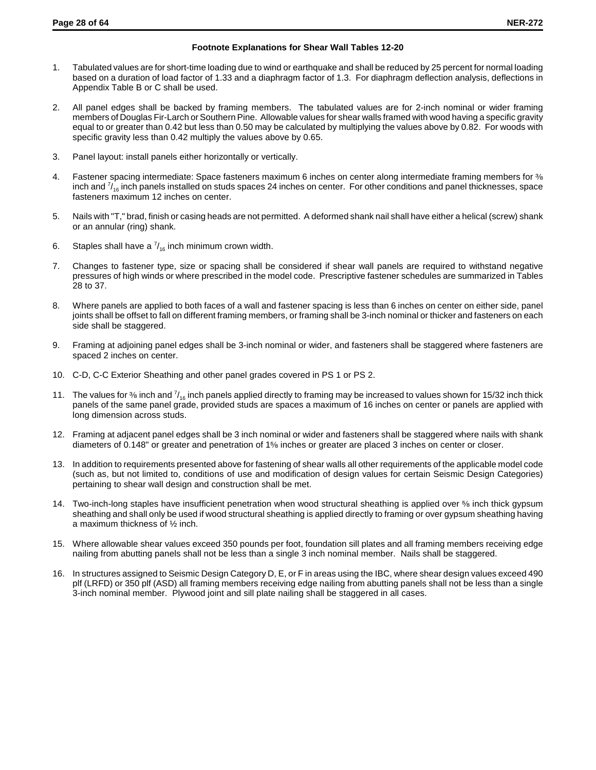#### **Footnote Explanations for Shear Wall Tables 12-20**

- 1. Tabulated values are for short-time loading due to wind or earthquake and shall be reduced by 25 percent for normal loading based on a duration of load factor of 1.33 and a diaphragm factor of 1.3. For diaphragm deflection analysis, deflections in Appendix Table B or C shall be used.
- 2. All panel edges shall be backed by framing members. The tabulated values are for 2-inch nominal or wider framing members of Douglas Fir-Larch or Southern Pine. Allowable values for shear walls framed with wood having a specific gravity equal to or greater than 0.42 but less than 0.50 may be calculated by multiplying the values above by 0.82. For woods with specific gravity less than 0.42 multiply the values above by 0.65.
- 3. Panel layout: install panels either horizontally or vertically.
- 4. Fastener spacing intermediate: Space fasteners maximum 6 inches on center along intermediate framing members for % inch and  $\frac{7}{16}$  inch panels installed on studs spaces 24 inches on center. For other conditions and panel thicknesses, space fasteners maximum 12 inches on center.
- 5. Nails with "T," brad, finish or casing heads are not permitted. A deformed shank nail shall have either a helical (screw) shank or an annular (ring) shank.
- 6. Staples shall have a  $\frac{7}{16}$  inch minimum crown width.
- 7. Changes to fastener type, size or spacing shall be considered if shear wall panels are required to withstand negative pressures of high winds or where prescribed in the model code. Prescriptive fastener schedules are summarized in Tables 28 to 37.
- 8. Where panels are applied to both faces of a wall and fastener spacing is less than 6 inches on center on either side, panel joints shall be offset to fall on different framing members, or framing shall be 3-inch nominal or thicker and fasteners on each side shall be staggered.
- 9. Framing at adjoining panel edges shall be 3-inch nominal or wider, and fasteners shall be staggered where fasteners are spaced 2 inches on center.
- 10. C-D, C-C Exterior Sheathing and other panel grades covered in PS 1 or PS 2.
- 11. The values for % inch and  $\frac{7}{16}$  inch panels applied directly to framing may be increased to values shown for 15/32 inch thick panels of the same panel grade, provided studs are spaces a maximum of 16 inches on center or panels are applied with long dimension across studs.
- 12. Framing at adjacent panel edges shall be 3 inch nominal or wider and fasteners shall be staggered where nails with shank diameters of 0.148" or greater and penetration of 1% inches or greater are placed 3 inches on center or closer.
- 13. In addition to requirements presented above for fastening of shear walls all other requirements of the applicable model code (such as, but not limited to, conditions of use and modification of design values for certain Seismic Design Categories) pertaining to shear wall design and construction shall be met.
- 14. Two-inch-long staples have insufficient penetration when wood structural sheathing is applied over <sup>5</sup>% inch thick gypsum sheathing and shall only be used if wood structural sheathing is applied directly to framing or over gypsum sheathing having a maximum thickness of ½ inch.
- 15. Where allowable shear values exceed 350 pounds per foot, foundation sill plates and all framing members receiving edge nailing from abutting panels shall not be less than a single 3 inch nominal member. Nails shall be staggered.
- 16. In structures assigned to Seismic Design Category D, E, or F in areas using the IBC, where shear design values exceed 490 plf (LRFD) or 350 plf (ASD) all framing members receiving edge nailing from abutting panels shall not be less than a single 3-inch nominal member. Plywood joint and sill plate nailing shall be staggered in all cases.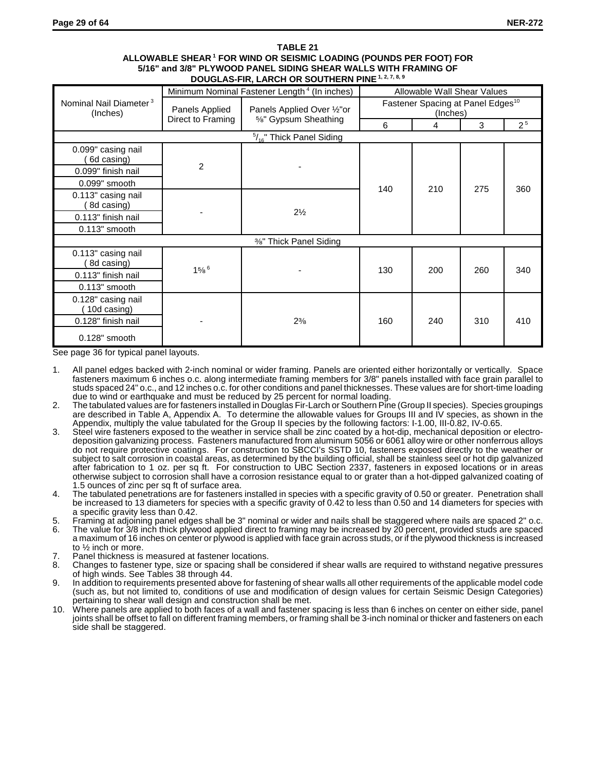#### **TABLE 21 ALLOWABLE SHEAR 1 FOR WIND OR SEISMIC LOADING (POUNDS PER FOOT) FOR 5/16" and 3/8" PLYWOOD PANEL SIDING SHEAR WALLS WITH FRAMING OF** DOUGLAS-FIR, LARCH OR SOUTHERN PINE<sup>1, 2, 7, 8, 9</sup>

|                                                |                     | Minimum Nominal Fastener Length <sup>4</sup> (In inches) | Allowable Wall Shear Values                               |     |     |                |  |
|------------------------------------------------|---------------------|----------------------------------------------------------|-----------------------------------------------------------|-----|-----|----------------|--|
| Nominal Nail Diameter <sup>3</sup><br>(Inches) | Panels Applied      | Panels Applied Over 1/2" or                              | Fastener Spacing at Panel Edges <sup>10</sup><br>(Inches) |     |     |                |  |
|                                                | Direct to Framing   | 5%" Gypsum Sheathing                                     | 6                                                         | 4   | 3   | 2 <sup>5</sup> |  |
|                                                |                     | $\frac{5}{16}$ " Thick Panel Siding                      |                                                           |     |     |                |  |
| 0.099" casing nail<br>(6d casing)              |                     |                                                          |                                                           |     | 275 |                |  |
| 0.099" finish nail                             | 2                   |                                                          | 140                                                       |     |     |                |  |
| 0.099" smooth                                  |                     |                                                          |                                                           |     |     | 360            |  |
| 0.113" casing nail<br>(8d casing)              |                     |                                                          |                                                           | 210 |     |                |  |
| 0.113" finish nail                             |                     | $2\frac{1}{2}$                                           |                                                           |     |     |                |  |
| 0.113" smooth                                  |                     |                                                          |                                                           |     |     |                |  |
|                                                |                     | %" Thick Panel Siding                                    |                                                           |     |     |                |  |
| 0.113" casing nail<br>8d casing)               |                     |                                                          |                                                           |     |     |                |  |
| 0.113" finish nail                             | $15/8$ <sup>6</sup> |                                                          | 130                                                       | 200 | 260 | 340            |  |
| $0.113"$ smooth                                |                     |                                                          |                                                           |     |     |                |  |
| 0.128" casing nail<br>10d casing)              |                     |                                                          |                                                           |     |     |                |  |
| 0.128" finish nail                             |                     | $2^{3/8}$                                                | 160                                                       | 240 | 310 | 410            |  |
| $0.128"$ smooth                                |                     |                                                          |                                                           |     |     |                |  |

See page 36 for typical panel layouts.

- 1. All panel edges backed with 2-inch nominal or wider framing. Panels are oriented either horizontally or vertically. Space fasteners maximum 6 inches o.c. along intermediate framing members for 3/8" panels installed with face grain parallel to studs spaced 24" o.c., and 12 inches o.c. for other conditions and panel thicknesses. These values are for short-time loading due to wind or earthquake and must be reduced by 25 percent for normal loading.
- 2. The tabulated values are for fasteners installed in Douglas Fir-Larch or Southern Pine (Group II species). Species groupings are described in Table A, Appendix A. To determine the allowable values for Groups III and IV species, as shown in the Appendix, multiply the value tabulated for the Group II species by the following factors: I-1.00, III-0.82, IV-0.65.
- 3. Steel wire fasteners exposed to the weather in service shall be zinc coated by a hot-dip, mechanical deposition or electrodeposition galvanizing process. Fasteners manufactured from aluminum 5056 or 6061 alloy wire or other nonferrous alloys do not require protective coatings. For construction to SBCCI's SSTD 10, fasteners exposed directly to the weather or subject to salt corrosion in coastal areas, as determined by the building official, shall be stainless seel or hot dip galvanized after fabrication to 1 oz. per sq ft. For construction to UBC Section 2337, fasteners in exposed locations or in areas otherwise subject to corrosion shall have a corrosion resistance equal to or grater than a hot-dipped galvanized coating of 1.5 ounces of zinc per sq ft of surface area.
- 4. The tabulated penetrations are for fasteners installed in species with a specific gravity of 0.50 or greater. Penetration shall be increased to 13 diameters for species with a specific gravity of 0.42 to less than 0.50 and 14 diameters for species with a specific gravity less than 0.42.
- 5. Framing at adjoining panel edges shall be 3" nominal or wider and nails shall be staggered where nails are spaced 2" o.c.
- 6. The value for 3/8 inch thick plywood applied direct to framing may be increased by 20 percent, provided studs are spaced a maximum of 16 inches on center or plywood is applied with face grain across studs, or if the plywood thickness is increased to ½ inch or more.
- 7. Panel thickness is measured at fastener locations.
- 8. Changes to fastener type, size or spacing shall be considered if shear walls are required to withstand negative pressures of high winds. See Tables 38 through 44.
- 9. In addition to requirements presented above for fastening of shear walls all other requirements of the applicable model code (such as, but not limited to, conditions of use and modification of design values for certain Seismic Design Categories) pertaining to shear wall design and construction shall be met.
- 10. Where panels are applied to both faces of a wall and fastener spacing is less than 6 inches on center on either side, panel joints shall be offset to fall on different framing members, or framing shall be 3-inch nominal or thicker and fasteners on each side shall be staggered.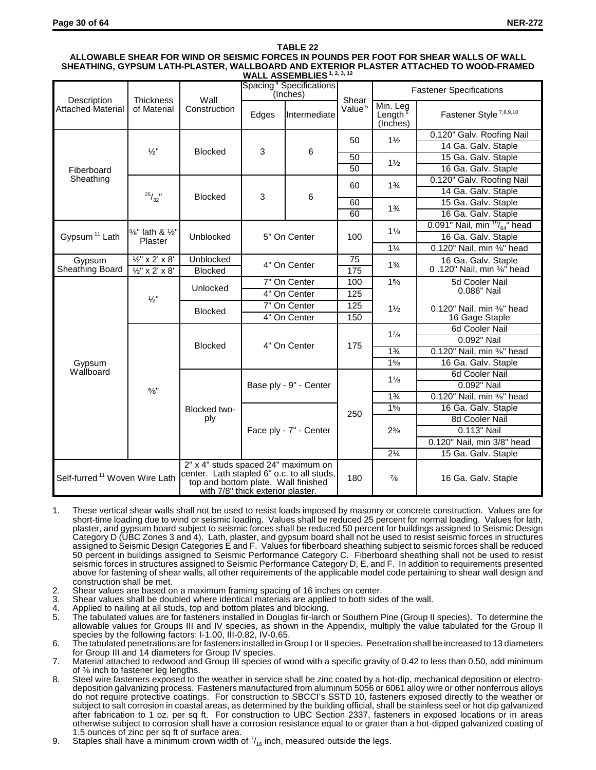## **TABLE 22 ALLOWABLE SHEAR FOR WIND OR SEISMIC FORCES IN POUNDS PER FOOT FOR SHEAR WALLS OF WALL SHEATHING, GYPSUM LATH-PLASTER, WALLBOARD AND EXTERIOR PLASTER ATTACHED TO WOOD-FRAMED**

|                                           | WALL ASSEMBLIES <sup>1, 2, 3, 12</sup>        |                |                                                                                                                                                               |                                                 |                    |                                             |                                         |  |
|-------------------------------------------|-----------------------------------------------|----------------|---------------------------------------------------------------------------------------------------------------------------------------------------------------|-------------------------------------------------|--------------------|---------------------------------------------|-----------------------------------------|--|
| Description<br><b>Thickness</b>           |                                               | Wall           |                                                                                                                                                               | Spacing <sup>4</sup> Specifications<br>(Inches) | Shear              | <b>Fastener Specifications</b>              |                                         |  |
| Attached Material                         | of Material                                   | Construction   | Edges                                                                                                                                                         | Intermediate                                    | Value <sup>5</sup> | Min. Leg<br>Length <sup>8</sup><br>(Inches) | Fastener Style <sup>7,8,9,10</sup>      |  |
|                                           |                                               |                |                                                                                                                                                               |                                                 |                    | $1\frac{1}{2}$                              | 0.120" Galv. Roofing Nail               |  |
|                                           |                                               |                |                                                                                                                                                               |                                                 | 50                 |                                             | 14 Ga. Galv. Staple                     |  |
|                                           | $\frac{1}{2}$ "                               | <b>Blocked</b> | 3                                                                                                                                                             | 6                                               | 50                 |                                             | 15 Ga. Galv. Staple                     |  |
| Fiberboard                                |                                               |                |                                                                                                                                                               |                                                 | 50                 | $1\frac{1}{2}$                              | 16 Ga. Galv. Staple                     |  |
| Sheathing                                 |                                               |                |                                                                                                                                                               |                                                 | 60                 | $1\frac{3}{4}$                              | 0.120" Galv. Roofing Nail               |  |
|                                           |                                               | <b>Blocked</b> | 3                                                                                                                                                             | 6                                               |                    |                                             | 14 Ga. Galv. Staple                     |  |
|                                           | $^{25}/_{32}$ "                               |                |                                                                                                                                                               |                                                 | 60                 | $1\frac{3}{4}$                              | 15 Ga. Galv. Staple                     |  |
|                                           |                                               |                |                                                                                                                                                               |                                                 | 60                 |                                             | 16 Ga. Galv. Staple                     |  |
|                                           |                                               |                |                                                                                                                                                               |                                                 |                    | $1\frac{1}{8}$                              | 0.091" Nail, min $\frac{19}{64}$ " head |  |
| Gypsum <sup>11</sup> Lath                 | 3/8" lath & 1/2"<br>Plaster                   | Unblocked      | 5" On Center                                                                                                                                                  |                                                 | 100                |                                             | 16 Ga. Galv. Staple                     |  |
|                                           |                                               |                |                                                                                                                                                               |                                                 |                    | $1\frac{1}{4}$                              | 0.120" Nail, min %" head                |  |
| Gypsum                                    | $\overline{\frac{1}{2}$ " x 2' x 8'           | Unblocked      | 4" On Center                                                                                                                                                  |                                                 | $\overline{75}$    | $1\frac{3}{4}$                              | 16 Ga. Galv. Staple                     |  |
| Sheathing Board                           | $\overline{\frac{1}{2}x^2 \times 2} \times 8$ | <b>Blocked</b> |                                                                                                                                                               |                                                 | 175                |                                             | 0.120" Nail, min %" head                |  |
|                                           | $\frac{1}{2}$ "                               | Unlocked       |                                                                                                                                                               | 7" On Center                                    |                    | 15/8                                        | 5d Cooler Nail                          |  |
|                                           |                                               |                | 4" On Center                                                                                                                                                  |                                                 | 125                |                                             | 0.086" Nail                             |  |
|                                           |                                               | <b>Blocked</b> | 7" On Center                                                                                                                                                  |                                                 | 125                | $1\frac{1}{2}$                              | 0.120" Nail, min %" head                |  |
|                                           |                                               |                | 4" On Center                                                                                                                                                  |                                                 | 150                |                                             | 16 Gage Staple                          |  |
|                                           |                                               | <b>Blocked</b> | 4" On Center                                                                                                                                                  |                                                 |                    | $1\frac{7}{8}$                              | 6d Cooler Nail                          |  |
|                                           |                                               |                |                                                                                                                                                               |                                                 | 175                |                                             | 0.092" Nail                             |  |
|                                           |                                               |                |                                                                                                                                                               |                                                 |                    | $1\frac{3}{4}$                              | 0.120" Nail, min %" head                |  |
| Gypsum                                    |                                               |                |                                                                                                                                                               |                                                 |                    | 15/8                                        | 16 Ga. Galv. Staple                     |  |
| Wallboard                                 |                                               |                |                                                                                                                                                               |                                                 |                    | $1\frac{7}{8}$                              | 6d Cooler Nail                          |  |
|                                           | 5/8"                                          |                |                                                                                                                                                               | Base ply - 9" - Center                          |                    |                                             | 0.092" Nail                             |  |
|                                           |                                               |                |                                                                                                                                                               |                                                 |                    | $1\frac{3}{4}$                              | 0.120" Nail, min %" head                |  |
|                                           |                                               | Blocked two-   |                                                                                                                                                               |                                                 | 250                | 15/8                                        | 16 Ga. Galv. Staple                     |  |
|                                           |                                               | ply            |                                                                                                                                                               |                                                 |                    |                                             | 8d Cooler Nail                          |  |
|                                           |                                               |                |                                                                                                                                                               | Face ply - 7" - Center                          |                    | $2\frac{3}{8}$                              | 0.113" Nail                             |  |
|                                           |                                               |                |                                                                                                                                                               |                                                 |                    |                                             | 0.120" Nail, min 3/8" head              |  |
|                                           |                                               |                |                                                                                                                                                               |                                                 |                    | $2\frac{1}{4}$                              | 15 Ga. Galv. Staple                     |  |
| Self-furred <sup>11</sup> Woven Wire Lath |                                               |                | 2" x 4" studs spaced 24" maximum on<br>center. Lath stapled 6" o.c. to all studs,<br>top and bottom plate. Wall finished<br>with 7/8" thick exterior plaster. |                                                 | 180                | $\frac{7}{8}$                               | 16 Ga. Galv. Staple                     |  |

- 1. These vertical shear walls shall not be used to resist loads imposed by masonry or concrete construction. Values are for short-time loading due to wind or seismic loading. Values shall be reduced 25 percent for normal loading. Values for lath, plaster, and gypsum board subject to seismic forces shall be reduced 50 percent for buildings assigned to Seismic Design Category D (UBC Zones 3 and 4). Lath, plaster, and gypsum board shall not be used to resist seismic forces in structures assigned to Seismic Design Categories E and F. Values for fiberboard sheathing subject to seismic forces shall be reduced 50 percent in buildings assigned to Seismic Performance Category C. Fiberboard sheathing shall not be used to resist seismic forces in structures assigned to Seismic Performance Category D, E, and F. In addition to requirements presented above for fastening of shear walls, all other requirements of the applicable model code pertaining to shear wall design and construction shall be met.
- 2. Shear values are based on a maximum framing spacing of 16 inches on center.
- 3. Shear values shall be doubled where identical materials are applied to both sides of the wall.
- 4. Applied to nailing at all studs, top and bottom plates and blocking.<br>5. The tabulated values are for fasteners installed in Douglas fir-larch
- 5. The tabulated values are for fasteners installed in Douglas fir-larch or Southern Pine (Group II species). To determine the allowable values for Groups III and IV species, as shown in the Appendix, multiply the value tabulated for the Group II species by the following factors: I-1.00, III-0.82, IV-0.65.
- 6. The tabulated penetrations are for fasteners installed in Group I or II species. Penetration shall be increased to 13 diameters for Group III and 14 diameters for Group IV species.
- 7. Material attached to redwood and Group III species of wood with a specific gravity of 0.42 to less than 0.50, add minimum of  $\frac{3}{6}$  inch to fastener leg lengths.
- 8. Steel wire fasteners exposed to the weather in service shall be zinc coated by a hot-dip, mechanical deposition or electrodeposition galvanizing process. Fasteners manufactured from aluminum 5056 or 6061 alloy wire or other nonferrous alloys do not require protective coatings. For construction to SBCCI's SSTD 10, fasteners exposed directly to the weather or subject to salt corrosion in coastal areas, as determined by the building official, shall be stainless seel or hot dip galvanized after fabrication to 1 oz. per sq ft. For construction to UBC Section 2337, fasteners in exposed locations or in areas otherwise subject to corrosion shall have a corrosion resistance equal to or grater than a hot-dipped galvanized coating of 1.5 ounces of zinc per sq ft of surface area.
- 9. Staples shall have a minimum crown width of  $\frac{7}{16}$  inch, measured outside the legs.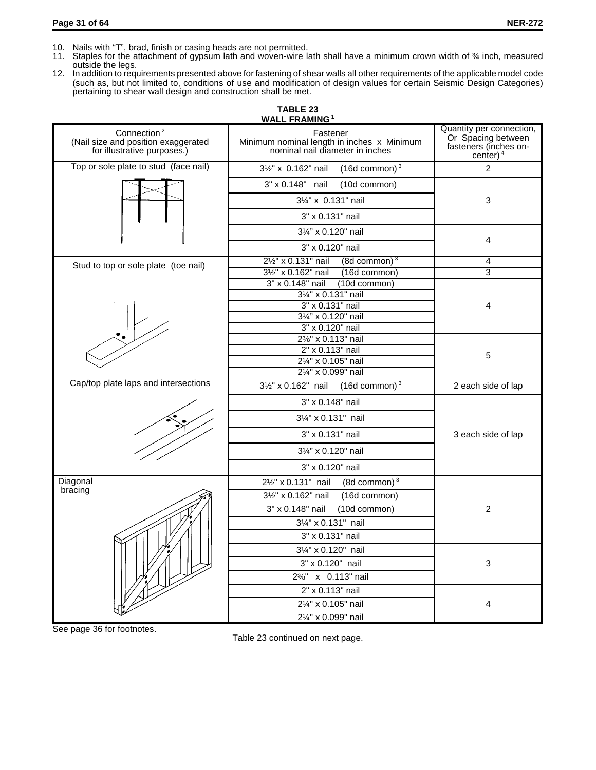- 10. Nails with "T", brad, finish or casing heads are not permitted.
- 11. Staples for the attachment of gypsum lath and woven-wire lath shall have a minimum crown width of % inch, measured outside the legs.
- 12. In addition to requirements presented above for fastening of shear walls all other requirements of the applicable model code (such as, but not limited to, conditions of use and modification of design values for certain Seismic Design Categories) pertaining to shear wall design and construction shall be met.

|                                                                                               | <b>WALL FRAMING1</b>                                                                      |                                                                                        |  |
|-----------------------------------------------------------------------------------------------|-------------------------------------------------------------------------------------------|----------------------------------------------------------------------------------------|--|
| Connection <sup>2</sup><br>(Nail size and position exaggerated<br>for illustrative purposes.) | Fastener<br>Minimum nominal length in inches x Minimum<br>nominal nail diameter in inches | Quantity per connection,<br>Or Spacing between<br>fasteners (inches on-<br>center) $4$ |  |
| Top or sole plate to stud (face nail)                                                         | $(16d$ common) $3$<br>31/2" x 0.162" nail                                                 | $\mathcal{P}$                                                                          |  |
|                                                                                               | 3" x 0.148" nail<br>(10d common)                                                          |                                                                                        |  |
|                                                                                               | 31/4" x 0.131" nail                                                                       | 3                                                                                      |  |
|                                                                                               | 3" x 0.131" nail                                                                          |                                                                                        |  |
|                                                                                               | 31/4" x 0.120" nail                                                                       |                                                                                        |  |
|                                                                                               | 3" x 0.120" nail                                                                          | 4                                                                                      |  |
| Stud to top or sole plate (toe nail)                                                          | $(8d$ common) $3$<br>21/2" x 0.131" nail                                                  | 4                                                                                      |  |
|                                                                                               | (16d common)<br>31/2" x 0.162" nail                                                       | 3                                                                                      |  |
|                                                                                               | 3" x 0.148" nail<br>(10d common)<br>31/4" x 0.131" nail                                   |                                                                                        |  |
|                                                                                               | 3" x 0.131" nail                                                                          | 4                                                                                      |  |
|                                                                                               | 31/4" x 0.120" nail                                                                       |                                                                                        |  |
|                                                                                               | 3" x 0.120" nail                                                                          |                                                                                        |  |
|                                                                                               | 2%" x 0.113" nail                                                                         |                                                                                        |  |
|                                                                                               | 2" x 0.113" nail                                                                          | 5                                                                                      |  |
|                                                                                               | 21/4" x 0.105" nail                                                                       |                                                                                        |  |
|                                                                                               | 21/4" x 0.099" nail                                                                       |                                                                                        |  |
| Cap/top plate laps and intersections                                                          | $3\frac{1}{2}$ " x 0.162" nail (16d common) <sup>3</sup>                                  | 2 each side of lap                                                                     |  |
|                                                                                               | 3" x 0.148" nail                                                                          |                                                                                        |  |
|                                                                                               | 31/4" x 0.131" nail                                                                       |                                                                                        |  |
|                                                                                               | 3" x 0.131" nail                                                                          | 3 each side of lap                                                                     |  |
|                                                                                               | 31/4" x 0.120" nail                                                                       |                                                                                        |  |
|                                                                                               | 3" x 0.120" nail                                                                          |                                                                                        |  |
| Diagonal                                                                                      | 21/2" x 0.131" nail<br>(8d common) $3$                                                    |                                                                                        |  |
| bracing                                                                                       | 31/2" x 0.162" nail<br>(16d common)                                                       |                                                                                        |  |
|                                                                                               | (10d common)<br>3" x 0.148" nail                                                          | $\overline{2}$                                                                         |  |
|                                                                                               | 31/4" x 0.131" nail                                                                       |                                                                                        |  |
|                                                                                               | 3" x 0.131" nail                                                                          |                                                                                        |  |
|                                                                                               | 31/4" x 0.120" nail                                                                       |                                                                                        |  |
|                                                                                               | 3" x 0.120" nail                                                                          | 3                                                                                      |  |
|                                                                                               | 2%" x 0.113" nail                                                                         |                                                                                        |  |
|                                                                                               | 2" x 0.113" nail                                                                          |                                                                                        |  |
|                                                                                               | 21/4" x 0.105" nail                                                                       | 4                                                                                      |  |
|                                                                                               | 21/4" x 0.099" nail                                                                       |                                                                                        |  |

See page 36 for footnotes.

Table 23 continued on next page.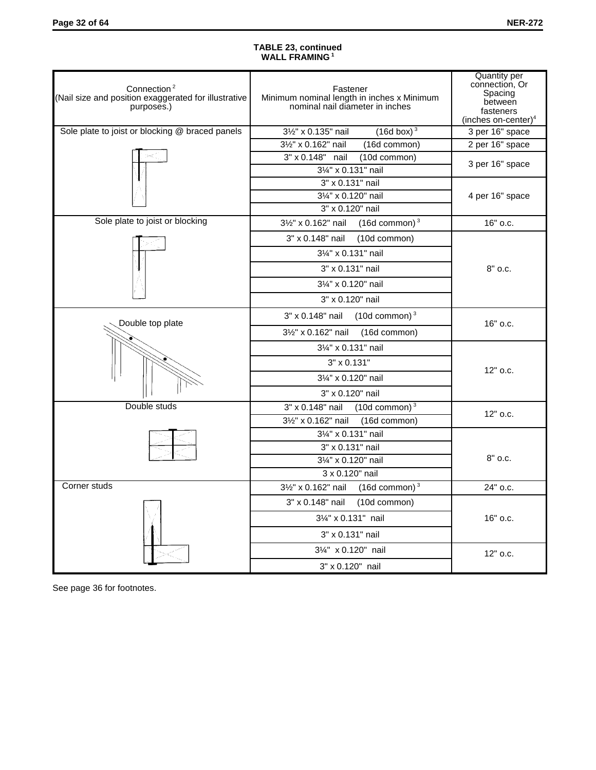#### **TABLE 23, continued WALL FRAMING 1**

| Connection <sup>2</sup><br>(Nail size and position exaggerated for illustrative<br>purposes.) | Fastener<br>Minimum nominal length in inches x Minimum<br>nominal nail diameter in inches | Quantity per<br>connection, Or<br>Spacing<br>between<br>fasteners<br>(inches on-center) $4$ |  |
|-----------------------------------------------------------------------------------------------|-------------------------------------------------------------------------------------------|---------------------------------------------------------------------------------------------|--|
| Sole plate to joist or blocking @ braced panels                                               | 31/2" x 0.135" nail<br>$(16d$ box) <sup>3</sup>                                           | 3 per 16" space                                                                             |  |
|                                                                                               | 31/2" x 0.162" nail<br>(16d common)                                                       | 2 per 16" space                                                                             |  |
|                                                                                               | 3" x 0.148" nail<br>(10d common)<br>31/4" x 0.131" nail                                   | 3 per 16" space                                                                             |  |
|                                                                                               | 3" x 0.131" nail                                                                          |                                                                                             |  |
|                                                                                               | 31/4" x 0.120" nail                                                                       | 4 per 16" space                                                                             |  |
|                                                                                               | 3" x 0.120" nail                                                                          |                                                                                             |  |
| Sole plate to joist or blocking                                                               | $(16d$ common) $3$<br>31/2" x 0.162" nail                                                 | 16" o.c.                                                                                    |  |
|                                                                                               | 3" x 0.148" nail<br>(10d common)                                                          |                                                                                             |  |
|                                                                                               | 31/4" x 0.131" nail                                                                       |                                                                                             |  |
|                                                                                               | 3" x 0.131" nail                                                                          | 8" o.c.                                                                                     |  |
|                                                                                               | 31/4" x 0.120" nail                                                                       |                                                                                             |  |
|                                                                                               | 3" x 0.120" nail                                                                          |                                                                                             |  |
| Double top plate                                                                              | $(10d$ common) $3$<br>3" x 0.148" nail                                                    | 16" o.c.                                                                                    |  |
|                                                                                               | 31/2" x 0.162" nail<br>(16d common)                                                       |                                                                                             |  |
|                                                                                               | 31/4" x 0.131" nail                                                                       |                                                                                             |  |
|                                                                                               | 3" x 0.131"                                                                               | 12" o.c.                                                                                    |  |
|                                                                                               | 31/4" x 0.120" nail                                                                       |                                                                                             |  |
|                                                                                               | 3" x 0.120" nail                                                                          |                                                                                             |  |
| Double studs                                                                                  | $(10d$ common) $3$<br>3" x 0.148" nail                                                    |                                                                                             |  |
|                                                                                               | 31/2" x 0.162" nail<br>(16d common)                                                       | 12" o.c.                                                                                    |  |
|                                                                                               | 31/4" x 0.131" nail                                                                       |                                                                                             |  |
|                                                                                               | 3" x 0.131" nail                                                                          |                                                                                             |  |
|                                                                                               | 31/4" x 0.120" nail                                                                       | $8"$ o.c.                                                                                   |  |
|                                                                                               | 3 x 0.120" nail                                                                           |                                                                                             |  |
| Corner studs                                                                                  | $(16d$ common) $3$<br>31/2" x 0.162" nail                                                 | 24" o.c.                                                                                    |  |
|                                                                                               | 3" x 0.148" nail<br>(10d common)                                                          |                                                                                             |  |
|                                                                                               | 31/4" x 0.131" nail                                                                       | 16" o.c.                                                                                    |  |
|                                                                                               | 3" x 0.131" nail                                                                          |                                                                                             |  |
|                                                                                               | 31/4" x 0.120" nail                                                                       | 12" o.c.                                                                                    |  |
|                                                                                               | 3" x 0.120" nail                                                                          |                                                                                             |  |

See page 36 for footnotes.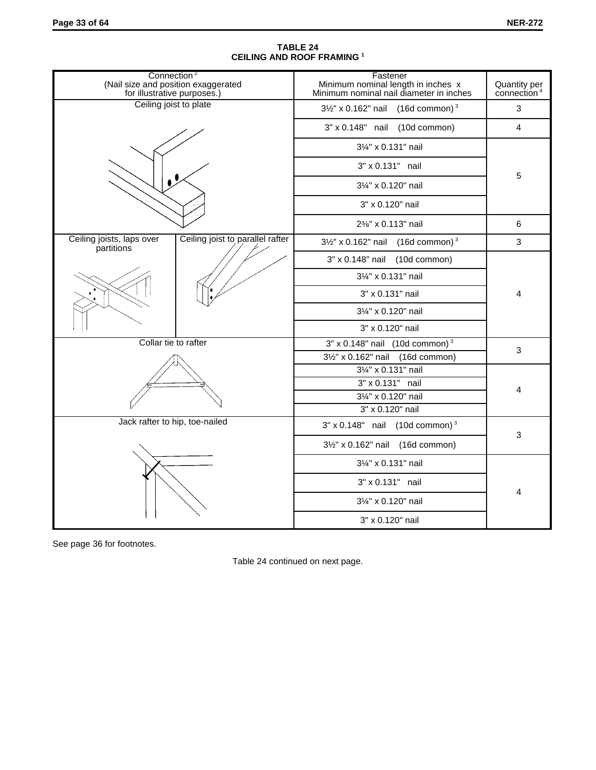| Connection <sup>2</sup><br>(Nail size and position exaggerated<br>for illustrative purposes.) |                                  | Fastener<br>Minimum nominal length in inches x<br>Minimum nominal nail diameter in inches | Quantity per<br>connection <sup>4</sup> |   |  |  |
|-----------------------------------------------------------------------------------------------|----------------------------------|-------------------------------------------------------------------------------------------|-----------------------------------------|---|--|--|
| Ceiling joist to plate                                                                        |                                  | $3\frac{1}{2}$ " x 0.162" nail (16d common) <sup>3</sup>                                  |                                         | 3 |  |  |
|                                                                                               |                                  | 3" x 0.148" nail (10d common)                                                             |                                         | 4 |  |  |
|                                                                                               |                                  | 31/4" x 0.131" nail                                                                       |                                         |   |  |  |
|                                                                                               |                                  | 3" x 0.131" nail                                                                          |                                         |   |  |  |
|                                                                                               |                                  | 31/4" x 0.120" nail                                                                       |                                         | 5 |  |  |
|                                                                                               |                                  | 3" x 0.120" nail                                                                          |                                         |   |  |  |
|                                                                                               |                                  | 2%" x 0.113" nail                                                                         |                                         | 6 |  |  |
| Ceiling joists, laps over<br>partitions                                                       | Ceiling joist to parallel rafter | $3\frac{1}{2}$ " x 0.162" nail (16d common) <sup>3</sup>                                  |                                         | 3 |  |  |
|                                                                                               |                                  | 3" x 0.148" nail (10d common)                                                             |                                         |   |  |  |
|                                                                                               |                                  | 31/4" x 0.131" nail                                                                       |                                         | 4 |  |  |
|                                                                                               |                                  | 3" x 0.131" nail                                                                          |                                         |   |  |  |
|                                                                                               |                                  | 31/4" x 0.120" nail                                                                       |                                         |   |  |  |
|                                                                                               |                                  | 3" x 0.120" nail                                                                          |                                         |   |  |  |
| Collar tie to rafter                                                                          |                                  | $3" \times 0.148"$ nail (10d common) <sup>3</sup>                                         |                                         | 3 |  |  |
|                                                                                               |                                  | 3½" x 0.162" nail (16d common)                                                            |                                         |   |  |  |
|                                                                                               |                                  | 31/4" x 0.131" nail                                                                       |                                         |   |  |  |
|                                                                                               |                                  | 3" x 0.131" nail                                                                          |                                         | 4 |  |  |
|                                                                                               |                                  | 31/4" x 0.120" nail                                                                       |                                         |   |  |  |
|                                                                                               |                                  | 3" x 0.120" nail                                                                          |                                         |   |  |  |
| Jack rafter to hip, toe-nailed                                                                |                                  | $3" \times 0.148"$ nail (10d common) <sup>3</sup>                                         |                                         | 3 |  |  |
|                                                                                               |                                  | 3½" x 0.162" nail (16d common)                                                            |                                         |   |  |  |
|                                                                                               |                                  | 31/4" x 0.131" nail                                                                       |                                         |   |  |  |
|                                                                                               |                                  | 3" x 0.131" nail                                                                          |                                         |   |  |  |
|                                                                                               |                                  | 31/4" x 0.120" nail                                                                       |                                         | 4 |  |  |
|                                                                                               |                                  | 3" x 0.120" nail                                                                          |                                         |   |  |  |

## **TABLE 24 CEILING AND ROOF FRAMING <sup>1</sup>**

See page 36 for footnotes.

Table 24 continued on next page.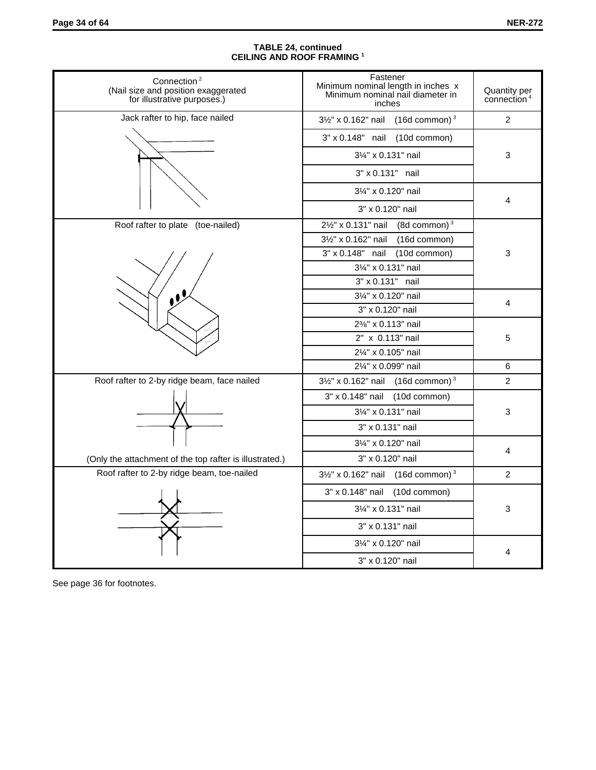#### **TABLE 24, continued CEILING AND ROOF FRAMING <sup>1</sup>**

| Connection <sup>2</sup><br>(Nail size and position exaggerated<br>for illustrative purposes.) | Fastener<br>Minimum nominal length in inches x<br>Minimum nominal nail diameter in<br>inches | Quantity per<br>connection <sup>4</sup> |  |
|-----------------------------------------------------------------------------------------------|----------------------------------------------------------------------------------------------|-----------------------------------------|--|
| Jack rafter to hip, face nailed                                                               | $3\frac{1}{2}$ " x 0.162" nail (16d common) <sup>3</sup>                                     | $\overline{2}$                          |  |
|                                                                                               | 3" x 0.148" nail (10d common)                                                                |                                         |  |
|                                                                                               | 31/4" x 0.131" nail                                                                          | $\ensuremath{\mathsf{3}}$               |  |
|                                                                                               | 3" x 0.131" nail                                                                             |                                         |  |
|                                                                                               | 31/4" x 0.120" nail                                                                          |                                         |  |
|                                                                                               | 3" x 0.120" nail                                                                             | 4                                       |  |
| Roof rafter to plate (toe-nailed)                                                             | 21/2" x 0.131" nail<br>(8d common) $3$                                                       |                                         |  |
|                                                                                               | 3½" x 0.162" nail (16d common)                                                               |                                         |  |
|                                                                                               | 3" x 0.148" nail (10d common)                                                                | 3                                       |  |
|                                                                                               | 31/4" x 0.131" nail                                                                          |                                         |  |
|                                                                                               | 3" x 0.131" nail                                                                             |                                         |  |
|                                                                                               | 31/4" x 0.120" nail                                                                          |                                         |  |
|                                                                                               | 3" x 0.120" nail                                                                             | 4                                       |  |
|                                                                                               | 2%" x 0.113" nail                                                                            |                                         |  |
|                                                                                               | 2" x 0.113" nail                                                                             | 5                                       |  |
|                                                                                               | 21/4" x 0.105" nail                                                                          |                                         |  |
|                                                                                               | 21/4" x 0.099" nail                                                                          | 6                                       |  |
| Roof rafter to 2-by ridge beam, face nailed                                                   | $3\frac{1}{2}$ " x 0.162" nail (16d common) <sup>3</sup>                                     | 2                                       |  |
|                                                                                               | 3" x 0.148" nail (10d common)                                                                |                                         |  |
|                                                                                               | 31/4" x 0.131" nail                                                                          | 3                                       |  |
|                                                                                               | 3" x 0.131" nail                                                                             |                                         |  |
|                                                                                               | 31/4" x 0.120" nail                                                                          |                                         |  |
| (Only the attachment of the top rafter is illustrated.)                                       | 3" x 0.120" nail                                                                             | 4                                       |  |
| Roof rafter to 2-by ridge beam, toe-nailed                                                    | $3\frac{1}{2}$ " x 0.162" nail (16d common) <sup>3</sup>                                     | 2                                       |  |
|                                                                                               | 3" x 0.148" nail (10d common)                                                                |                                         |  |
|                                                                                               | 31/4" x 0.131" nail                                                                          | $\mathsf 3$                             |  |
|                                                                                               | 3" x 0.131" nail                                                                             |                                         |  |
|                                                                                               | 31/4" x 0.120" nail                                                                          |                                         |  |
|                                                                                               | 3" x 0.120" nail                                                                             | 4                                       |  |

See page 36 for footnotes.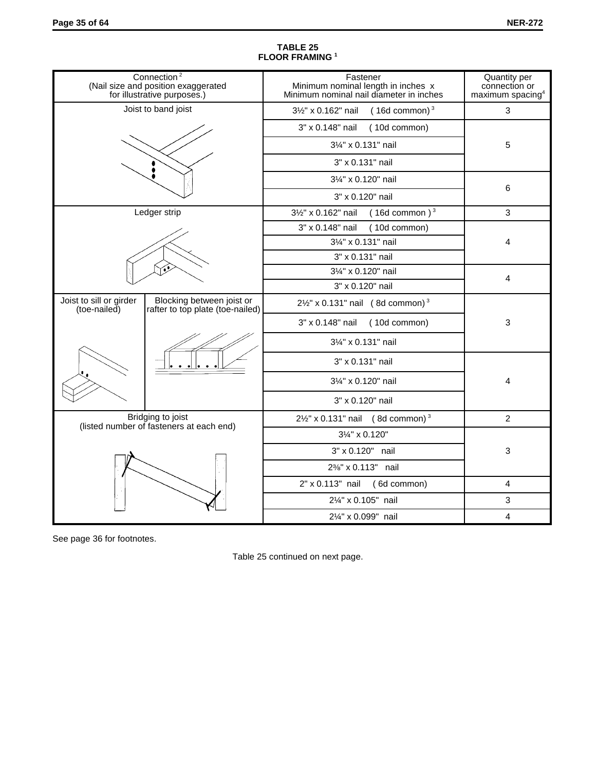|                                         | Connection <sup>2</sup><br>(Nail size and position exaggerated<br>for illustrative purposes.) | Fastener<br>Minimum nominal length in inches x<br>Minimum nominal nail diameter in inches | Quantity per<br>connection or<br>maximum spacing <sup>4</sup> |  |  |
|-----------------------------------------|-----------------------------------------------------------------------------------------------|-------------------------------------------------------------------------------------------|---------------------------------------------------------------|--|--|
|                                         | Joist to band joist                                                                           | 31/2" x 0.162" nail<br>$(16d$ common) $3$                                                 | 3                                                             |  |  |
|                                         |                                                                                               | 3" x 0.148" nail<br>(10d common)                                                          |                                                               |  |  |
|                                         |                                                                                               | 31/4" x 0.131" nail                                                                       | 5                                                             |  |  |
|                                         |                                                                                               | 3" x 0.131" nail                                                                          |                                                               |  |  |
|                                         |                                                                                               | 31/4" x 0.120" nail                                                                       |                                                               |  |  |
|                                         |                                                                                               | 3" x 0.120" nail                                                                          | 6                                                             |  |  |
|                                         | Ledger strip                                                                                  | $(16d$ common) <sup>3</sup><br>31/2" x 0.162" nail                                        | $\mathfrak{S}$                                                |  |  |
|                                         |                                                                                               | 3" x 0.148" nail<br>(10d common)                                                          |                                                               |  |  |
|                                         |                                                                                               | 31/4" x 0.131" nail                                                                       | 4                                                             |  |  |
|                                         |                                                                                               | 3" x 0.131" nail                                                                          |                                                               |  |  |
|                                         |                                                                                               | 31/4" x 0.120" nail                                                                       | 4                                                             |  |  |
|                                         |                                                                                               | 3" x 0.120" nail                                                                          |                                                               |  |  |
| Joist to sill or girder<br>(toe-nailed) | Blocking between joist or<br>rafter to top plate (toe-nailed)                                 | $2\frac{1}{2}$ x 0.131" nail (8d common) <sup>3</sup>                                     |                                                               |  |  |
|                                         |                                                                                               | 3" x 0.148" nail (10d common)                                                             | 3                                                             |  |  |
|                                         |                                                                                               | 31/4" x 0.131" nail                                                                       |                                                               |  |  |
|                                         |                                                                                               | 3" x 0.131" nail                                                                          |                                                               |  |  |
|                                         |                                                                                               | 31/4" x 0.120" nail                                                                       | 4                                                             |  |  |
|                                         |                                                                                               | 3" x 0.120" nail                                                                          |                                                               |  |  |
|                                         | Bridging to joist<br>(listed number of fasteners at each end)                                 | $2\frac{1}{2}$ " x 0.131" nail (8d common) <sup>3</sup>                                   | $\overline{2}$                                                |  |  |
|                                         |                                                                                               | 3¼" x 0.120"                                                                              |                                                               |  |  |
|                                         |                                                                                               | 3" x 0.120" nail                                                                          | 3                                                             |  |  |
|                                         |                                                                                               | 2%" x 0.113" nail                                                                         |                                                               |  |  |
|                                         |                                                                                               | $2" \times 0.113"$ nail (6d common)                                                       | $\overline{4}$                                                |  |  |
|                                         |                                                                                               | 21/4" x 0.105" nail                                                                       | 3                                                             |  |  |
|                                         |                                                                                               | 21/4" x 0.099" nail                                                                       | 4                                                             |  |  |

#### **TABLE 25 FLOOR FRAMING <sup>1</sup>**

See page 36 for footnotes.

Table 25 continued on next page.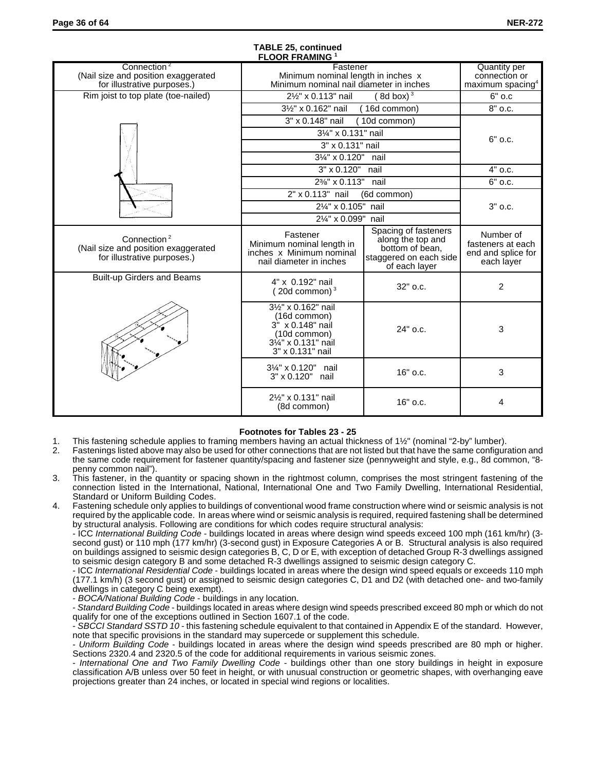| FLUUR FRAMING                                                                                 |                                                                                                                                    |                                                                                                         |                                                                    |  |  |  |  |
|-----------------------------------------------------------------------------------------------|------------------------------------------------------------------------------------------------------------------------------------|---------------------------------------------------------------------------------------------------------|--------------------------------------------------------------------|--|--|--|--|
| Connection <sup>2</sup><br>(Nail size and position exaggerated<br>for illustrative purposes.) | Fastener<br>Minimum nominal length in inches x<br>Minimum nominal nail diameter in inches                                          | <b>Quantity per</b><br>connection or                                                                    |                                                                    |  |  |  |  |
|                                                                                               |                                                                                                                                    | maximum spacing <sup>4</sup>                                                                            |                                                                    |  |  |  |  |
| Rim joist to top plate (toe-nailed)                                                           | 21/2" x 0.113" nail                                                                                                                | 8d box) $3$                                                                                             | $6"$ o.c                                                           |  |  |  |  |
|                                                                                               | 31/2" x 0.162" nail                                                                                                                | (16d common)                                                                                            | $\overline{8}$ " o.c.                                              |  |  |  |  |
|                                                                                               | 3" x 0.148" nail                                                                                                                   | (10d common)                                                                                            |                                                                    |  |  |  |  |
|                                                                                               | 31/4" x 0.131" nail                                                                                                                |                                                                                                         | $6"$ o.c.                                                          |  |  |  |  |
|                                                                                               | 3" x 0.131" nail                                                                                                                   |                                                                                                         |                                                                    |  |  |  |  |
|                                                                                               | 31/4" x 0.120"                                                                                                                     | nail                                                                                                    |                                                                    |  |  |  |  |
|                                                                                               | 3" x 0.120"                                                                                                                        | nail                                                                                                    | $4"$ o.c.                                                          |  |  |  |  |
|                                                                                               | 2%" x 0.113"                                                                                                                       | nail                                                                                                    | 6" o.c.                                                            |  |  |  |  |
|                                                                                               | 2" x 0.113" nail                                                                                                                   | (6d common)                                                                                             |                                                                    |  |  |  |  |
|                                                                                               | 2¼" x 0.105" nail                                                                                                                  | $3"$ o.c.                                                                                               |                                                                    |  |  |  |  |
|                                                                                               | 21/4" x 0.099" nail                                                                                                                |                                                                                                         |                                                                    |  |  |  |  |
| Connection <sup>2</sup><br>(Nail size and position exaggerated<br>for illustrative purposes.) | Fastener<br>Minimum nominal length in<br>inches x Minimum nominal<br>nail diameter in inches                                       | Spacing of fasteners<br>along the top and<br>bottom of bean,<br>staggered on each side<br>of each layer | Number of<br>fasteners at each<br>end and splice for<br>each layer |  |  |  |  |
| <b>Built-up Girders and Beams</b>                                                             | 4" x 0.192" nail<br>20d common) $3$                                                                                                | $32"$ o.c.                                                                                              | $\overline{2}$                                                     |  |  |  |  |
|                                                                                               | 31/2" x 0.162" nail<br>(16d common)<br>$3^{"}$ x 0.148" nail<br>(10d common)<br>$3\frac{1}{4}$ " x 0.131" nail<br>3" x 0.131" nail | 24" o.c.                                                                                                | 3                                                                  |  |  |  |  |
|                                                                                               | 31/4" x 0.120" nail<br>3" x 0.120" nail                                                                                            | 16" o.c.                                                                                                | 3                                                                  |  |  |  |  |
|                                                                                               | 21/2" x 0.131" nail<br>(8d common)                                                                                                 | 16" o.c.                                                                                                | 4                                                                  |  |  |  |  |

#### **TABLE 25, continued FLOOR FRAMING <sup>1</sup>**

## **Footnotes for Tables 23 - 25**

- 1. This fastening schedule applies to framing members having an actual thickness of 1½" (nominal "2-by" lumber).<br>2. Fastenings listed above may also be used for other connections that are not listed but that have the same 2. Fastenings listed above may also be used for other connections that are not listed but that have the same configuration and the same code requirement for fastener quantity/spacing and fastener size (pennyweight and style, e.g., 8d common, "8 penny common nail").
- 3. This fastener, in the quantity or spacing shown in the rightmost column, comprises the most stringent fastening of the connection listed in the International, National, International One and Two Family Dwelling, International Residential, Standard or Uniform Building Codes.
- 4. Fastening schedule only applies to buildings of conventional wood frame construction where wind or seismic analysis is not required by the applicable code. In areas where wind or seismic analysis is required, required fastening shall be determined by structural analysis. Following are conditions for which codes require structural analysis:

- ICC *International Building Code* - buildings located in areas where design wind speeds exceed 100 mph (161 km/hr) (3 second gust) or 110 mph (177 km/hr) (3-second gust) in Exposure Categories A or B. Structural analysis is also required on buildings assigned to seismic design categories B, C, D or E, with exception of detached Group R-3 dwellings assigned to seismic design category B and some detached R-3 dwellings assigned to seismic design category C.

- ICC *International Residential Code* - buildings located in areas where the design wind speed equals or exceeds 110 mph (177.1 km/h) (3 second gust) or assigned to seismic design categories C, D1 and D2 (with detached one- and two-family dwellings in category C being exempt).

- *BOCA/National Building Code* - buildings in any location.

- *Standard Building Code* - buildings located in areas where design wind speeds prescribed exceed 80 mph or which do not qualify for one of the exceptions outlined in Section 1607.1 of the code.

- *SBCCI Standard SSTD 10* - this fastening schedule equivalent to that contained in Appendix E of the standard. However, note that specific provisions in the standard may supercede or supplement this schedule.

- *Uniform Building Code* - buildings located in areas where the design wind speeds prescribed are 80 mph or higher. Sections 2320.4 and 2320.5 of the code for additional requirements in various seismic zones.

- *International One and Two Family Dwelling Code* - buildings other than one story buildings in height in exposure classification A/B unless over 50 feet in height, or with unusual construction or geometric shapes, with overhanging eave projections greater than 24 inches, or located in special wind regions or localities.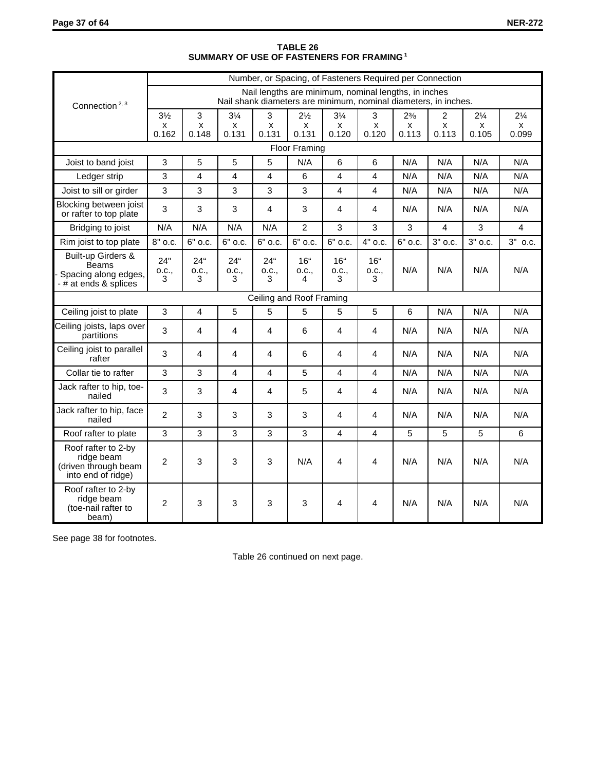|                                                                                       | Number, or Spacing, of Fasteners Required per Connection |                            |                            |                            |                                                                                                                         |                                |                                |                |                |                |                |
|---------------------------------------------------------------------------------------|----------------------------------------------------------|----------------------------|----------------------------|----------------------------|-------------------------------------------------------------------------------------------------------------------------|--------------------------------|--------------------------------|----------------|----------------|----------------|----------------|
| Connection <sup>2, 3</sup>                                                            |                                                          |                            |                            |                            | Nail lengths are minimum, nominal lengths, in inches<br>Nail shank diameters are minimum, nominal diameters, in inches. |                                |                                |                |                |                |                |
|                                                                                       | $3\frac{1}{2}$                                           | 3                          | $3\frac{1}{4}$             | 3                          | $2\frac{1}{2}$                                                                                                          | $3\frac{1}{4}$                 | 3                              | $2\frac{3}{8}$ | 2              | $2\frac{1}{4}$ | $2\frac{1}{4}$ |
|                                                                                       | x<br>0.162                                               | x<br>0.148                 | x<br>0.131                 | X<br>0.131                 | x<br>0.131                                                                                                              | x<br>0.120                     | x<br>0.120                     | X<br>0.113     | x<br>0.113     | x<br>0.105     | x<br>0.099     |
|                                                                                       |                                                          |                            |                            |                            | <b>Floor Framing</b>                                                                                                    |                                |                                |                |                |                |                |
| Joist to band joist                                                                   | 3                                                        | 5                          | 5                          | 5                          | N/A                                                                                                                     | 6                              | 6                              | N/A            | N/A            | N/A            | N/A            |
| Ledger strip                                                                          | 3                                                        | 4                          | 4                          | 4                          | 6                                                                                                                       | $\overline{\mathbf{4}}$        | 4                              | N/A            | N/A            | N/A            | N/A            |
| Joist to sill or girder                                                               | $\overline{3}$                                           | 3                          | 3                          | 3                          | 3                                                                                                                       | 4                              | 4                              | N/A            | N/A            | N/A            | N/A            |
| Blocking between joist<br>or rafter to top plate                                      | 3                                                        | 3                          | 3                          | 4                          | 3                                                                                                                       | 4                              | 4                              | N/A            | N/A            | N/A            | N/A            |
| Bridging to joist                                                                     | N/A                                                      | N/A                        | N/A                        | N/A                        | $\overline{2}$                                                                                                          | 3                              | 3                              | 3              | $\overline{4}$ | 3              | 4              |
| Rim joist to top plate                                                                | 8" o.c.                                                  | 6" o.c.                    | 6" o.c.                    | 6" o.c.                    | 6" o.c.                                                                                                                 | 6" o.c.                        | 4" o.c.                        | 6" o.c.        | 3" o.c.        | $3"$ o.c.      | 3" o.c.        |
| Built-up Girders &<br><b>Beams</b><br>Spacing along edges,<br>$-$ # at ends & splices | 24"<br>0.C.,<br>3                                        | $24^{\circ}$<br>O.C.,<br>3 | $24^{\circ}$<br>0.C.,<br>3 | $24^{\circ}$<br>0.C.,<br>3 | 16 <sup>th</sup><br>0.C.,<br>4                                                                                          | 16 <sup>th</sup><br>0.C.,<br>3 | 16 <sup>th</sup><br>0.C.,<br>3 | N/A            | N/A            | N/A            | N/A            |
| Ceiling and Roof Framing                                                              |                                                          |                            |                            |                            |                                                                                                                         |                                |                                |                |                |                |                |
| Ceiling joist to plate                                                                | 3                                                        | 4                          | 5                          | 5                          | 5                                                                                                                       | 5                              | 5                              | 6              | N/A            | N/A            | N/A            |
| Ceiling joists, laps over<br>partitions                                               | 3                                                        | 4                          | 4                          | 4                          | 6                                                                                                                       | 4                              | 4                              | N/A            | N/A            | N/A            | N/A            |
| Ceiling joist to parallel<br>rafter                                                   | 3                                                        | 4                          | 4                          | 4                          | 6                                                                                                                       | 4                              | 4                              | N/A            | N/A            | N/A            | N/A            |
| Collar tie to rafter                                                                  | 3                                                        | 3                          | 4                          | 4                          | 5                                                                                                                       | 4                              | 4                              | N/A            | N/A            | N/A            | N/A            |
| Jack rafter to hip, toe-<br>nailed                                                    | 3                                                        | 3                          | 4                          | 4                          | 5                                                                                                                       | 4                              | 4                              | N/A            | N/A            | N/A            | N/A            |
| Jack rafter to hip, face<br>nailed                                                    | $\overline{2}$                                           | 3                          | 3                          | 3                          | 3                                                                                                                       | 4                              | 4                              | N/A            | N/A            | N/A            | N/A            |
| Roof rafter to plate                                                                  | 3                                                        | 3                          | 3                          | 3                          | 3                                                                                                                       | 4                              | 4                              | 5              | 5              | 5              | 6              |
| Roof rafter to 2-by<br>ridge beam<br>(driven through beam<br>into end of ridge)       | $\overline{c}$                                           | 3                          | 3                          | 3                          | N/A                                                                                                                     | 4                              | 4                              | N/A            | N/A            | N/A            | N/A            |
| Roof rafter to 2-by<br>ridge beam<br>(toe-nail rafter to<br>beam)                     | $\overline{2}$                                           | 3                          | 3                          | 3                          | 3                                                                                                                       | 4                              | 4                              | N/A            | N/A            | N/A            | N/A            |

#### **TABLE 26 SUMMARY OF USE OF FASTENERS FOR FRAMING 1**

See page 38 for footnotes.

Table 26 continued on next page.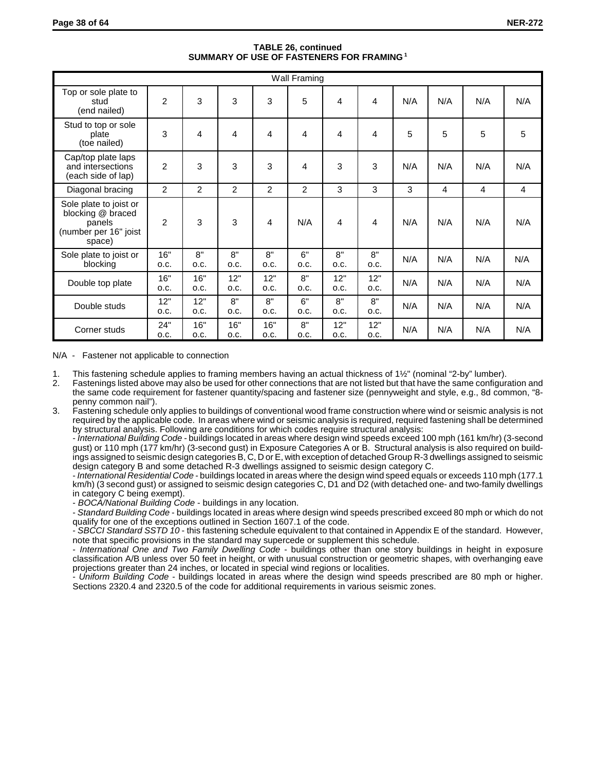| <b>Wall Framing</b>                                                                      |                |             |                |                |            |             |             |     |     |     |                |
|------------------------------------------------------------------------------------------|----------------|-------------|----------------|----------------|------------|-------------|-------------|-----|-----|-----|----------------|
| Top or sole plate to<br>stud<br>(end nailed)                                             | $\overline{c}$ | 3           | 3              | 3              | 5          | 4           | 4           | N/A | N/A | N/A | N/A            |
| Stud to top or sole<br>plate<br>(toe nailed)                                             | 3              | 4           | 4              | 4              | 4          | 4           | 4           | 5   | 5   | 5   | 5              |
| Cap/top plate laps<br>and intersections<br>(each side of lap)                            | $\overline{2}$ | 3           | 3              | 3              | 4          | 3           | 3           | N/A | N/A | N/A | N/A            |
| Diagonal bracing                                                                         | $\overline{2}$ | 2           | $\overline{2}$ | $\overline{2}$ | 2          | 3           | 3           | 3   | 4   | 4   | $\overline{4}$ |
| Sole plate to joist or<br>blocking @ braced<br>panels<br>(number per 16" joist<br>space) | $\overline{2}$ | 3           | 3              | 4              | N/A        | 4           | 4           | N/A | N/A | N/A | N/A            |
| Sole plate to joist or<br>blocking                                                       | 16"<br>O.C.    | 8"<br>O.C.  | 8"<br>O.C.     | 8"<br>O.C.     | 6"<br>O.C. | 8"<br>O.C.  | 8"<br>O.C.  | N/A | N/A | N/A | N/A            |
| Double top plate                                                                         | 16"<br>O.C.    | 16"<br>O.C. | 12"<br>O.C.    | 12"<br>O.C.    | 8"<br>O.C. | 12"<br>O.C. | 12"<br>O.C. | N/A | N/A | N/A | N/A            |
| Double studs                                                                             | 12"<br>O.C.    | 12"<br>O.C. | 8"<br>O.C.     | 8"<br>O.C.     | 6"<br>O.C. | 8"<br>O.C.  | 8"<br>O.C.  | N/A | N/A | N/A | N/A            |
| Corner studs                                                                             | 24"<br>O.C.    | 16"<br>O.C. | 16"<br>O.C.    | 16"<br>O.C.    | 8"<br>O.C. | 12"<br>O.C. | 12"<br>O.C. | N/A | N/A | N/A | N/A            |

## **TABLE 26, continued SUMMARY OF USE OF FASTENERS FOR FRAMING 1**

#### N/A - Fastener not applicable to connection

1. This fastening schedule applies to framing members having an actual thickness of 1½" (nominal "2-by" lumber).<br>2. Fastenings listed above may also be used for other connections that are not listed but that have the same

2. Fastenings listed above may also be used for other connections that are not listed but that have the same configuration and the same code requirement for fastener quantity/spacing and fastener size (pennyweight and style, e.g., 8d common, "8 penny common nail").

3. Fastening schedule only applies to buildings of conventional wood frame construction where wind or seismic analysis is not required by the applicable code. In areas where wind or seismic analysis is required, required fastening shall be determined by structural analysis. Following are conditions for which codes require structural analysis:

- *International Building Code* - buildings located in areas where design wind speeds exceed 100 mph (161 km/hr) (3-second gust) or 110 mph (177 km/hr) (3-second gust) in Exposure Categories A or B. Structural analysis is also required on buildings assigned to seismic design categories B, C, D or E, with exception of detached Group R-3 dwellings assigned to seismic design category B and some detached R-3 dwellings assigned to seismic design category C.

- *International Residential Code* - buildings located in areas where the design wind speed equals or exceeds 110 mph (177.1 km/h) (3 second gust) or assigned to seismic design categories C, D1 and D2 (with detached one- and two-family dwellings in category C being exempt).

- *BOCA/National Building Code* - buildings in any location.

- *Standard Building Code* - buildings located in areas where design wind speeds prescribed exceed 80 mph or which do not qualify for one of the exceptions outlined in Section 1607.1 of the code.

- *SBCCI Standard SSTD 10* - this fastening schedule equivalent to that contained in Appendix E of the standard. However, note that specific provisions in the standard may supercede or supplement this schedule.

- *International One and Two Family Dwelling Code* - buildings other than one story buildings in height in exposure classification A/B unless over 50 feet in height, or with unusual construction or geometric shapes, with overhanging eave projections greater than 24 inches, or located in special wind regions or localities.

- *Uniform Building Code* - buildings located in areas where the design wind speeds prescribed are 80 mph or higher. Sections 2320.4 and 2320.5 of the code for additional requirements in various seismic zones.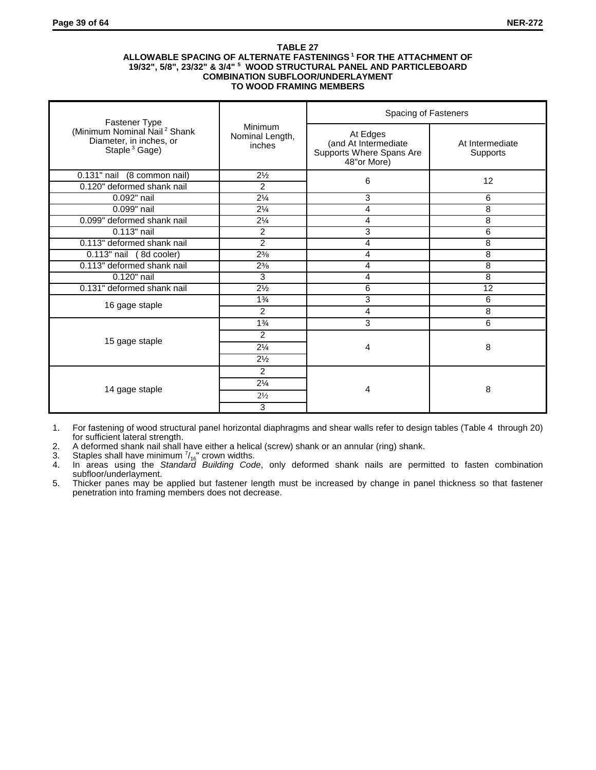#### **TABLE 27 ALLOWABLE SPACING OF ALTERNATE FASTENINGS 1 FOR THE ATTACHMENT OF 19/32", 5/8", 23/32" & 3/4" <sup>5</sup> WOOD STRUCTURAL PANEL AND PARTICLEBOARD COMBINATION SUBFLOOR/UNDERLAYMENT TO WOOD FRAMING MEMBERS**

| Fastener Type                                                                                    |                                      | Spacing of Fasteners                                                        |                             |  |  |
|--------------------------------------------------------------------------------------------------|--------------------------------------|-----------------------------------------------------------------------------|-----------------------------|--|--|
| (Minimum Nominal Nail <sup>2</sup> Shank<br>Diameter, in inches, or<br>Staple <sup>3</sup> Gage) | Minimum<br>Nominal Length,<br>inches | At Edges<br>(and At Intermediate<br>Supports Where Spans Are<br>48"or More) | At Intermediate<br>Supports |  |  |
| $\overline{0.131}$ " nail (8 common nail)                                                        | $2\frac{1}{2}$                       | 6                                                                           | 12                          |  |  |
| 0.120" deformed shank nail                                                                       | 2                                    |                                                                             |                             |  |  |
| 0.092" nail                                                                                      | $2\frac{1}{4}$                       | 3                                                                           | 6                           |  |  |
| 0.099" nail                                                                                      | $2\frac{1}{4}$                       | 4                                                                           | 8                           |  |  |
| 0.099" deformed shank nail                                                                       | $2\frac{1}{4}$                       | 4                                                                           | 8                           |  |  |
| 0.113" nail                                                                                      | $\overline{c}$                       | 3                                                                           | 6                           |  |  |
| 0.113" deformed shank nail                                                                       | $\overline{2}$                       | 4                                                                           | 8                           |  |  |
| 0.113" nail (8d cooler)                                                                          | $2^{3/8}$                            | 4                                                                           | 8                           |  |  |
| 0.113" deformed shank nail                                                                       | $2^{3/8}$                            | 4                                                                           | 8                           |  |  |
| 0.120" nail                                                                                      | 3                                    | 4                                                                           | 8                           |  |  |
| 0.131" deformed shank nail                                                                       | $2\frac{1}{2}$                       | 6                                                                           | 12                          |  |  |
| 16 gage staple                                                                                   | $1\frac{3}{4}$                       | 3                                                                           | 6                           |  |  |
|                                                                                                  | $\overline{2}$                       | 4                                                                           | 8                           |  |  |
|                                                                                                  | $1\frac{3}{4}$                       | 3                                                                           | 6                           |  |  |
|                                                                                                  | $\overline{2}$                       |                                                                             |                             |  |  |
| 15 gage staple                                                                                   | $2\frac{1}{4}$                       | 4                                                                           | 8                           |  |  |
|                                                                                                  | $2\frac{1}{2}$                       |                                                                             |                             |  |  |
|                                                                                                  | $\overline{2}$                       |                                                                             |                             |  |  |
|                                                                                                  | $2\frac{1}{4}$                       |                                                                             |                             |  |  |
| 14 gage staple                                                                                   | $2\frac{1}{2}$                       | 4                                                                           | 8                           |  |  |
|                                                                                                  | 3                                    |                                                                             |                             |  |  |

1. For fastening of wood structural panel horizontal diaphragms and shear walls refer to design tables (Table 4 through 20) for sufficient lateral strength.

2. A deformed shank nail shall have either a helical (screw) shank or an annular (ring) shank.

3. Staples shall have minimum  $\frac{7}{16}$  crown widths.

4. In areas using the *Standard Building Code*, only deformed shank nails are permitted to fasten combination subfloor/underlayment.

5. Thicker panes may be applied but fastener length must be increased by change in panel thickness so that fastener penetration into framing members does not decrease.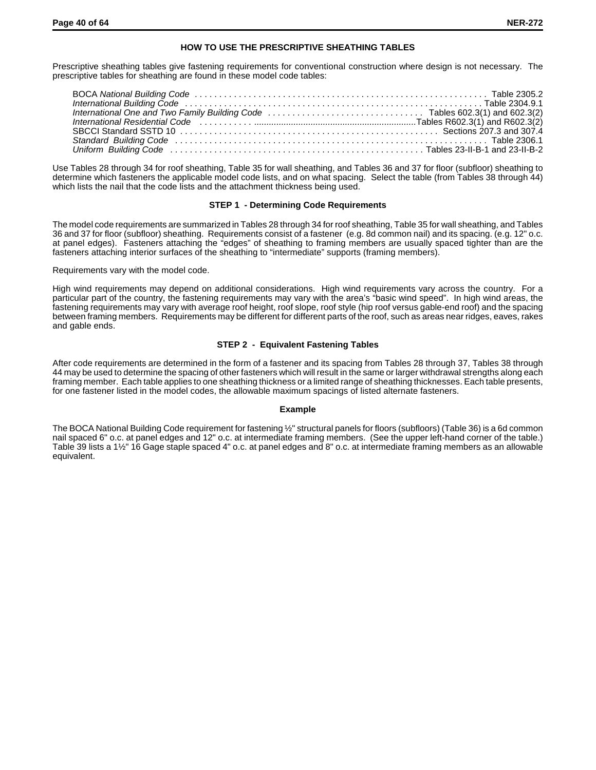## **HOW TO USE THE PRESCRIPTIVE SHEATHING TABLES**

Prescriptive sheathing tables give fastening requirements for conventional construction where design is not necessary. The prescriptive tables for sheathing are found in these model code tables:

Use Tables 28 through 34 for roof sheathing, Table 35 for wall sheathing, and Tables 36 and 37 for floor (subfloor) sheathing to determine which fasteners the applicable model code lists, and on what spacing. Select the table (from Tables 38 through 44) which lists the nail that the code lists and the attachment thickness being used.

## **STEP 1 - Determining Code Requirements**

The model code requirements are summarized in Tables 28 through 34 for roof sheathing, Table 35 for wall sheathing, and Tables 36 and 37 for floor (subfloor) sheathing. Requirements consist of a fastener (e.g. 8d common nail) and its spacing. (e.g. 12" o.c. at panel edges). Fasteners attaching the "edges" of sheathing to framing members are usually spaced tighter than are the fasteners attaching interior surfaces of the sheathing to "intermediate" supports (framing members).

Requirements vary with the model code.

High wind requirements may depend on additional considerations. High wind requirements vary across the country. For a particular part of the country, the fastening requirements may vary with the area's "basic wind speed". In high wind areas, the fastening requirements may vary with average roof height, roof slope, roof style (hip roof versus gable-end roof) and the spacing between framing members. Requirements may be different for different parts of the roof, such as areas near ridges, eaves, rakes and gable ends.

## **STEP 2 - Equivalent Fastening Tables**

After code requirements are determined in the form of a fastener and its spacing from Tables 28 through 37, Tables 38 through 44 may be used to determine the spacing of other fasteners which will result in the same or larger withdrawal strengths along each framing member. Each table applies to one sheathing thickness or a limited range of sheathing thicknesses. Each table presents, for one fastener listed in the model codes, the allowable maximum spacings of listed alternate fasteners.

#### **Example**

The BOCA National Building Code requirement for fastening ½" structural panels for floors (subfloors) (Table 36) is a 6d common nail spaced 6" o.c. at panel edges and 12" o.c. at intermediate framing members. (See the upper left-hand corner of the table.) Table 39 lists a 1½" 16 Gage staple spaced 4" o.c. at panel edges and 8" o.c. at intermediate framing members as an allowable equivalent.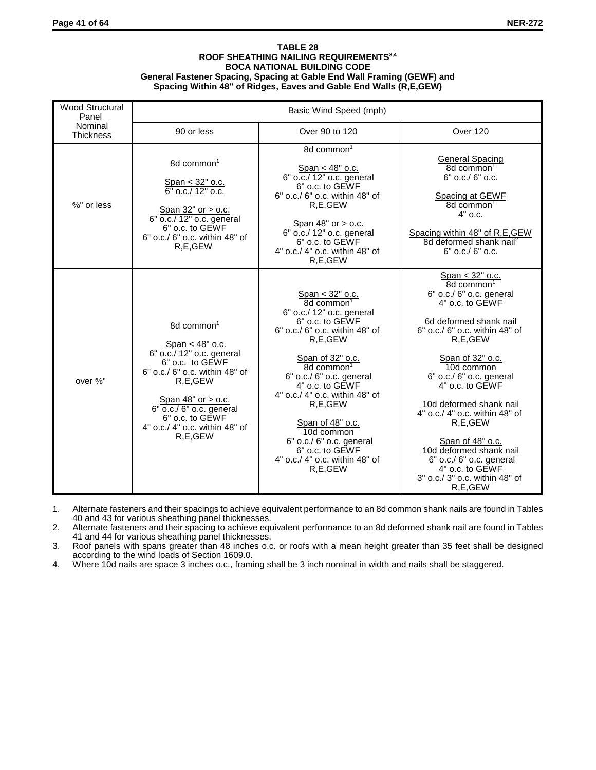#### **TABLE 28 ROOF SHEATHING NAILING REQUIREMENTS3,4 BOCA NATIONAL BUILDING CODE General Fastener Spacing, Spacing at Gable End Wall Framing (GEWF) and Spacing Within 48" of Ridges, Eaves and Gable End Walls (R,E,GEW)**

| <b>Wood Structural</b><br>Panel | Basic Wind Speed (mph)                                                                                                                                                                                                                                     |                                                                                                                                                                                                                                                                                                                                                                                                                                                      |                                                                                                                                                                                                                                                                                                                                                                                                                                                                                     |  |  |  |  |
|---------------------------------|------------------------------------------------------------------------------------------------------------------------------------------------------------------------------------------------------------------------------------------------------------|------------------------------------------------------------------------------------------------------------------------------------------------------------------------------------------------------------------------------------------------------------------------------------------------------------------------------------------------------------------------------------------------------------------------------------------------------|-------------------------------------------------------------------------------------------------------------------------------------------------------------------------------------------------------------------------------------------------------------------------------------------------------------------------------------------------------------------------------------------------------------------------------------------------------------------------------------|--|--|--|--|
| Nominal<br><b>Thickness</b>     | 90 or less                                                                                                                                                                                                                                                 | Over 90 to 120                                                                                                                                                                                                                                                                                                                                                                                                                                       | Over 120                                                                                                                                                                                                                                                                                                                                                                                                                                                                            |  |  |  |  |
| $5/8"$ or less                  | 8d common <sup>1</sup><br>Span < 32" o.c.<br>$6"$ o.c./ 12" o.c.<br>Span 32" or > o.c.<br>6" o.c./ 12" o.c. general<br>6" o.c. to GEWF<br>6" o.c./ 6" o.c. within 48" of<br>R.E.GEW                                                                        | 8d common <sup>1</sup><br>Span < 48" o.c.<br>6" o.c./ 12" o.c. general<br>6" o.c. to GEWF<br>6" o.c./ 6" o.c. within 48" of<br>R.E.GEW<br>Span $48"$ or $>$ o.c.<br>6" o.c./ 12" o.c. general<br>6" o.c. to GEWF<br>4" o.c./ 4" o.c. within 48" of<br>R,E,GEW                                                                                                                                                                                        | <b>General Spacing</b><br>8d common <sup>1</sup><br>$6"$ o.c./ $6"$ o.c.<br>Spacing at GEWF<br>8d common <sup>1</sup><br>$4"$ o.c.<br>Spacing within 48" of R,E,GEW<br>8d deformed shank nail <sup>2</sup><br>$6"$ o.c./ $6"$ o.c.                                                                                                                                                                                                                                                  |  |  |  |  |
| over $\frac{5}{8}$ "            | 8d common <sup>1</sup><br>Span $<$ 48" o.c.<br>6" o.c./ 12" o.c. general<br>6" o.c. to GEWF<br>6" o.c./ 6" o.c. within 48" of<br>R.E.GEW<br>Span 48" or > o.c.<br>6" o.c./ 6" o.c. general<br>6" o.c. to GEWF<br>4" o.c./ 4" o.c. within 48" of<br>R.E.GEW | $\frac{Span < 32" \text{ o.c.}}{8d \text{ common}^1}$<br>6" o.c./ 12" o.c. general<br>6" o.c. to GEWF<br>$6"$ o.c./ $6"$ o.c. within 48" of<br>R.E.GEW<br>$\frac{\text{Span of } 32" \text{ o.c.}}{8d \text{ common}^1}$<br>6" o.c./ 6" o.c. general<br>$4"$ o.c. to GEWF<br>4" o.c./ 4" o.c. within 48" of<br>R.E.GEW<br>Span of 48" o.c.<br>10d common<br>6" o.c./ 6" o.c. general<br>6" o.c. to GEWF<br>4" o.c./ 4" o.c. within 48" of<br>R,E,GEW | $\frac{Span < 32" \text{ o.c.}}{8d \text{ common}^1}$<br>6" o.c./ 6" o.c. general<br>4" o.c. to GEWF<br>6d deformed shank nail<br>6" o.c./ 6" o.c. within 48" of<br>R.E.GEW<br>Span of 32" o.c.<br>10d common<br>6" o.c./ 6" o.c. general<br>4" o.c. to GEWF<br>10d deformed shank nail<br>4" o.c./ 4" o.c. within 48" of<br>R.E.GEW<br>Span of 48" o.c.<br>10d deformed shank nail<br>$6"$ o.c./ $6"$ o.c. general<br>4" o.c. to GEWF<br>3" o.c./ 3" o.c. within 48" of<br>R,E,GEW |  |  |  |  |

1. Alternate fasteners and their spacings to achieve equivalent performance to an 8d common shank nails are found in Tables 40 and 43 for various sheathing panel thicknesses.

2. Alternate fasteners and their spacing to achieve equivalent performance to an 8d deformed shank nail are found in Tables 41 and 44 for various sheathing panel thicknesses.

3. Roof panels with spans greater than 48 inches o.c. or roofs with a mean height greater than 35 feet shall be designed according to the wind loads of Section 1609.0.

4. Where 10d nails are space 3 inches o.c., framing shall be 3 inch nominal in width and nails shall be staggered.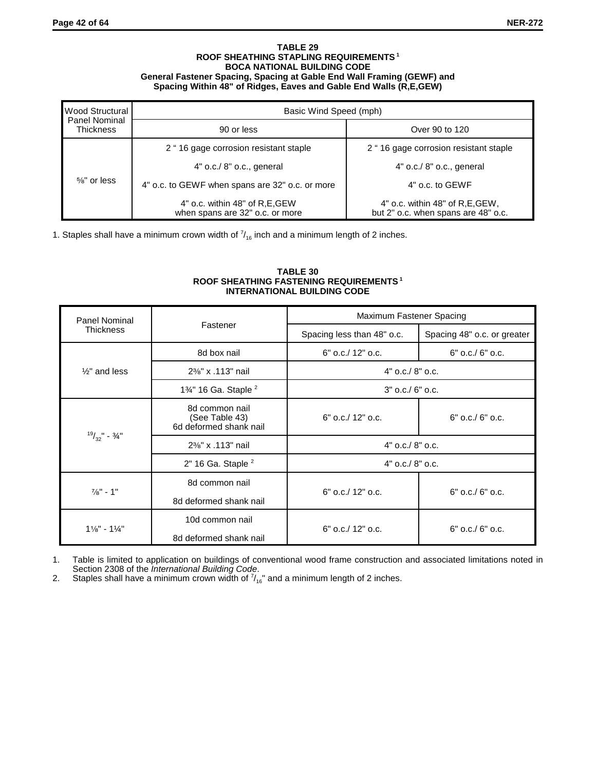#### **TABLE 29 ROOF SHEATHING STAPLING REQUIREMENTS 1 BOCA NATIONAL BUILDING CODE General Fastener Spacing, Spacing at Gable End Wall Framing (GEWF) and Spacing Within 48" of Ridges, Eaves and Gable End Walls (R,E,GEW)**

| <b>Wood Structural</b>                   | Basic Wind Speed (mph)                                             |                                                                         |  |  |
|------------------------------------------|--------------------------------------------------------------------|-------------------------------------------------------------------------|--|--|
| <b>Panel Nominal</b><br><b>Thickness</b> | 90 or less                                                         | Over 90 to 120                                                          |  |  |
|                                          | 2 "16 gage corrosion resistant staple                              | 2 "16 gage corrosion resistant staple                                   |  |  |
| $5/8"$ or less                           | $4"$ o.c./ $8"$ o.c., general                                      | 4" o.c./ 8" o.c., general                                               |  |  |
|                                          | 4" o.c. to GEWF when spans are 32" o.c. or more                    | 4" o.c. to GEWF                                                         |  |  |
|                                          | 4" o.c. within 48" of R, E, GEW<br>when spans are 32" o.c. or more | 4" o.c. within 48" of R, E, GEW,<br>but 2" o.c. when spans are 48" o.c. |  |  |

1. Staples shall have a minimum crown width of  $\frac{7}{16}$  inch and a minimum length of 2 inches.

## **TABLE 30 ROOF SHEATHING FASTENING REQUIREMENTS 1 INTERNATIONAL BUILDING CODE**

| <b>Panel Nominal</b>                                             |                                                            | Maximum Fastener Spacing   |                             |  |
|------------------------------------------------------------------|------------------------------------------------------------|----------------------------|-----------------------------|--|
| <b>Thickness</b>                                                 | Fastener                                                   | Spacing less than 48" o.c. | Spacing 48" o.c. or greater |  |
|                                                                  | 8d box nail                                                | $6"$ o.c./ 12" o.c.        | $6"$ o.c./ $6"$ o.c.        |  |
| $\frac{1}{2}$ " and less                                         | 2%" x .113" nail                                           | $4"$ o.c./ $8"$ o.c.       |                             |  |
|                                                                  | 1%" 16 Ga. Staple <sup>2</sup>                             | $3"$ o.c./ $6"$ o.c.       |                             |  |
|                                                                  | 8d common nail<br>(See Table 43)<br>6d deformed shank nail | $6"$ o.c./ 12" o.c.        | $6"$ o.c./ $6"$ o.c.        |  |
| $^{19}/_{32}$ " - 3/4"                                           | 2%" x .113" nail                                           | $4"$ o.c./ $8"$ o.c.       |                             |  |
|                                                                  | $2"$ 16 Ga. Staple $^2$                                    | $4"$ o.c./ $8"$ o.c.       |                             |  |
| 8d common nail<br>$\frac{7}{8}$ " - 1"<br>8d deformed shank nail |                                                            | $6"$ o.c./ 12" o.c.        | $6"$ o.c./ $6"$ o.c.        |  |
| $1\frac{1}{8}$ " - $1\frac{1}{4}$ "                              | 10d common nail<br>8d deformed shank nail                  | $6"$ o.c./ 12" o.c.        | $6"$ o.c./ $6"$ o.c.        |  |

1. Table is limited to application on buildings of conventional wood frame construction and associated limitations noted in Section 2308 of the *International Building Code*.

2. Staples shall have a minimum crown width of  $\frac{7}{16}$ " and a minimum length of 2 inches.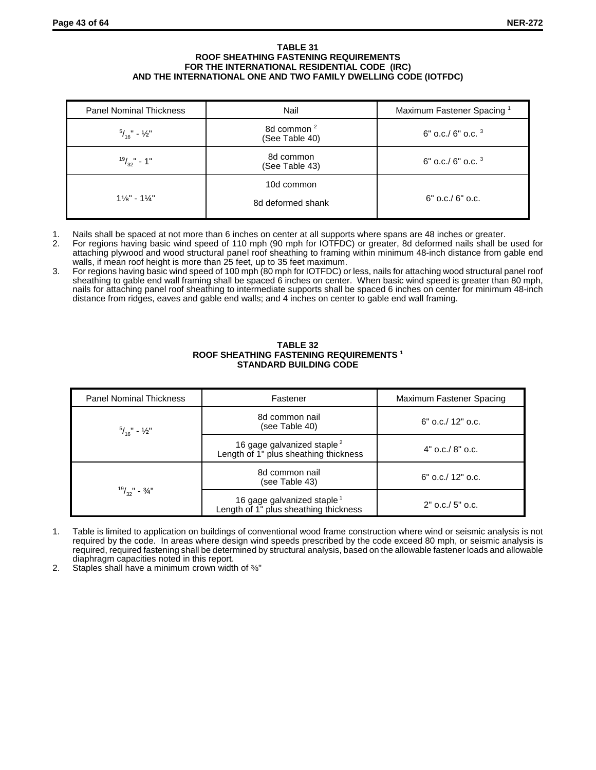#### **TABLE 31 ROOF SHEATHING FASTENING REQUIREMENTS FOR THE INTERNATIONAL RESIDENTIAL CODE (IRC) AND THE INTERNATIONAL ONE AND TWO FAMILY DWELLING CODE (IOTFDC)**

| <b>Panel Nominal Thickness</b>      | Nail                                     | Maximum Fastener Spacing <sup>1</sup> |
|-------------------------------------|------------------------------------------|---------------------------------------|
| $^{5}/_{16}$ " - $\frac{1}{2}$ "    | 8d common <sup>2</sup><br>(See Table 40) | 6" o.c./ 6" o.c. $3$                  |
| $19/32" - 1"$                       | 8d common<br>(See Table 43)              | $6"$ o.c./ $6"$ o.c. $3"$             |
| $1\frac{1}{8}$ " - $1\frac{1}{4}$ " | 10d common<br>8d deformed shank          | $6"$ o.c./ $6"$ o.c.                  |

- 1. Nails shall be spaced at not more than 6 inches on center at all supports where spans are 48 inches or greater.<br>2. For regions having basic wind speed of 110 mph (90 mph for IOTFDC) or greater. 8d deformed nails shall b
- 2. For regions having basic wind speed of 110 mph (90 mph for IOTFDC) or greater, 8d deformed nails shall be used for attaching plywood and wood structural panel roof sheathing to framing within minimum 48-inch distance from gable end walls, if mean roof height is more than 25 feet, up to 35 feet maximum.
- 3. For regions having basic wind speed of 100 mph (80 mph for IOTFDC) or less, nails for attaching wood structural panel roof sheathing to gable end wall framing shall be spaced 6 inches on center. When basic wind speed is greater than 80 mph, nails for attaching panel roof sheathing to intermediate supports shall be spaced 6 inches on center for minimum 48-inch distance from ridges, eaves and gable end walls; and 4 inches on center to gable end wall framing.

| <b>Panel Nominal Thickness</b>   | Fastener                                                                        | Maximum Fastener Spacing |
|----------------------------------|---------------------------------------------------------------------------------|--------------------------|
| $^{5}/_{16}$ " - $\frac{1}{2}$ " | 8d common nail<br>(see Table 40)                                                | $6"$ o.c./ 12" o.c.      |
|                                  | 16 gage galvanized staple <sup>2</sup><br>Length of 1" plus sheathing thickness | $4"$ o.c./ $8"$ o.c.     |
|                                  | 8d common nail<br>(see Table 43)                                                | $6"$ o.c./ 12" o.c.      |
| $^{19}/_{22}$ " - 3/4"           | 16 gage galvanized staple <sup>1</sup><br>Length of 1" plus sheathing thickness | $2"$ o.c./ $5"$ o.c.     |

#### **TABLE 32 ROOF SHEATHING FASTENING REQUIREMENTS <sup>1</sup> STANDARD BUILDING CODE**

- 1. Table is limited to application on buildings of conventional wood frame construction where wind or seismic analysis is not required by the code. In areas where design wind speeds prescribed by the code exceed 80 mph, or seismic analysis is required, required fastening shall be determined by structural analysis, based on the allowable fastener loads and allowable diaphragm capacities noted in this report.
- 2. Staples shall have a minimum crown width of  $\frac{3}{8}$ "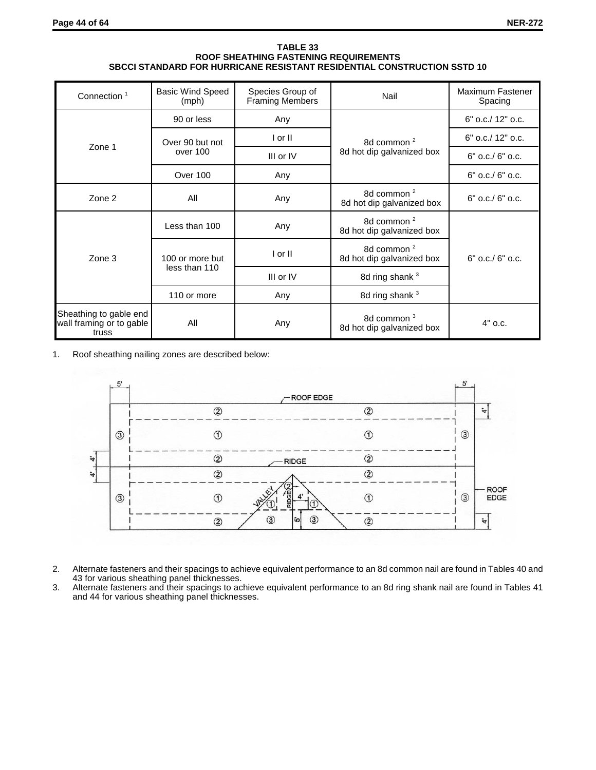#### **TABLE 33 ROOF SHEATHING FASTENING REQUIREMENTS SBCCI STANDARD FOR HURRICANE RESISTANT RESIDENTIAL CONSTRUCTION SSTD 10**

| Connection <sup>1</sup>                                     | <b>Basic Wind Speed</b><br>(mph) | Species Group of<br><b>Framing Members</b> | Nail                                                | Maximum Fastener<br>Spacing |
|-------------------------------------------------------------|----------------------------------|--------------------------------------------|-----------------------------------------------------|-----------------------------|
|                                                             | 90 or less                       | Any                                        |                                                     | $6"$ o.c./ 12" o.c.         |
|                                                             | Over 90 but not                  | I or II                                    | 8d common <sup>2</sup>                              | 6" o.c./ 12" o.c.           |
| Zone 1                                                      | over 100                         | III or IV                                  | 8d hot dip galvanized box                           | $6"$ o.c./ $6"$ o.c.        |
|                                                             | Over 100                         | Any                                        |                                                     | $6"$ o.c./ $6"$ o.c.        |
| Zone 2                                                      | All                              | Any                                        | 8d common <sup>2</sup><br>8d hot dip galvanized box | $6"$ o.c./ $6"$ o.c.        |
| Zone 3                                                      | Less than 100                    | Any                                        | 8d common <sup>2</sup><br>8d hot dip galvanized box |                             |
|                                                             | 100 or more but                  | I or II                                    | 8d common <sup>2</sup><br>8d hot dip galvanized box | $6"$ o.c./ $6"$ o.c.        |
|                                                             | less than 110                    | III or IV                                  | 8d ring shank 3                                     |                             |
|                                                             | 110 or more                      | Any                                        | 8d ring shank 3                                     |                             |
| Sheathing to gable end<br>wall framing or to gable<br>truss | All                              | Any                                        | 8d common <sup>3</sup><br>8d hot dip galvanized box | $4"$ o.c.                   |

1. Roof sheathing nailing zones are described below:



- 2. Alternate fasteners and their spacings to achieve equivalent performance to an 8d common nail are found in Tables 40 and 43 for various sheathing panel thicknesses.
- 3. Alternate fasteners and their spacings to achieve equivalent performance to an 8d ring shank nail are found in Tables 41 and 44 for various sheathing panel thicknesses.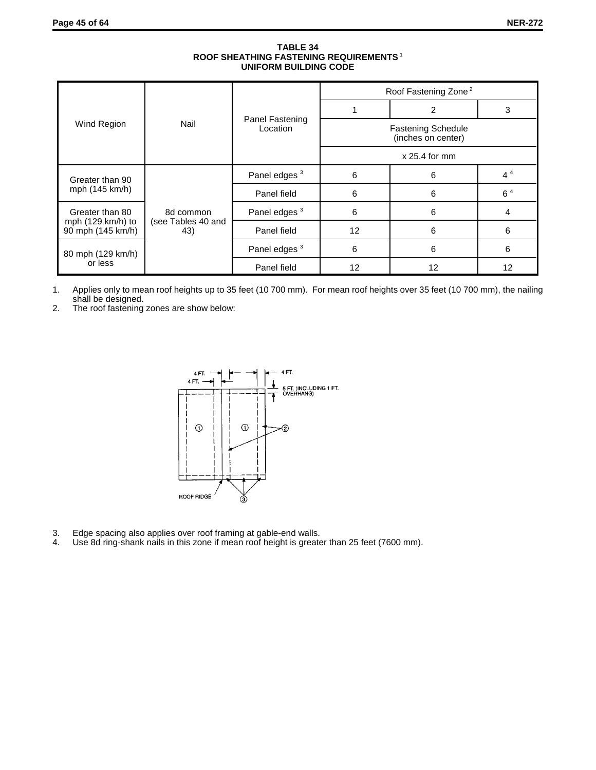#### **TABLE 34 ROOF SHEATHING FASTENING REQUIREMENTS 1 UNIFORM BUILDING CODE**

|                                                  |                           |                             | Roof Fastening Zone <sup>2</sup>                |    |                |  |
|--------------------------------------------------|---------------------------|-----------------------------|-------------------------------------------------|----|----------------|--|
|                                                  | Nail                      | Panel Fastening<br>Location |                                                 | 2  | 3              |  |
| Wind Region                                      |                           |                             | <b>Fastening Schedule</b><br>(inches on center) |    |                |  |
|                                                  |                           |                             | $x 25.4$ for mm                                 |    |                |  |
| Greater than 90<br>mph (145 km/h)                |                           | Panel edges <sup>3</sup>    | 6                                               | 6  | $4^4$          |  |
|                                                  |                           | Panel field                 | 6                                               | 6  | 6 <sup>4</sup> |  |
| Greater than 80                                  | 8d common                 | Panel edges <sup>3</sup>    | 6                                               | 6  | 4              |  |
| mph $(129 \text{ km/h})$ to<br>90 mph (145 km/h) | (see Tables 40 and<br>43) | Panel field                 | 12                                              | 6  | 6              |  |
| 80 mph (129 km/h)                                |                           | Panel edges <sup>3</sup>    | 6                                               | 6  | 6              |  |
| or less                                          |                           | Panel field                 | 12                                              | 12 | 12             |  |

1. Applies only to mean roof heights up to 35 feet (10 700 mm). For mean roof heights over 35 feet (10 700 mm), the nailing shall be designed.

2. The roof fastening zones are show below:



- 3. Edge spacing also applies over roof framing at gable-end walls.<br>4. Use 8d ring-shank nails in this zone if mean roof height is greate
- Use 8d ring-shank nails in this zone if mean roof height is greater than 25 feet (7600 mm).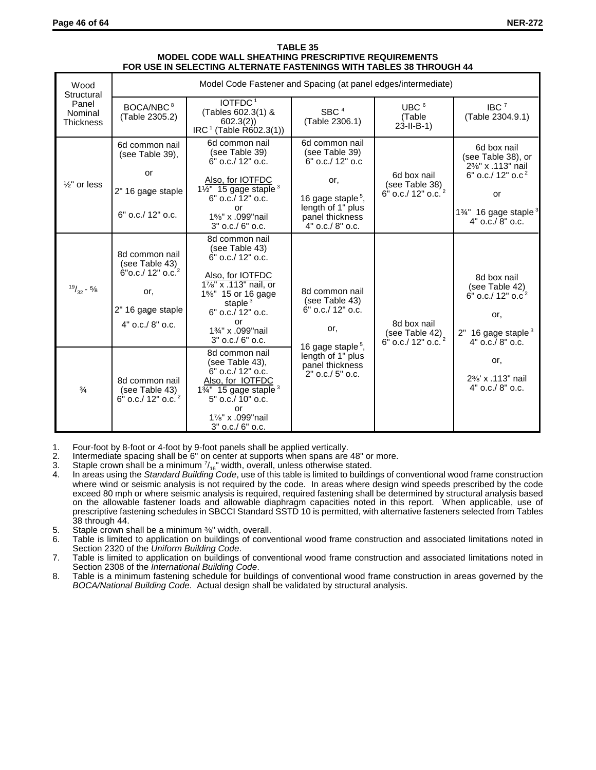| Wood<br>Structural                   |                                                                                                                        | Model Code Fastener and Spacing (at panel edges/intermediate)                                                                                                                                               |                                                                                                                                                              |                                                                 |                                                                                                                                                                                     |
|--------------------------------------|------------------------------------------------------------------------------------------------------------------------|-------------------------------------------------------------------------------------------------------------------------------------------------------------------------------------------------------------|--------------------------------------------------------------------------------------------------------------------------------------------------------------|-----------------------------------------------------------------|-------------------------------------------------------------------------------------------------------------------------------------------------------------------------------------|
| Panel<br>Nominal<br><b>Thickness</b> | BOCA/NBC <sup>8</sup><br>(Table 2305.2)                                                                                | IOTFDC <sup>1</sup><br>(Tables 602.3(1) &<br>602.3(2)<br>$IRC1$ (Table R602.3(1))                                                                                                                           | SBC <sup>4</sup><br>(Table 2306.1)                                                                                                                           | UBC $6$<br>(Table<br>$23 - 11 - B - 1$                          | IBC <sup>7</sup><br>(Table 2304.9.1)                                                                                                                                                |
| $\frac{1}{2}$ " or less              | 6d common nail<br>(see Table 39),<br>or<br>2" 16 gage staple<br>$6"$ o.c./ 12" o.c.                                    | 6d common nail<br>(see Table 39)<br>6" o.c./ 12" o.c.<br>Also, for IOTFDC<br>$1\overline{\frac{1}{2}}$ 15 gage staple <sup>3</sup><br>6" o.c./ 12" o.c.<br>or<br>1%" x .099" nail<br>$3"$ o.c./ $6"$ o.c.   | 6d common nail<br>(see Table 39)<br>6" o.c./ 12" o.c<br>or,<br>16 gage staple <sup>5</sup> ,<br>length of 1" plus<br>panel thickness<br>$4"$ o.c./ $8"$ o.c. | 6d box nail<br>(see Table 38)<br>6" o.c./ 12" o.c. <sup>2</sup> | 6d box nail<br>(see Table 38), or<br>2%" x .113" nail<br>6" o.c./ $12"$ o.c <sup>2</sup><br>or<br>1 <sup>3</sup> / <sub>4</sub> 16 gage staple <sup>3</sup><br>$4"$ o.c./ $8"$ o.c. |
| $19/32 - 5/8$                        | 8d common nail<br>(see Table 43)<br>6" o.c./ 12" o.c. <sup>2</sup><br>or,<br>2" 16 gage staple<br>$4"$ o.c./ $8"$ o.c. | 8d common nail<br>(see Table 43)<br>6" o.c./ 12" o.c.<br>Also, for IOTFDC<br>1%" x .113" nail, or<br>1%" 15 or 16 gage<br>staple $3$<br>6" o.c./ 12" o.c.<br>or<br>1%" x .099" nail<br>$3"$ o.c./ $6"$ o.c. | 8d common nail<br>(see Table 43)<br>6" o.c./ 12" o.c.<br>or,                                                                                                 | 8d box nail<br>(see Table 42)<br>6" o.c./ 12" o.c. <sup>2</sup> | 8d box nail<br>(see Table 42)<br>$6"$ o.c./ 12" o.c <sup>2</sup><br>or,<br>$2" 16$ gage staple $3$<br>$4"$ o.c./ $8"$ o.c.                                                          |
| $\frac{3}{4}$                        | 8d common nail<br>(see Table 43)<br>6" o.c./ 12" o.c. <sup>2</sup>                                                     | 8d common nail<br>(see Table 43),<br>$6"$ o.c./ 12" o.c.<br>Also, for IOTFDC<br>$1\frac{3}{4}$ 15 gage staple <sup>3</sup><br>5" o.c./ 10" o.c.<br>or<br>17/8" x .099" nail<br>3" o.c./ 6" o.c.             | 16 gage staple <sup>5</sup> ,<br>length of 1" plus<br>panel thickness<br>$2"$ o.c./ $5"$ o.c.                                                                |                                                                 | or,<br>2% x .113" nail<br>$4"$ o.c./ $8"$ o.c.                                                                                                                                      |

#### **TABLE 35 MODEL CODE WALL SHEATHING PRESCRIPTIVE REQUIREMENTS FOR USE IN SELECTING ALTERNATE FASTENINGS WITH TABLES 38 THROUGH 44**

- 1. Four-foot by 8-foot or 4-foot by 9-foot panels shall be applied vertically.
- 2. Intermediate spacing shall be 6" on center at supports when spans are 48" or more.
- 3. Staple crown shall be a minimum  $\frac{7}{16}$ " width, overall, unless otherwise stated.
- 4. In areas using the *Standard Building Code*, use of this table is limited to buildings of conventional wood frame construction where wind or seismic analysis is not required by the code. In areas where design wind speeds prescribed by the code exceed 80 mph or where seismic analysis is required, required fastening shall be determined by structural analysis based on the allowable fastener loads and allowable diaphragm capacities noted in this report. When applicable, use of prescriptive fastening schedules in SBCCI Standard SSTD 10 is permitted, with alternative fasteners selected from Tables 38 through 44.
- 5. Staple crown shall be a minimum  $\frac{36}{8}$  width, overall.<br>6. Table is limited to application on buildings of conve
- Table is limited to application on buildings of conventional wood frame construction and associated limitations noted in Section 2320 of the *Uniform Building Code*.
- 7. Table is limited to application on buildings of conventional wood frame construction and associated limitations noted in Section 2308 of the *International Building Code*.
- 8. Table is a minimum fastening schedule for buildings of conventional wood frame construction in areas governed by the *BOCA/National Building Code*. Actual design shall be validated by structural analysis.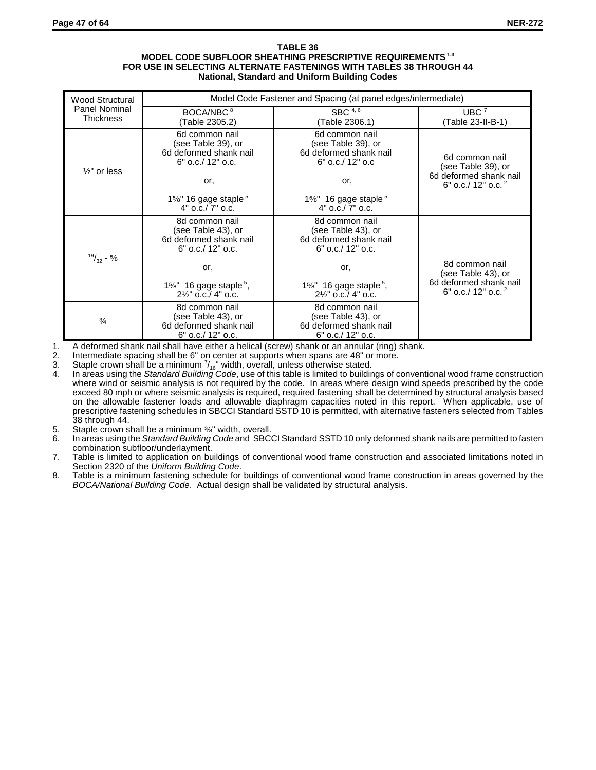#### **TABLE 36 MODEL CODE SUBFLOOR SHEATHING PRESCRIPTIVE REQUIREMENTS 1,3 FOR USE IN SELECTING ALTERNATE FASTENINGS WITH TABLES 38 THROUGH 44 National, Standard and Uniform Building Codes**

| <b>Wood Structural</b>                                                                                                         | Model Code Fastener and Spacing (at panel edges/intermediate)                         |                                                                                      |                                                                                                  |  |
|--------------------------------------------------------------------------------------------------------------------------------|---------------------------------------------------------------------------------------|--------------------------------------------------------------------------------------|--------------------------------------------------------------------------------------------------|--|
| <b>Panel Nominal</b><br>Thickness                                                                                              | BOCA/NBC <sup>8</sup><br>(Table 2305.2)                                               | SBC $4,6$<br>(Table 2306.1)                                                          | UBC <sup>7</sup><br>(Table 23-II-B-1)                                                            |  |
| 6d common nail<br>(see Table 39), or<br>6d deformed shank nail<br>$6"$ o.c./ 12" o.c.<br>$\frac{1}{2}$ " or less<br>or.<br>or. |                                                                                       | 6d common nail<br>(see Table 39), or<br>6d deformed shank nail<br>$6"$ o.c./ 12" o.c | 6d common nail<br>(see Table 39), or<br>6d deformed shank nail<br>6" o.c./ 12" o.c. <sup>2</sup> |  |
|                                                                                                                                | $1\%$ " 16 gage staple $5$<br>$4"$ o.c./ $7"$ o.c.                                    | $1\%$ " 16 gage staple <sup>5</sup><br>$4"$ o.c./ $7"$ o.c.                          |                                                                                                  |  |
| $19/32 - 5/8$                                                                                                                  | 8d common nail<br>(see Table 43), or<br>6d deformed shank nail<br>$6"$ o.c./ 12" o.c. | 8d common nail<br>(see Table 43), or<br>6d deformed shank nail<br>6" o.c./ 12" o.c.  |                                                                                                  |  |
|                                                                                                                                | or,                                                                                   | or,                                                                                  | 8d common nail<br>(see Table 43), or                                                             |  |
|                                                                                                                                | $1\%$ " 16 gage staple <sup>5</sup> ,<br>$2\frac{1}{2}$ " o.c./ 4" o.c.               | $1\%$ " 16 gage staple <sup>5</sup> ,<br>$2\frac{1}{2}$ " o.c./ 4" o.c.              | 6d deformed shank nail<br>6" o.c./ 12" o.c. <sup>2</sup>                                         |  |
| $\frac{3}{4}$                                                                                                                  | 8d common nail<br>(see Table 43), or<br>6d deformed shank nail<br>6" o.c./ 12" o.c.   | 8d common nail<br>(see Table 43), or<br>6d deformed shank nail<br>6" o.c./ 12" o.c.  |                                                                                                  |  |

1. A deformed shank nail shall have either a helical (screw) shank or an annular (ring) shank.

2. Intermediate spacing shall be 6" on center at supports when spans are 48" or more.<br>3. Staple crown shall be a minimum  $\frac{7}{16}$ " width, overall, unless otherwise stated.

3. Staple crown shall be a minimum  $\frac{7}{16}$  width, overall, unless otherwise stated.

- 4. In areas using the *Standard Building Code*, use of this table is limited to buildings of conventional wood frame construction where wind or seismic analysis is not required by the code. In areas where design wind speeds prescribed by the code exceed 80 mph or where seismic analysis is required, required fastening shall be determined by structural analysis based on the allowable fastener loads and allowable diaphragm capacities noted in this report. When applicable, use of prescriptive fastening schedules in SBCCI Standard SSTD 10 is permitted, with alternative fasteners selected from Tables 38 through 44.
- 5. Staple crown shall be a minimum %" width, overall.
- 6. In areas using the *Standard Building Code* and SBCCI Standard SSTD 10 only deformed shank nails are permitted to fasten combination subfloor/underlayment.
- 7. Table is limited to application on buildings of conventional wood frame construction and associated limitations noted in Section 2320 of the *Uniform Building Code*.
- 8. Table is a minimum fastening schedule for buildings of conventional wood frame construction in areas governed by the *BOCA/National Building Code*. Actual design shall be validated by structural analysis.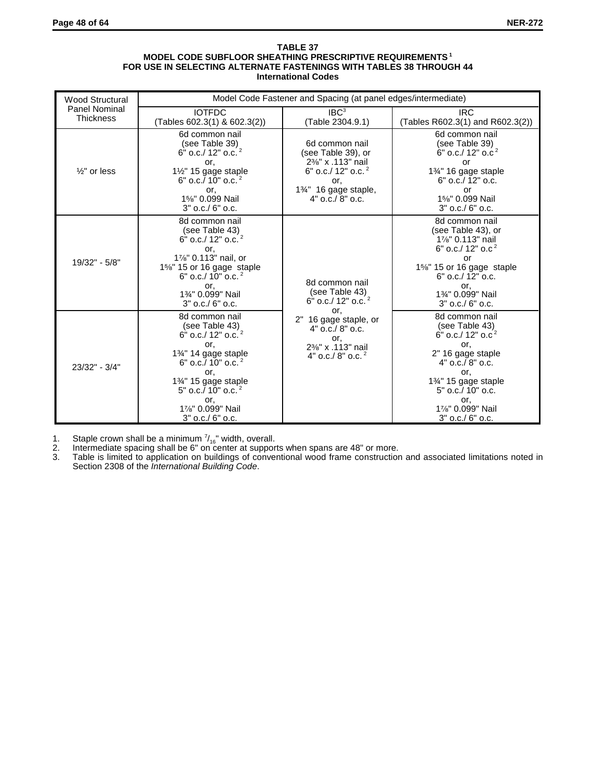#### **TABLE 37 MODEL CODE SUBFLOOR SHEATHING PRESCRIPTIVE REQUIREMENTS 1 FOR USE IN SELECTING ALTERNATE FASTENINGS WITH TABLES 38 THROUGH 44 International Codes**

| <b>Wood Structural</b>            | Model Code Fastener and Spacing (at panel edges/intermediate)                                                                                                                                                                               |                                                                                                                                         |                                                                                                                                                                                                                         |  |
|-----------------------------------|---------------------------------------------------------------------------------------------------------------------------------------------------------------------------------------------------------------------------------------------|-----------------------------------------------------------------------------------------------------------------------------------------|-------------------------------------------------------------------------------------------------------------------------------------------------------------------------------------------------------------------------|--|
| Panel Nominal<br><b>Thickness</b> | <b>IOTFDC</b><br>(Tables 602.3(1) & 602.3(2))                                                                                                                                                                                               | $\mathsf{IBC}^3$<br>(Table 2304.9.1)                                                                                                    | <b>IRC</b><br>(Tables R602.3(1) and R602.3(2))                                                                                                                                                                          |  |
| $\frac{1}{2}$ " or less           | 6d common nail<br>(see Table 39)<br>6" o.c./ 12" o.c. <sup>2</sup><br>or,<br>$1\frac{1}{2}$ " 15 gage staple<br>6" o.c./ 10" o.c. $2$<br>or,<br>1%" 0.099 Nail<br>3" o.c./ 6" o.c.                                                          | 6d common nail<br>(see Table 39), or<br>2%" x .113" nail<br>6" o.c./ 12" o.c. $2$<br>or,<br>1%" 16 gage staple,<br>$4"$ o.c./ $8"$ o.c. | 6d common nail<br>(see Table 39)<br>$6"$ o.c./ 12" o.c <sup>2</sup><br>or<br>1%" 16 gage staple<br>$6"$ o.c./ 12" o.c.<br>or<br>1%" 0.099 Nail<br>3" o.c./ 6" o.c.                                                      |  |
| 19/32" - 5/8"                     | 8d common nail<br>(see Table 43)<br>$6"$ o.c./ 12" o.c. <sup>2</sup><br>or,<br>1%" 0.113" nail, or<br>1%" 15 or 16 gage staple<br>6" o.c./ $10"$ o.c. <sup>2</sup><br>or,<br>1%" 0.099" Nail<br>$3"$ o.c./ $6"$ o.c.                        | 8d common nail<br>(see Table 43)<br>6" o.c./ 12" o.c. <sup>2</sup><br>or,                                                               | 8d common nail<br>(see Table 43), or<br>1%" 0.113" nail<br>6" o.c./ $12"$ o.c <sup>2</sup><br><b>or</b><br>1%" 15 or 16 gage staple<br>$6"$ o.c./ 12" o.c.<br>or,<br>1%" 0.099" Nail<br>$3"$ o.c./ $6"$ o.c.            |  |
| 23/32" - 3/4"                     | 8d common nail<br>(see Table 43)<br>6" o.c./ 12" o.c. <sup>2</sup><br>or.<br>1%" 14 gage staple<br>6" o.c./ 10" o.c. <sup>2</sup><br>or,<br>1%" 15 gage staple<br>5" o.c. $/$ 10" o.c. $^{2}$<br>or,<br>1%" 0.099" Nail<br>3" o.c./ 6" o.c. | 2" 16 gage staple, or<br>4" o.c./ 8" o.c.<br>or,<br>2%" x .113" nail<br>4" o.c./ 8" o.c. $2$                                            | 8d common nail<br>(see Table 43)<br>6" o.c./ $12"$ o.c <sup>2</sup><br>or.<br>2" 16 gage staple<br>$4"$ o.c./ $8"$ o.c.<br>or,<br>1%" 15 gage staple<br>5" o.c./ 10" o.c.<br>or,<br>1%" 0.099" Nail<br>3" o.c./ 6" o.c. |  |

1. Staple crown shall be a minimum  $\frac{7}{16}$  width, overall.

2. Intermediate spacing shall be 6" on center at supports when spans are 48" or more.

3. Table is limited to application on buildings of conventional wood frame construction and associated limitations noted in Section 2308 of the *International Building Code*.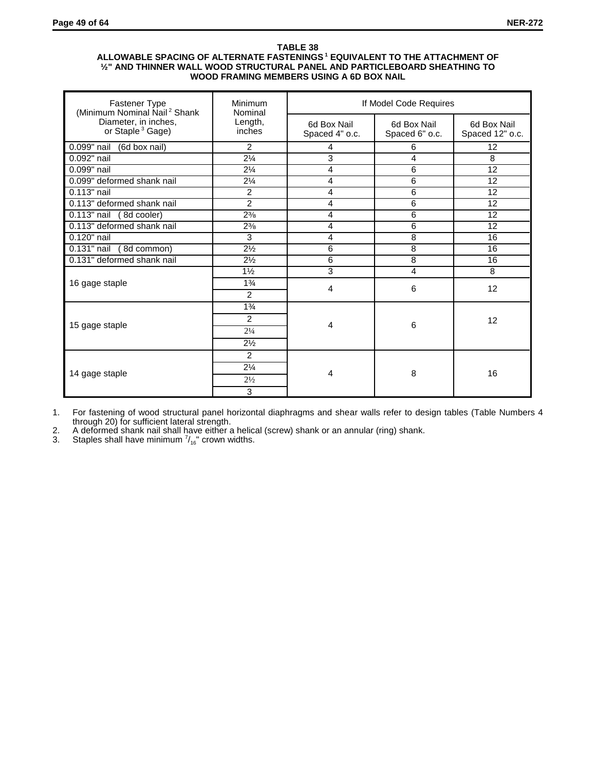#### **TABLE 38 ALLOWABLE SPACING OF ALTERNATE FASTENINGS 1 EQUIVALENT TO THE ATTACHMENT OF ½" AND THINNER WALL WOOD STRUCTURAL PANEL AND PARTICLEBOARD SHEATHING TO WOOD FRAMING MEMBERS USING A 6D BOX NAIL**

| Fastener Type<br>(Minimum Nominal Nail <sup>2</sup> Shank | Minimum<br>Nominal  | If Model Code Requires        |                               |                                |
|-----------------------------------------------------------|---------------------|-------------------------------|-------------------------------|--------------------------------|
| Diameter, in inches,<br>or Staple <sup>3</sup> Gage)      | Length,<br>inches   | 6d Box Nail<br>Spaced 4" o.c. | 6d Box Nail<br>Spaced 6" o.c. | 6d Box Nail<br>Spaced 12" o.c. |
| 0.099" nail<br>(6d box nail)                              | $\overline{2}$      | 4                             | 6                             | 12                             |
| 0.092" nail                                               | $2\frac{1}{4}$      | 3                             | 4                             | 8                              |
| 0.099" nail                                               | $2\frac{1}{4}$      | 4                             | 6                             | 12                             |
| 0.099" deformed shank nail                                | $2\frac{1}{4}$      | 4                             | 6                             | 12                             |
| 0.113" nail                                               | $\overline{2}$      | 4                             | 6                             | 12                             |
| 0.113" deformed shank nail                                | $\overline{2}$      | 4                             | 6                             | 12                             |
| $\overline{0.1}$ 13" nail<br>(8d cooler)                  | $2^{3/8}$           | 4                             | 6                             | 12                             |
| 0.113" deformed shank nail                                | $2^{3/8}$           | 4                             | 6                             | 12                             |
| 0.120" nail                                               | 3                   | 4                             | 8                             | 16                             |
| 0.131" nail<br>(8d common)                                | $2\frac{1}{2}$      | 6                             | 8                             | 16                             |
| 0.131" deformed shank nail                                | $2\frac{1}{2}$      | 6                             | 8                             | 16                             |
|                                                           | $1\frac{1}{2}$      | 3                             | $\overline{4}$                | 8                              |
| 16 gage staple                                            | $1\frac{3}{4}$<br>2 | 4                             | 6                             | 12                             |
|                                                           | $1\frac{3}{4}$      |                               |                               |                                |
|                                                           | 2                   |                               |                               | 12                             |
| 15 gage staple                                            | $2^{1/4}$           | 4                             | 6                             |                                |
|                                                           | $2\frac{1}{2}$      |                               |                               |                                |
|                                                           | $\overline{2}$      |                               |                               |                                |
|                                                           | $2\frac{1}{4}$      |                               |                               | 16                             |
| 14 gage staple                                            | $2\frac{1}{2}$      | 4                             | 8                             |                                |
|                                                           | 3                   |                               |                               |                                |

1. For fastening of wood structural panel horizontal diaphragms and shear walls refer to design tables (Table Numbers 4 through 20) for sufficient lateral strength.

2. A deformed shank nail shall have either a helical (screw) shank or an annular (ring) shank.

3. Staples shall have minimum  $\frac{7}{16}$ " crown widths.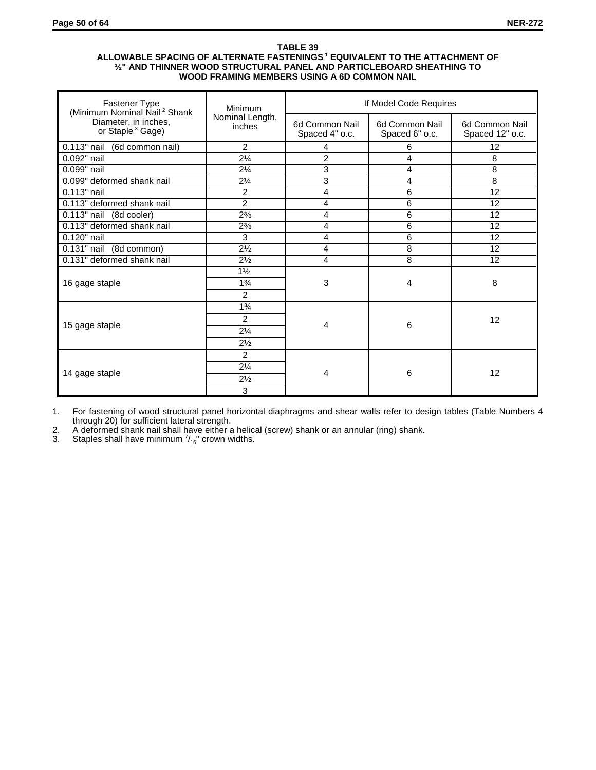#### **TABLE 39 ALLOWABLE SPACING OF ALTERNATE FASTENINGS 1 EQUIVALENT TO THE ATTACHMENT OF ½" AND THINNER WOOD STRUCTURAL PANEL AND PARTICLEBOARD SHEATHING TO WOOD FRAMING MEMBERS USING A 6D COMMON NAIL**

| Fastener Type<br>(Minimum Nominal Nail <sup>2</sup> Shank | Minimum                          | If Model Code Requires           |                                  |                                   |  |
|-----------------------------------------------------------|----------------------------------|----------------------------------|----------------------------------|-----------------------------------|--|
| Diameter, in inches,<br>or Staple <sup>3</sup> Gage)      | Nominal Length,<br>inches        | 6d Common Nail<br>Spaced 4" o.c. | 6d Common Nail<br>Spaced 6" o.c. | 6d Common Nail<br>Spaced 12" o.c. |  |
| 0.113" nail<br>(6d common nail)                           | $\overline{2}$                   | 4                                | 6                                | 12                                |  |
| 0.092" nail                                               | $2\frac{1}{4}$                   | $\overline{2}$                   | 4                                | 8                                 |  |
| $0.099$ " nail                                            | $2\frac{1}{4}$                   | 3                                | 4                                | 8                                 |  |
| 0.099" deformed shank nail                                | $2\frac{1}{4}$                   | 3                                | 4                                | 8                                 |  |
| 0.113" nail                                               | $\overline{2}$                   | 4                                | 6                                | 12                                |  |
| 0.113" deformed shank nail                                | $\overline{2}$                   | 4                                | 6                                | 12                                |  |
| $0.113"$ nail<br>(8d cooler)                              | $2^{3/8}$                        | 4                                | 6                                | 12                                |  |
| 0.113" deformed shank nail                                | $2\frac{3}{8}$                   | 4                                | 6                                | 12                                |  |
| 0.120" nail                                               | 3                                | 4                                | 6                                | 12                                |  |
| $\overline{0.1}31"$ nail<br>(8d common)                   | $2\frac{1}{2}$                   | 4                                | 8                                | 12                                |  |
| 0.131" deformed shank nail                                | $2\frac{1}{2}$                   | 4                                | 8                                | 12                                |  |
| 16 gage staple                                            | $1\frac{1}{2}$<br>$1\frac{3}{4}$ | 3                                | 4                                | 8                                 |  |
|                                                           | $\overline{2}$                   |                                  |                                  |                                   |  |
|                                                           | $1\frac{3}{4}$                   |                                  |                                  |                                   |  |
|                                                           | 2                                |                                  |                                  | 12                                |  |
| 15 gage staple                                            | $2\frac{1}{4}$                   | 4                                | 6                                |                                   |  |
|                                                           | $2\frac{1}{2}$                   |                                  |                                  |                                   |  |
|                                                           | $\overline{2}$                   |                                  |                                  |                                   |  |
|                                                           | $2\frac{1}{4}$                   |                                  |                                  |                                   |  |
| 14 gage staple                                            | $2\frac{1}{2}$                   | 4                                | 6                                | 12                                |  |
|                                                           | 3                                |                                  |                                  |                                   |  |

1. For fastening of wood structural panel horizontal diaphragms and shear walls refer to design tables (Table Numbers 4 through 20) for sufficient lateral strength.

2. A deformed shank nail shall have either a helical (screw) shank or an annular (ring) shank.

3. Staples shall have minimum  $\frac{7}{16}$  crown widths.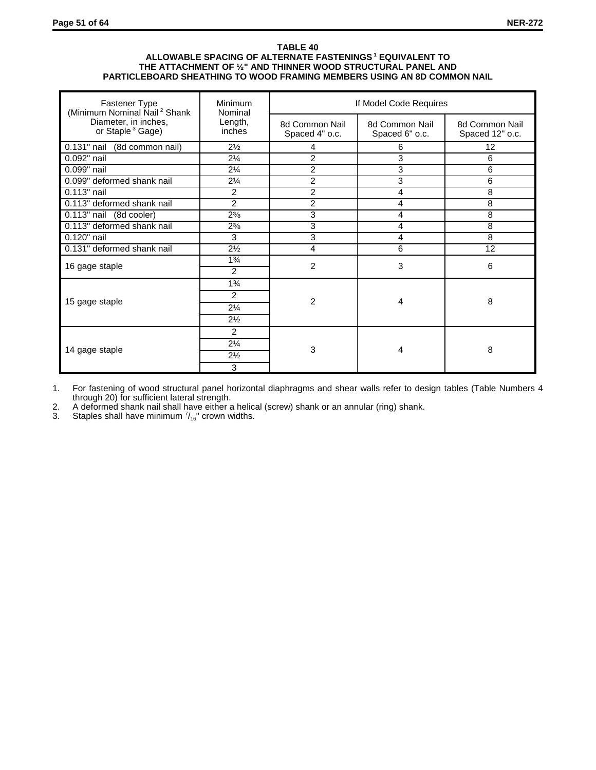#### **TABLE 40 ALLOWABLE SPACING OF ALTERNATE FASTENINGS 1 EQUIVALENT TO THE ATTACHMENT OF ½" AND THINNER WOOD STRUCTURAL PANEL AND PARTICLEBOARD SHEATHING TO WOOD FRAMING MEMBERS USING AN 8D COMMON NAIL**

| Fastener Type<br>(Minimum Nominal Nail <sup>2</sup> Shank | Minimum<br>Nominal                                      | If Model Code Requires           |                                  |                                   |  |
|-----------------------------------------------------------|---------------------------------------------------------|----------------------------------|----------------------------------|-----------------------------------|--|
| Diameter, in inches,<br>or Staple <sup>3</sup> Gage)      | Length,<br>inches                                       | 8d Common Nail<br>Spaced 4" o.c. | 8d Common Nail<br>Spaced 6" o.c. | 8d Common Nail<br>Spaced 12" o.c. |  |
| 0.131" nail<br>(8d common nail)                           | $2\frac{1}{2}$                                          | 4                                | 6                                | 12                                |  |
| 0.092" nail                                               | $2\frac{1}{4}$                                          | $\overline{2}$                   | 3                                | 6                                 |  |
| 0.099" nail                                               | $2\frac{1}{4}$                                          | $\overline{2}$                   | 3                                | 6                                 |  |
| 0.099" deformed shank nail                                | $2\frac{1}{4}$                                          | $\overline{2}$                   | 3                                | 6                                 |  |
| 0.113" nail                                               | 2                                                       | $\overline{2}$                   | 4                                | 8                                 |  |
| 0.113" deformed shank nail                                | $\overline{2}$                                          | $\overline{2}$                   | 4                                | 8                                 |  |
| $0.113"$ nail<br>(8d cooler)                              | $2\frac{3}{8}$                                          | 3                                | 4                                | 8                                 |  |
| 0.113" deformed shank nail                                | $2\frac{3}{8}$                                          | 3                                | 4                                | 8                                 |  |
| 0.120" nail                                               | 3                                                       | 3                                | 4                                | 8                                 |  |
| 0.131" deformed shank nail                                | $2\frac{1}{2}$                                          | 4                                | 6                                | 12                                |  |
| 16 gage staple                                            | $1\frac{3}{4}$<br>2                                     | 2                                | 3                                | 6                                 |  |
| 15 gage staple                                            | $1\frac{3}{4}$<br>2<br>$2\frac{1}{4}$<br>$2\frac{1}{2}$ | $\overline{2}$                   | 4                                | 8                                 |  |
| 14 gage staple                                            | 2<br>$2\frac{1}{4}$<br>$2\frac{1}{2}$<br>3              | 3                                | 4                                | 8                                 |  |

1. For fastening of wood structural panel horizontal diaphragms and shear walls refer to design tables (Table Numbers 4 through 20) for sufficient lateral strength.

2. A deformed shank nail shall have either a helical (screw) shank or an annular (ring) shank.

3. Staples shall have minimum  $\frac{7}{16}$  crown widths.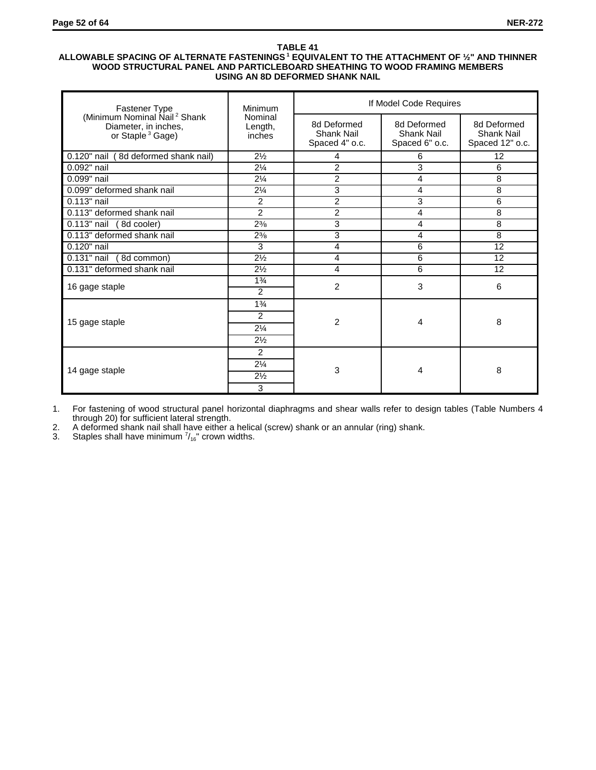## **ALLOWABLE SPACING OF ALTERNATE FASTENINGS 1 EQUIVALENT TO THE ATTACHMENT OF ½" AND THINNER WOOD STRUCTURAL PANEL AND PARTICLEBOARD SHEATHING TO WOOD FRAMING MEMBERS USING AN 8D DEFORMED SHANK NAIL**

| Fastener Type                                                                                    | Minimum                                                 | If Model Code Requires                      |                                             |                                                     |  |  |
|--------------------------------------------------------------------------------------------------|---------------------------------------------------------|---------------------------------------------|---------------------------------------------|-----------------------------------------------------|--|--|
| (Minimum Nominal Nail <sup>2</sup> Shank<br>Diameter, in inches,<br>or Staple <sup>3</sup> Gage) | Nominal<br>Length,<br>inches                            | 8d Deformed<br>Shank Nail<br>Spaced 4" o.c. | 8d Deformed<br>Shank Nail<br>Spaced 6" o.c. | 8d Deformed<br><b>Shank Nail</b><br>Spaced 12" o.c. |  |  |
| 0.120" nail<br>(8d deformed shank nail)                                                          | $2\frac{1}{2}$                                          | 4                                           | 6                                           | 12                                                  |  |  |
| 0.092" nail                                                                                      | $2\frac{1}{4}$                                          | $\overline{2}$                              | 3                                           | 6                                                   |  |  |
| 0.099" nail                                                                                      | $2\frac{1}{4}$                                          | $\overline{2}$                              | 4                                           | 8                                                   |  |  |
| 0.099" deformed shank nail                                                                       | $2\frac{1}{4}$                                          | 3                                           | 4                                           | 8                                                   |  |  |
| $0.113"$ nail                                                                                    | 2                                                       | $\overline{2}$                              | 3                                           | 6                                                   |  |  |
| 0.113" deformed shank nail                                                                       | 2                                                       | $\overline{2}$                              | 4                                           | 8                                                   |  |  |
| 0.113" nail (8d cooler)                                                                          | $2^{3/8}$                                               | 3                                           | 4                                           | 8                                                   |  |  |
| 0.113" deformed shank nail                                                                       | $2\frac{3}{8}$                                          | 3                                           | 4                                           | 8                                                   |  |  |
| 0.120" nail                                                                                      | 3                                                       | 4                                           | 6                                           | 12                                                  |  |  |
| 0.131" nail<br>(8d common)                                                                       | $2\frac{1}{2}$                                          | 4                                           | 6                                           | 12                                                  |  |  |
| 0.131" deformed shank nail                                                                       | $2\frac{1}{2}$                                          | 4                                           | 6                                           | 12                                                  |  |  |
| 16 gage staple                                                                                   | $1\frac{3}{4}$<br>2                                     | $\overline{2}$                              | 3                                           | 6                                                   |  |  |
| 15 gage staple                                                                                   | $1\frac{3}{4}$<br>2<br>$2\frac{1}{4}$<br>$2\frac{1}{2}$ | 2                                           | 4                                           | 8                                                   |  |  |
| 14 gage staple                                                                                   | 2<br>$2\frac{1}{4}$<br>$2\frac{1}{2}$<br>3              | 3                                           | 4                                           | 8                                                   |  |  |

1. For fastening of wood structural panel horizontal diaphragms and shear walls refer to design tables (Table Numbers 4 through 20) for sufficient lateral strength.

2. A deformed shank nail shall have either a helical (screw) shank or an annular (ring) shank.

3. Staples shall have minimum  $\frac{7}{16}$ " crown widths.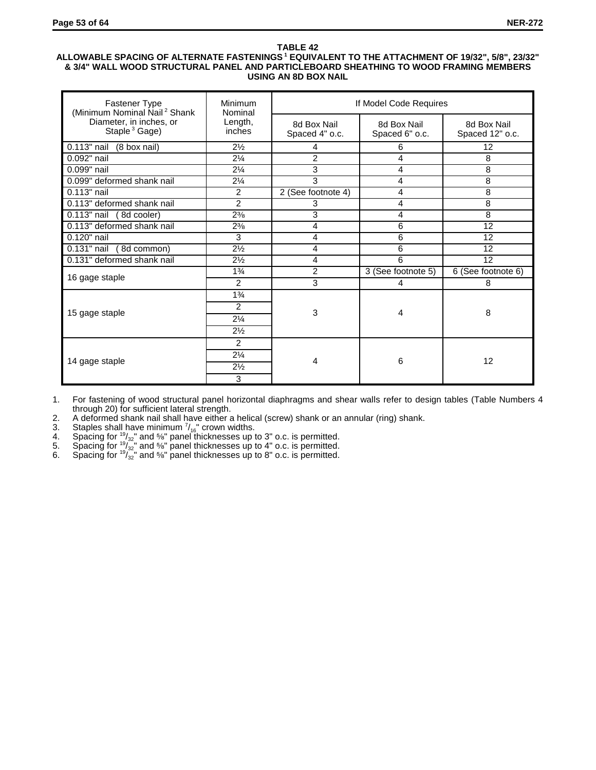# **ALLOWABLE SPACING OF ALTERNATE FASTENINGS 1 EQUIVALENT TO THE ATTACHMENT OF 19/32", 5/8", 23/32" & 3/4" WALL WOOD STRUCTURAL PANEL AND PARTICLEBOARD SHEATHING TO WOOD FRAMING MEMBERS USING AN 8D BOX NAIL**

| Fastener Type<br>(Minimum Nominal Nail <sup>2</sup> Shank | Minimum<br>Nominal | If Model Code Requires        |                               |                                |  |  |
|-----------------------------------------------------------|--------------------|-------------------------------|-------------------------------|--------------------------------|--|--|
| Diameter, in inches, or<br>Staple <sup>3</sup> Gage)      | Length,<br>inches  | 8d Box Nail<br>Spaced 4" o.c. | 8d Box Nail<br>Spaced 6" o.c. | 8d Box Nail<br>Spaced 12" o.c. |  |  |
| 0.113" nail<br>(8 box nail)                               | $2\frac{1}{2}$     | 4                             | 6                             | 12                             |  |  |
| 0.092" nail                                               | $2\frac{1}{4}$     | $\overline{2}$                | 4                             | 8                              |  |  |
| 0.099" nail                                               | $2\frac{1}{4}$     | 3                             | 4                             | 8                              |  |  |
| 0.099" deformed shank nail                                | $2\frac{1}{4}$     | 3                             | 4                             | 8                              |  |  |
| 0.113" nail                                               | 2                  | 2 (See footnote 4)            | 4                             | 8                              |  |  |
| 0.113" deformed shank nail                                | $\overline{2}$     | 3                             | 4                             | 8                              |  |  |
| $0.113"$ nail<br>(8d cooler)                              | $2\frac{3}{8}$     | 3                             | 4                             | 8                              |  |  |
| 0.113" deformed shank nail                                | $2\frac{3}{8}$     | 4                             | 6                             | 12                             |  |  |
| 0.120" nail                                               | 3                  | 4                             | 6                             | 12                             |  |  |
| $0.131$ " nail (8d common)                                | $2\frac{1}{2}$     | 4                             | 6                             | 12                             |  |  |
| 0.131" deformed shank nail                                | $2\frac{1}{2}$     | $\overline{4}$                | 6                             | 12                             |  |  |
| 16 gage staple                                            | $1\frac{3}{4}$     | $\overline{2}$                | 3 (See footnote 5)            | 6 (See footnote 6)             |  |  |
|                                                           | $\overline{2}$     | 3                             | 4                             | 8                              |  |  |
|                                                           | $1\frac{3}{4}$     |                               |                               |                                |  |  |
|                                                           | 2                  |                               |                               |                                |  |  |
| 15 gage staple                                            | $2\frac{1}{4}$     | 3                             | 4                             | 8                              |  |  |
|                                                           | $2\frac{1}{2}$     |                               |                               |                                |  |  |
|                                                           | 2                  |                               |                               |                                |  |  |
|                                                           | $2\frac{1}{4}$     |                               |                               |                                |  |  |
| 14 gage staple                                            | $2\frac{1}{2}$     | 4                             | 6                             | 12                             |  |  |
|                                                           | 3                  |                               |                               |                                |  |  |

1. For fastening of wood structural panel horizontal diaphragms and shear walls refer to design tables (Table Numbers 4 through 20) for sufficient lateral strength.

2. A deformed shank nail shall have either a helical (screw) shank or an annular (ring) shank.<br>3. Staples shall have minimum  $\frac{7}{16}$  crown widths.

3. Staples shall have minimum  $\frac{7}{16}$  crown widths.

4. Spacing for  $\frac{19}{32}$ " and %" panel thicknesses up to 3" o.c. is permitted.

5. Spacing for  $\frac{19}{32}$ " and %" panel thicknesses up to 4" o.c. is permitted.

6. Spacing for  $\sqrt[19]{32}$ " and %" panel thicknesses up to 8" o.c. is permitted.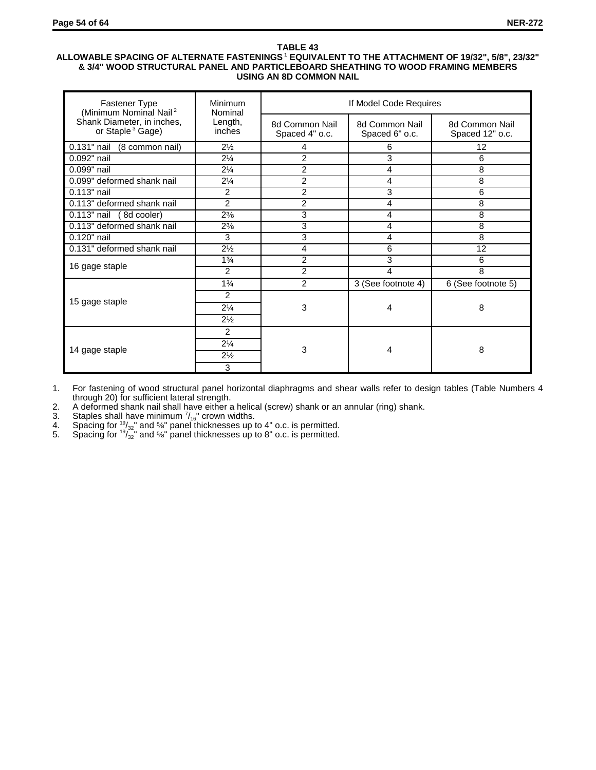## **ALLOWABLE SPACING OF ALTERNATE FASTENINGS 1 EQUIVALENT TO THE ATTACHMENT OF 19/32", 5/8", 23/32" & 3/4" WOOD STRUCTURAL PANEL AND PARTICLEBOARD SHEATHING TO WOOD FRAMING MEMBERS USING AN 8D COMMON NAIL**

| <b>Fastener Type</b><br>(Minimum Nominal Nail <sup>2</sup> | Minimum<br>Nominal | If Model Code Requires           |                                  |                                   |  |  |
|------------------------------------------------------------|--------------------|----------------------------------|----------------------------------|-----------------------------------|--|--|
| Shank Diameter, in inches,<br>or Staple <sup>3</sup> Gage) | Length,<br>inches  | 8d Common Nail<br>Spaced 4" o.c. | 8d Common Nail<br>Spaced 6" o.c. | 8d Common Nail<br>Spaced 12" o.c. |  |  |
| $0.131$ " nail<br>(8 common nail)                          | $2\frac{1}{2}$     | 4                                | 6                                | 12                                |  |  |
| 0.092" nail                                                | $2\frac{1}{4}$     | 2                                | $\overline{3}$                   | 6                                 |  |  |
| 0.099" nail                                                | $2\frac{1}{4}$     | 2                                | 4                                | 8                                 |  |  |
| 0.099" deformed shank nail                                 | $2\frac{1}{4}$     | 2                                | 4                                | 8                                 |  |  |
| 0.113" nail                                                | $\overline{c}$     | $\overline{c}$                   | 3                                | 6                                 |  |  |
| 0.113" deformed shank nail                                 | $\overline{2}$     | 2                                | 4                                | 8                                 |  |  |
| 0.113" nail (8d cooler)                                    | $2\frac{3}{8}$     | 3                                | 4                                | 8                                 |  |  |
| 0.113" deformed shank nail                                 | $2\frac{3}{8}$     | 3                                | 4                                | 8                                 |  |  |
| 0.120" nail                                                | 3                  | 3                                | 4                                | 8                                 |  |  |
| 0.131" deformed shank nail                                 | $2\frac{1}{2}$     | 4                                | 6                                | 12                                |  |  |
|                                                            | $1\frac{3}{4}$     | $\overline{2}$                   | 3                                | 6                                 |  |  |
| 16 gage staple                                             | $\mathfrak{p}$     | 2                                | 4                                | 8                                 |  |  |
|                                                            | $1\frac{3}{4}$     | $\overline{2}$                   | 3 (See footnote 4)               | 6 (See footnote 5)                |  |  |
|                                                            | 2                  |                                  |                                  |                                   |  |  |
| 15 gage staple                                             | $2\frac{1}{4}$     | 3                                | 4                                | 8                                 |  |  |
|                                                            | $2\frac{1}{2}$     |                                  |                                  |                                   |  |  |
|                                                            | 2                  |                                  |                                  |                                   |  |  |
|                                                            | $2\frac{1}{4}$     |                                  |                                  |                                   |  |  |
| 14 gage staple                                             | $2\frac{1}{2}$     | 3                                | 4                                | 8                                 |  |  |
|                                                            | 3                  |                                  |                                  |                                   |  |  |

1. For fastening of wood structural panel horizontal diaphragms and shear walls refer to design tables (Table Numbers 4 through 20) for sufficient lateral strength.

2. A deformed shank nail shall have either a helical (screw) shank or an annular (ring) shank.<br>3. Staples shall have minimum  $\frac{7}{16}$  crown widths.<br>4. Spacing for  $\frac{19}{32}$  and  $\frac{56}{8}$  panel thicknesses up to 4" o.

3. Staples shall have minimum  $\frac{7}{16}$  crown widths.

4. Spacing for  $\frac{19}{32}$ " and %" panel thicknesses up to 4" o.c. is permitted.

5. Spacing for  $\sqrt[19]{32}$ " and %" panel thicknesses up to 8" o.c. is permitted.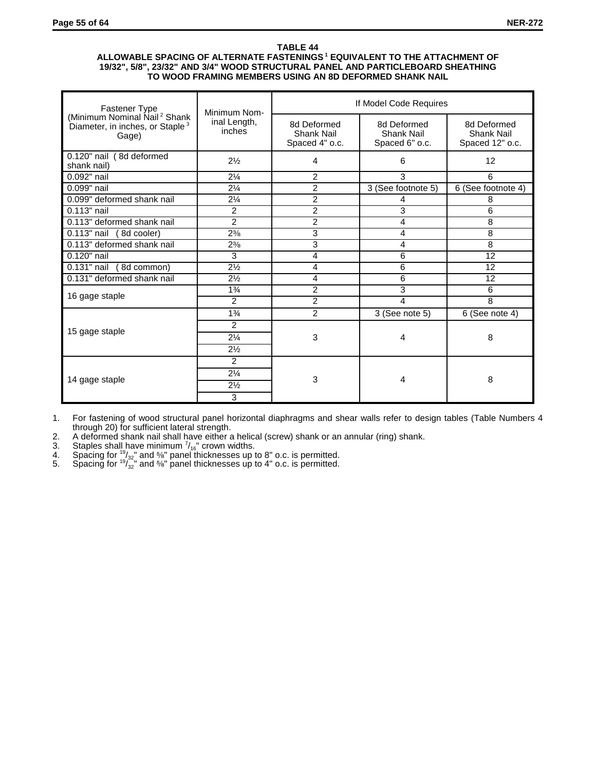#### **ALLOWABLE SPACING OF ALTERNATE FASTENINGS 1 EQUIVALENT TO THE ATTACHMENT OF 19/32", 5/8", 23/32" AND 3/4" WOOD STRUCTURAL PANEL AND PARTICLEBOARD SHEATHING TO WOOD FRAMING MEMBERS USING AN 8D DEFORMED SHANK NAIL**

| Fastener Type                                                                                    | Minimum Nom-           | If Model Code Requires                      |                                             |                                              |  |  |
|--------------------------------------------------------------------------------------------------|------------------------|---------------------------------------------|---------------------------------------------|----------------------------------------------|--|--|
| (Minimum Nominal Nail <sup>2</sup> Shank<br>Diameter, in inches, or Staple <sup>3</sup><br>Gage) | inal Length,<br>inches | 8d Deformed<br>Shank Nail<br>Spaced 4" o.c. | 8d Deformed<br>Shank Nail<br>Spaced 6" o.c. | 8d Deformed<br>Shank Nail<br>Spaced 12" o.c. |  |  |
| $0.120$ " nail (8d deformed<br>shank nail)                                                       | $2\frac{1}{2}$         | 4                                           | 6                                           | 12                                           |  |  |
| 0.092" nail                                                                                      | $2\frac{1}{4}$         | $\overline{2}$                              | 3                                           | 6                                            |  |  |
| 0.099" nail                                                                                      | $2\frac{1}{4}$         | 2                                           | 3 (See footnote 5)                          | 6 (See footnote 4)                           |  |  |
| 0.099" deformed shank nail                                                                       | $2\frac{1}{4}$         | 2                                           | 4                                           | 8                                            |  |  |
| 0.113" nail                                                                                      | $\overline{c}$         | 2                                           | 3                                           | 6                                            |  |  |
| 0.113" deformed shank nail                                                                       | $\mathfrak{p}$         | $\overline{2}$                              | 4                                           | 8                                            |  |  |
| $0.113"$ nail<br>8d cooler)                                                                      | $2^{3/8}$              | 3                                           | 4                                           | 8                                            |  |  |
| 0.113" deformed shank nail                                                                       | $2\frac{3}{8}$         | 3                                           | 4                                           | 8                                            |  |  |
| 0.120" nail                                                                                      | 3                      | 4                                           | 6                                           | 12                                           |  |  |
| 0.131" nail (8d common)                                                                          | $2\frac{1}{2}$         | 4                                           | 6                                           | 12                                           |  |  |
| 0.131" deformed shank nail                                                                       | $2\frac{1}{2}$         | 4                                           | 6                                           | 12                                           |  |  |
| 16 gage staple                                                                                   | $1\frac{3}{4}$         | 2                                           | 3                                           | 6                                            |  |  |
|                                                                                                  | 2                      | $\overline{c}$                              | 4                                           | 8                                            |  |  |
|                                                                                                  | $1\frac{3}{4}$         | $\overline{2}$                              | $3$ (See note $5$ )                         | $6$ (See note 4)                             |  |  |
|                                                                                                  | 2                      |                                             |                                             |                                              |  |  |
| 15 gage staple                                                                                   | $2\frac{1}{4}$         | 3                                           | 4                                           | 8                                            |  |  |
|                                                                                                  | $2\frac{1}{2}$         |                                             |                                             |                                              |  |  |
|                                                                                                  | $\overline{2}$         |                                             |                                             |                                              |  |  |
|                                                                                                  | $2\frac{1}{4}$         |                                             |                                             |                                              |  |  |
| 14 gage staple                                                                                   | $2\frac{1}{2}$         | 3                                           | 4                                           | 8                                            |  |  |
|                                                                                                  | 3                      |                                             |                                             |                                              |  |  |

1. For fastening of wood structural panel horizontal diaphragms and shear walls refer to design tables (Table Numbers 4 through 20) for sufficient lateral strength.

2. A deformed shank nail shall have either a helical (screw) shank or an annular (ring) shank.

3. Staples shall have minimum  $\frac{7}{16}$  crown widths.

4. Spacing for  $\frac{19}{32}$ " and %" panel thicknesses up to 8" o.c. is permitted.

5. Spacing for  $\frac{19}{32}$ " and %" panel thicknesses up to 4" o.c. is permitted.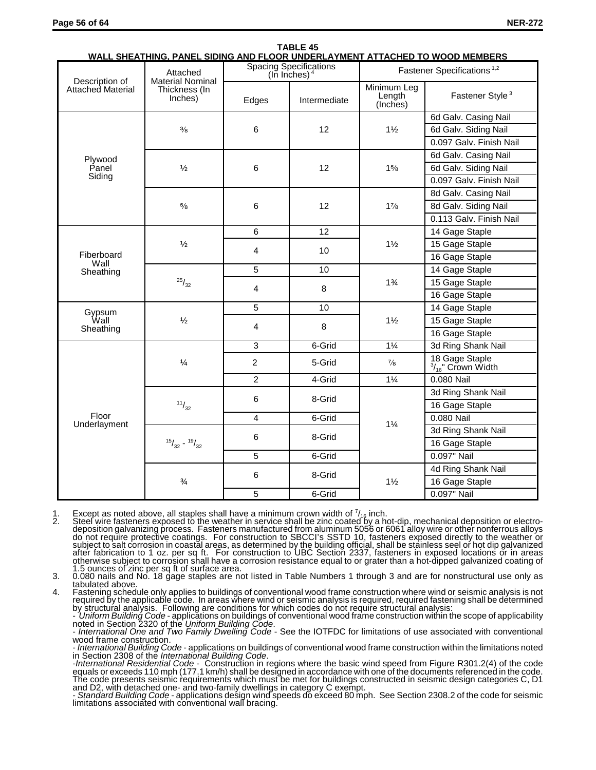| Description of           | <u>WALL SHEATHING. PANEL SIDING AND FLOOR UNDERLATMENT ATTACHED TO WOOD MEMBERS.</u><br>Attached<br><b>Material Nominal</b> |                | <b>Spacing Specifications</b><br>(In Inches) $4$ | Fastener Specifications <sup>1,2</sup> |                                                |  |
|--------------------------|-----------------------------------------------------------------------------------------------------------------------------|----------------|--------------------------------------------------|----------------------------------------|------------------------------------------------|--|
| <b>Attached Material</b> | Thickness (In<br>Inches)                                                                                                    | Edges          | Intermediate                                     | Minimum Leg<br>Length<br>(Inches)      | Fastener Style <sup>3</sup>                    |  |
|                          |                                                                                                                             |                |                                                  |                                        | 6d Galv. Casing Nail                           |  |
|                          | $\frac{3}{8}$                                                                                                               | 6              | 12                                               | $1\frac{1}{2}$                         | 6d Galv. Siding Nail                           |  |
|                          |                                                                                                                             |                |                                                  |                                        | 0.097 Galv. Finish Nail                        |  |
| Plywood                  |                                                                                                                             |                |                                                  |                                        | 6d Galv. Casing Nail                           |  |
| Panel                    | $\frac{1}{2}$                                                                                                               | 6              | 12                                               | 15/8                                   | 6d Galv. Siding Nail                           |  |
| Siding                   |                                                                                                                             |                |                                                  |                                        | 0.097 Galv. Finish Nail                        |  |
|                          |                                                                                                                             |                |                                                  |                                        | 8d Galv. Casing Nail                           |  |
|                          | $\frac{5}{8}$                                                                                                               | 6              | 12                                               | $1\frac{7}{8}$                         | 8d Galv. Siding Nail                           |  |
|                          |                                                                                                                             |                |                                                  |                                        | 0.113 Galv. Finish Nail                        |  |
|                          |                                                                                                                             | 6              | 12                                               |                                        | 14 Gage Staple                                 |  |
|                          | $\frac{1}{2}$                                                                                                               | $\overline{4}$ | 10                                               | $1\frac{1}{2}$                         | 15 Gage Staple                                 |  |
| Fiberboard<br>Wall       |                                                                                                                             |                |                                                  |                                        | 16 Gage Staple                                 |  |
| Sheathing                | $\boldsymbol{^{25}/_{32}}$                                                                                                  | 5              | 10                                               |                                        | 14 Gage Staple                                 |  |
|                          |                                                                                                                             | $\overline{4}$ | 8                                                | $1\frac{3}{4}$                         | 15 Gage Staple                                 |  |
|                          |                                                                                                                             |                |                                                  |                                        | 16 Gage Staple                                 |  |
|                          | $\frac{1}{2}$                                                                                                               | 5              | 10                                               |                                        | 14 Gage Staple                                 |  |
| Gypsum<br>Wall           |                                                                                                                             | $\overline{4}$ | 8                                                | $1\frac{1}{2}$                         | 15 Gage Staple                                 |  |
| Sheathing                |                                                                                                                             |                |                                                  |                                        | 16 Gage Staple                                 |  |
|                          |                                                                                                                             | 3              | 6-Grid                                           | $1\frac{1}{4}$                         | 3d Ring Shank Nail                             |  |
|                          | $\frac{1}{4}$                                                                                                               | $\overline{2}$ | 5-Grid                                           | $\frac{7}{8}$                          | 18 Gage Staple<br>$\frac{3}{16}$ " Crown Width |  |
|                          |                                                                                                                             | $\overline{2}$ | 4-Grid                                           | $1\frac{1}{4}$                         | 0.080 Nail                                     |  |
|                          |                                                                                                                             | 6              | 8-Grid                                           |                                        | 3d Ring Shank Nail                             |  |
|                          | 11/32                                                                                                                       |                |                                                  |                                        | 16 Gage Staple                                 |  |
| Floor<br>Underlayment    |                                                                                                                             | $\overline{4}$ | 6-Grid                                           | $1\frac{1}{4}$                         | 0.080 Nail                                     |  |
|                          |                                                                                                                             | 6              | 8-Grid                                           |                                        | 3d Ring Shank Nail                             |  |
|                          | $15/32 - 19/32$                                                                                                             |                |                                                  |                                        | 16 Gage Staple                                 |  |
|                          |                                                                                                                             | 5              | 6-Grid                                           |                                        | 0.097" Nail                                    |  |
|                          |                                                                                                                             | 6              | 8-Grid                                           |                                        | 4d Ring Shank Nail                             |  |
|                          | $\frac{3}{4}$                                                                                                               |                |                                                  | $1\frac{1}{2}$                         | 16 Gage Staple                                 |  |
|                          |                                                                                                                             | 5              | 6-Grid                                           |                                        | 0.097" Nail                                    |  |

# **TABLE 45 WALL SHEATHING, PANEL SIDING AND FLOOR UNDERLAYMENT ATTACHED TO WOOD MEMBERS**

1. Except as noted above, all staples shall have a minimum crown width of  $\frac{7}{16}$  inch.

2. Steel wire fasteners exposed to the weather in service shall be zinc coated by a hot-dip, mechanical deposition or electro-<br>deposition galvanizing process. Fasteners manufactured from aluminum 5056 or 6061 alloy wire or after fabrication to 1 oz. per sq ft. For construction to UBC Section 2337, fasteners in exposed locations or in areas<br>otherwise subject to corrosion shall have a corrosion resistance equal to or grater than a hot-dipped g

4. Fastening schedule only applies to buildings of conventional wood frame construction where wind or seismic analysis is not required by the applicable code. In areas where wind or seismic analysis is required, required f

wood frame construction.

- *International Building Code* - applications on buildings of conventional wood frame construction within the limitations noted

in Section 2308 of the *International Building Code.*<br>-*International Residential Code* - Construction in regions where the basic wind speed from Figure R301.2(4) of the code<br>equals or exceeds 110 mph (177.1 km/h) shall b The code presents seismic requirements which must be met for buildings constructed in seismic design categories C, D1<br>and D2, with detached one- and two-family dwellings in category C exempt.

- *Standard Building Code* - applications design wind speeds do exceed 80 mph. See Section 2308.2 of the code for seismic limitations associated with conventional wall bracing.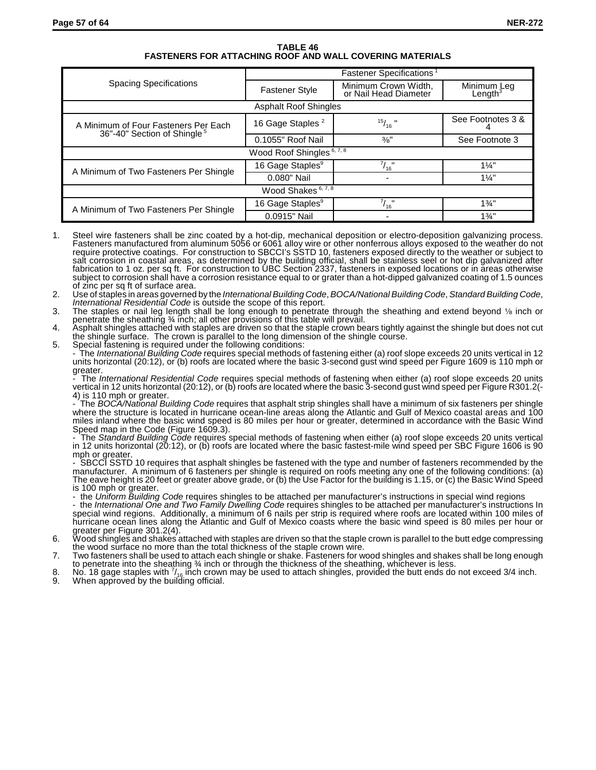#### **TABLE 46 FASTENERS FOR ATTACHING ROOF AND WALL COVERING MATERIALS**

|                                                                                 | <b>Fastener Specifications</b> <sup>1</sup> |                                               |                           |  |  |  |
|---------------------------------------------------------------------------------|---------------------------------------------|-----------------------------------------------|---------------------------|--|--|--|
| <b>Spacing Specifications</b>                                                   | <b>Fastener Style</b>                       | Minimum Crown Width,<br>or Nail Head Diameter | Minimum Leg<br>Length $3$ |  |  |  |
|                                                                                 | <b>Asphalt Roof Shingles</b>                |                                               |                           |  |  |  |
| A Minimum of Four Fasteners Per Each<br>36"-40" Section of Shingle <sup>5</sup> | 16 Gage Staples <sup>2</sup>                | $^{15}/_{16}$ "                               | See Footnotes 3 &         |  |  |  |
|                                                                                 | 0.1055" Roof Nail                           | 3/8"                                          | See Footnote 3            |  |  |  |
|                                                                                 | Wood Roof Shingles 6, 7, 8                  |                                               |                           |  |  |  |
| A Minimum of Two Fasteners Per Shingle                                          | 16 Gage Staples <sup>9</sup>                | $^{7}$ / <sub>16</sub>                        | $1\frac{1}{4}$            |  |  |  |
|                                                                                 | 0.080" Nail                                 |                                               | $1\frac{1}{4}$            |  |  |  |
|                                                                                 | Wood Shakes 6, 7, 8                         |                                               |                           |  |  |  |
| A Minimum of Two Fasteners Per Shingle                                          | 16 Gage Staples <sup>9</sup>                | $^{7}/_{16}$                                  | $1\frac{3}{4}$ "          |  |  |  |
|                                                                                 | 0.0915" Nail                                |                                               | $1\frac{3}{4}$ "          |  |  |  |

- Steel wire fasteners shall be zinc coated by a hot-dip, mechanical deposition or electro-deposition galvanizing process. Fasteners manufactured from aluminum 5056 or 6061 alloy wire or other nonferrous alloys exposed to the weather do not require protective coatings. For construction to SBCCI's SSTD 10, fasteners exposed directly to the weather or subject to salt corrosion in coastal areas, as determined by the building official, shall be stainless seel or hot dip galvanized after fabrication to 1 oz. per sq ft. For construction to UBC Section 2337, fasteners in exposed locations or in areas otherwise subject to corrosion shall have a corrosion resistance equal to or grater than a hot-dipped galvanized coating of 1.5 ounces of zinc per sq ft of surface area.
- 2. Use of staples in areas governed by the *International Building Code*, *BOCA/National Building Code*, *Standard Building Code*, *International Residential Code* is outside the scope of this report.
- The staples or nail leg length shall be long enough to penetrate through the sheathing and extend beyond  $\frac{1}{6}$  inch or penetrate the sheathing ¾ inch; all other provisions of this table will prevail.
- 4. Asphalt shingles attached with staples are driven so that the staple crown bears tightly against the shingle but does not cut the shingle surface. The crown is parallel to the long dimension of the shingle course.
- 5. Special fastening is required under the following conditions: - The *International Building Code* requires special methods of fastening either (a) roof slope exceeds 20 units vertical in 12 units horizontal (20:12), or (b) roofs are located where the basic 3-second gust wind speed per Figure 1609 is 110 mph or

greater. - The *International Residential Code* requires special methods of fastening when either (a) roof slope exceeds 20 units vertical in 12 units horizontal (20:12), or (b) roofs are located where the basic 3-second gust wind speed per Figure R301.2(- 4) is 110 mph or greater.

- The *BOCA/National Building Code* requires that asphalt strip shingles shall have a minimum of six fasteners per shingle where the structure is located in hurricane ocean-line areas along the Atlantic and Gulf of Mexico coastal areas and 100 miles inland where the basic wind speed is 80 miles per hour or greater, determined in accordance with the Basic Wind Speed map in the Code (Figure 1609.3).

- The *Standard Building Code* requires special methods of fastening when either (a) roof slope exceeds 20 units vertical in 12 units horizontal (20:12), or (b) roofs are located where the basic fastest-mile wind speed per SBC Figure 1606 is 90 mph or greater.

- SBCCI SSTD 10 requires that asphalt shingles be fastened with the type and number of fasteners recommended by the manufacturer. A minimum of 6 fasteners per shingle is required on roofs meeting any one of the following conditions: (a) manufacturer. A minimum of 6 fasteners per shingle is required on roofs meeting any one of the following conditions: (a)<br>The eave height is 20 feet or greater above grade, or (b) the Use Factor for the building is 1.15, or is 100 mph or greater.

- the *Uniform Building Code* requires shingles to be attached per manufacturer's instructions in special wind regions

- the *International One and Two Family Dwelling Code* requires shingles to be attached per manufacturer's instructions In special wind regions. Additionally, a minimum of 6 nails per strip is required where roofs are located within 100 miles of hurricane ocean lines along the Atlantic and Gulf of Mexico coasts where the basic wind speed is 80 miles per hour or greater per Figure 301.2(4).

- 6. Wood shingles and shakes attached with staples are driven so that the staple crown is parallel to the butt edge compressing the wood surface no more than the total thickness of the staple crown wire.
- 7. Two fasteners shall be used to attach each shingle or shake. Fasteners for wood shingles and shakes shall be long enough
- to penetrate into the sheathing ¾ inch or through the thickness of the sheathing, whichever is less.<br>8. No. 18 gage staples with 7<sub>16</sub> inch crown may be used to attach shingles, provided the butt ends do not exceed 3/4 in
- 9. When approved by the building official.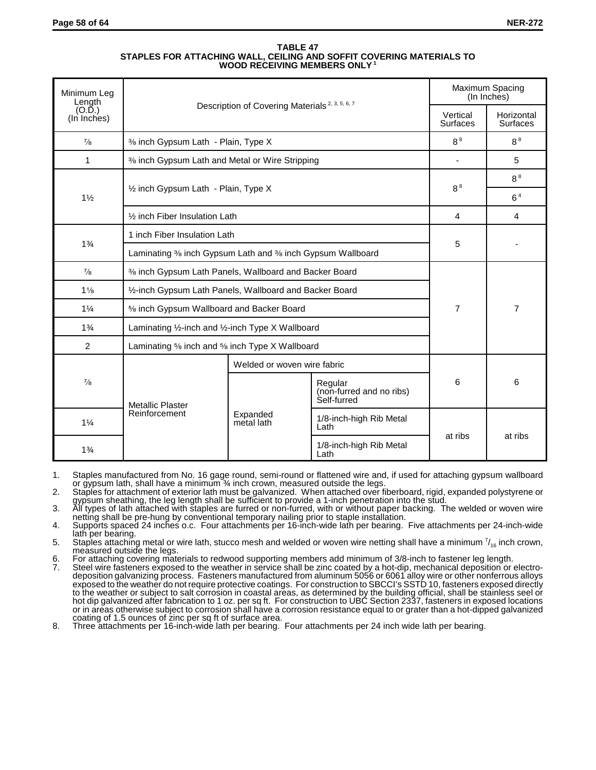| <b>TABLE 47</b>                                                      |
|----------------------------------------------------------------------|
| STAPLES FOR ATTACHING WALL. CEILING AND SOFFIT COVERING MATERIALS TO |
| WOOD RECEIVING MEMBERS ONLY <sup>1</sup>                             |

| Minimum Leg<br>Length | Description of Covering Materials <sup>2, 3, 5, 6, 7</sup> |                                                           |                                                    |                             | Maximum Spacing<br>(In Inches) |
|-----------------------|------------------------------------------------------------|-----------------------------------------------------------|----------------------------------------------------|-----------------------------|--------------------------------|
| (O.D.)<br>(In Inches) |                                                            |                                                           |                                                    | Vertical<br><b>Surfaces</b> | Horizontal<br><b>Surfaces</b>  |
| $\frac{7}{8}$         | % inch Gypsum Lath - Plain, Type X                         |                                                           |                                                    | 8 <sup>8</sup>              | 8 <sup>8</sup>                 |
| 1                     | % inch Gypsum Lath and Metal or Wire Stripping             |                                                           |                                                    | ٠                           | 5                              |
|                       |                                                            |                                                           |                                                    |                             | 8 <sup>8</sup>                 |
| $1\frac{1}{2}$        | 1/2 inch Gypsum Lath - Plain, Type X                       |                                                           |                                                    | 8 <sup>8</sup>              | 6 <sup>4</sup>                 |
|                       | 1/ <sub>2</sub> inch Fiber Insulation Lath                 |                                                           |                                                    | $\overline{4}$              | 4                              |
|                       |                                                            | 1 inch Fiber Insulation Lath                              |                                                    |                             |                                |
| $1\frac{3}{4}$        |                                                            | Laminating % inch Gypsum Lath and % inch Gypsum Wallboard |                                                    |                             |                                |
| $\frac{7}{8}$         | % inch Gypsum Lath Panels, Wallboard and Backer Board      |                                                           |                                                    |                             |                                |
| $1\frac{1}{8}$        | 1/2-inch Gypsum Lath Panels, Wallboard and Backer Board    |                                                           |                                                    |                             |                                |
| $1\frac{1}{4}$        | 5% inch Gypsum Wallboard and Backer Board                  |                                                           |                                                    | $\overline{7}$              | $\overline{7}$                 |
| $1\frac{3}{4}$        | Laminating 1/2-inch and 1/2-inch Type X Wallboard          |                                                           |                                                    |                             |                                |
| 2                     | Laminating % inch and % inch Type X Wallboard              |                                                           |                                                    |                             |                                |
|                       |                                                            | Welded or woven wire fabric                               |                                                    |                             |                                |
| $^{7}/_{8}$           | <b>Metallic Plaster</b>                                    |                                                           | Regular<br>(non-furred and no ribs)<br>Self-furred | 6                           | 6                              |
| $1\frac{1}{4}$        | Reinforcement                                              | Expanded<br>metal lath                                    | 1/8-inch-high Rib Metal<br>Lath                    |                             |                                |
| $1\frac{3}{4}$        |                                                            |                                                           | 1/8-inch-high Rib Metal<br>Lath                    | at ribs                     | at ribs                        |

1. Staples manufactured from No. 16 gage round, semi-round or flattened wire and, if used for attaching gypsum wallboard or gypsum lath, shall have a minimum ¾ inch crown, measured outside the legs.

2. Staples for attachment of exterior lath must be galvanized. When attached over fiberboard, rigid, expanded polystyrene or gypsum sheathing, the leg length shall be sufficient to provide a 1-inch penetration into the stud.

3. All types of lath attached with staples are furred or non-furred, with or without paper backing. The welded or woven wire netting shall be pre-hung by conventional temporary nailing prior to staple installation.

- 4. Supports spaced 24 inches o.c. Four attachments per 16-inch-wide lath per bearing. Five attachments per 24-inch-wide lath per bearing.
- 5. Staples attaching metal or wire lath, stucco mesh and welded or woven wire netting shall have a minimum  $\%_{16}$ inch crown, measured outside the legs.
- 6. For attaching covering materials to redwood supporting members add minimum of 3/8-inch to fastener leg length.
- 7. Steel wire fasteners exposed to the weather in service shall be zinc coated by a hot-dip, mechanical deposition or electrodeposition galvanizing process. Fasteners manufactured from aluminum 5056 or 6061 alloy wire or other nonferrous alloys exposed to the weather do not require protective coatings. For construction to SBCCI's SSTD 10, fasteners exposed directly to the weather or subject to salt corrosion in coastal areas, as determined by the building official, shall be stainless seel or hot dip galvanized after fabrication to 1 oz. per sq ft. For construction to UBC Section 2337, fasteners in exposed locations or in areas otherwise subject to corrosion shall have a corrosion resistance equal to or grater than a hot-dipped galvanized coating of 1.5 ounces of zinc per sq ft of surface area.
- 8. Three attachments per 16-inch-wide lath per bearing. Four attachments per 24 inch wide lath per bearing.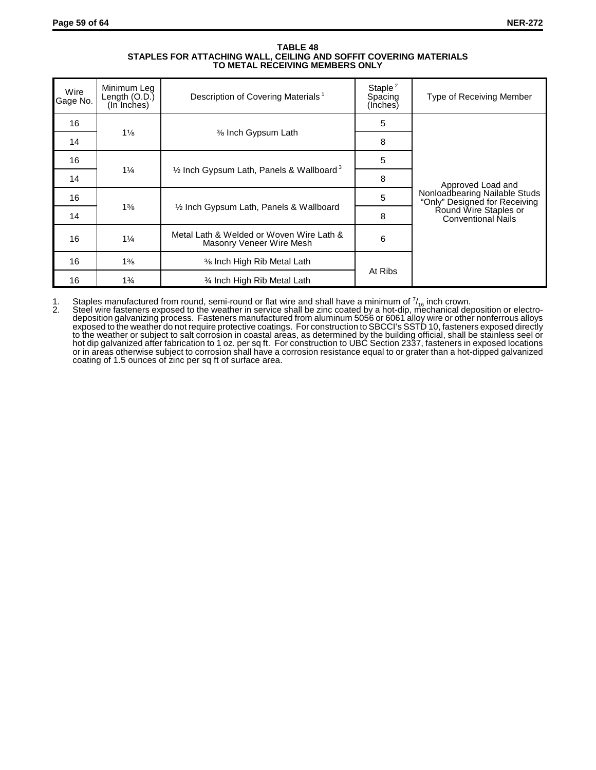#### **TABLE 48 STAPLES FOR ATTACHING WALL, CEILING AND SOFFIT COVERING MATERIALS TO METAL RECEIVING MEMBERS ONLY**

| Wire<br>Gage No.     | Minimum Leg<br>Length $(O.D.)$<br>(In Inches) | Description of Covering Materials <sup>1</sup>                       | Staple $^2$<br>Spacing<br>(Inches) | Type of Receiving Member                                       |  |
|----------------------|-----------------------------------------------|----------------------------------------------------------------------|------------------------------------|----------------------------------------------------------------|--|
| 16                   |                                               |                                                                      | 5                                  |                                                                |  |
| 14                   | $1\frac{1}{8}$                                | % Inch Gypsum Lath                                                   | 8                                  |                                                                |  |
| 16                   |                                               |                                                                      | 5                                  |                                                                |  |
| 14                   | $1\frac{1}{4}$                                | $\frac{1}{2}$ Inch Gypsum Lath, Panels & Wallboard <sup>3</sup>      | 8                                  | Approved Load and                                              |  |
| 16                   |                                               |                                                                      | 5                                  | Nonloadbearing Nailable Studs<br>"Only" Designed for Receiving |  |
| 14                   | $1\frac{3}{8}$                                | 1/2 Inch Gypsum Lath, Panels & Wallboard                             | 8                                  | Round Wire Staples or<br><b>Conventional Nails</b>             |  |
| 16                   | $1\frac{1}{4}$                                | Metal Lath & Welded or Woven Wire Lath &<br>Masonry Veneer Wire Mesh | 6                                  |                                                                |  |
| 16                   | $1\%$                                         | % Inch High Rib Metal Lath                                           |                                    |                                                                |  |
| 16<br>$1\frac{3}{4}$ |                                               | <b>% Inch High Rib Metal Lath</b>                                    | At Ribs                            |                                                                |  |

1. Staples manufactured from round, semi-round or flat wire and shall have a minimum of  $^{\rm 7/}_{\rm 16}$  inch crown.<br>2. Steel wire fasteners exposed to the weather in service shall be zinc coated by a hot-dip, mechanical de deposition galvanizing process. Fasteners manufactured from aluminum 5056 or 6061 alloy wire or other nonferrous alloys exposed to the weather do not require protective coatings. For construction to SBCCI's SSTD 10, fasteners exposed directly to the weather or subject to salt corrosion in coastal areas, as determined by the building official, shall be stainless seel or hot dip galvanized after fabrication to 1 oz. per sq ft. For construction to UBC Section 2337, fasteners in exposed locations or in areas otherwise subject to corrosion shall have a corrosion resistance equal to or grater than a hot-dipped galvanized coating of 1.5 ounces of zinc per sq ft of surface area.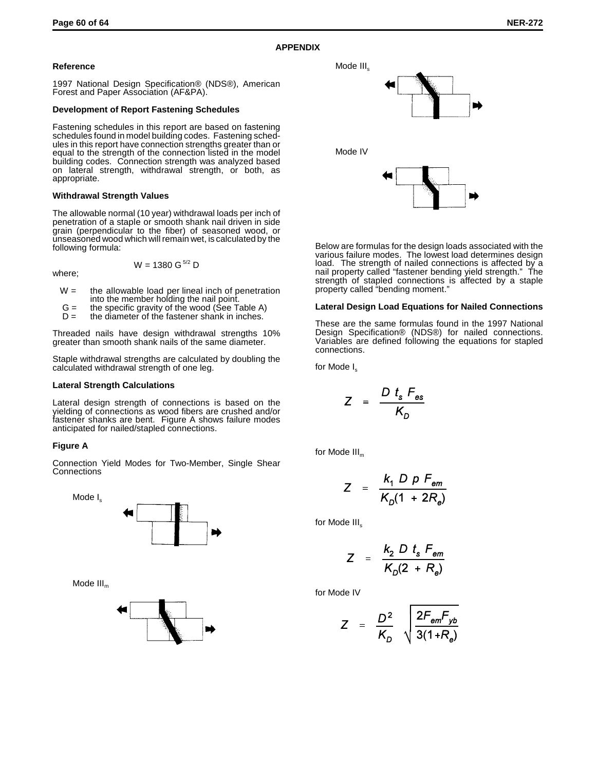# **APPENDIX**

#### **Reference**

1997 National Design Specification® (NDS®), American Forest and Paper Association (AF&PA).

#### **Development of Report Fastening Schedules**

Fastening schedules in this report are based on fastening schedules found in model building codes. Fastening schedules in this report have connection strengths greater than or equal to the strength of the connection listed in the model building codes. Connection strength was analyzed based on lateral strength, withdrawal strength, or both, as appropriate.

#### **Withdrawal Strength Values**

The allowable normal (10 year) withdrawal loads per inch of penetration of a staple or smooth shank nail driven in side grain (perpendicular to the fiber) of seasoned wood, or unseasoned wood which will remain wet, is calculated by the following formula:

where;

$$
W = 1380 \text{ G}^{5/2} \text{ D}
$$

- $W =$  the allowable load per lineal inch of penetration into the member holding the nail point.
- G = the specific gravity of the wood (See Table A)
	- $D =$  the diameter of the fastener shank in inches.

Threaded nails have design withdrawal strengths 10% greater than smooth shank nails of the same diameter.

Staple withdrawal strengths are calculated by doubling the calculated withdrawal strength of one leg.

#### **Lateral Strength Calculations**

Lateral design strength of connections is based on the yielding of connections as wood fibers are crushed and/or fastener shanks are bent. Figure A shows failure modes anticipated for nailed/stapled connections.

## **Figure A**

Connection Yield Modes for Two-Member, Single Shear **Connections** 

Mode  $I_s$ 



Mode  $III<sub>m</sub>$ 





Below are formulas for the design loads associated with the various failure modes. The lowest load determines design load. The strength of nailed connections is affected by a nail property called "fastener bending yield strength." The strength of stapled connections is affected by a staple property called "bending moment."

#### **Lateral Design Load Equations for Nailed Connections**

These are the same formulas found in the 1997 National Design Specification® (NDS®) for nailed connections. Variables are defined following the equations for stapled connections.

for Mode I<sub>s</sub>

$$
Z = \frac{D t_s F_{\text{es}}}{K_D}
$$

for Mode  $III_m$ 

$$
Z = \frac{k_1 D \cdot P F_{\text{em}}}{K_0 (1 + 2R_e)}
$$

for Mode III<sub>s</sub>

$$
Z = \frac{k_2 D t_s F_{em}}{K_D(2 + R_e)}
$$

for Mode IV

$$
Z = \frac{D^2}{K_D} \sqrt{\frac{2F_{em}F_{yb}}{3(1+R_e)}}
$$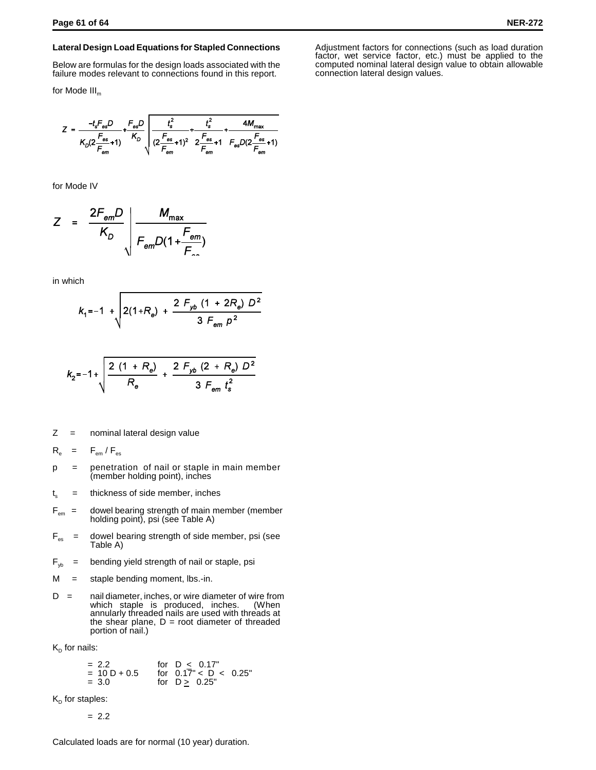#### **Lateral Design Load Equations for Stapled Connections**

Below are formulas for the design loads associated with the failure modes relevant to connections found in this report.

for Mode  $III<sub>m</sub>$ 

$$
Z = \frac{-t_s F_{\text{es}} D}{K_D (2 \frac{F_{\text{es}}}{F_{\text{em}}} + 1)} + \frac{F_{\text{es}} D}{K_D} \sqrt{\frac{t_s^2}{(2 \frac{F_{\text{es}}}{F_{\text{em}}} + 1)^2} + \frac{t_s^2}{2 \frac{F_{\text{es}}}{F_{\text{em}}} + 1} + \frac{4 M_{\text{max}}}{F_{\text{es}} D (2 \frac{F_{\text{es}}}{F_{\text{em}}} + 1)}}
$$

for Mode IV

$$
Z = \frac{2F_{\text{em}}D}{K_D} \left| \frac{M_{\text{max}}}{F_{\text{em}}D(1 + \frac{F_{\text{em}}}{F_{\text{max}}})} \right|
$$

in which

$$
k_1 = -1 + \sqrt{2(1+R_e) + \frac{2 F_{yb} (1 + 2R_e) D^2}{3 F_{em} p^2}}
$$

$$
k_{2}=-1+\sqrt{\frac{2(1+R_{\theta})}{R_{\theta}}+\frac{2F_{yb}(2+R_{\theta})D^{2}}{3F_{em}t_{s}^{2}}}
$$

 $Z =$  nominal lateral design value

$$
R_{\rm e} = F_{\rm em}/F_{\rm es}
$$

- p = penetration of nail or staple in main member (member holding point), inches
- $t_s$  = thickness of side member, inches
- $F_{\text{em}}$  = dowel bearing strength of main member (member holding point), psi (see Table A)
- $F_{es}$  = dowel bearing strength of side member, psi (see Table A)
- $F_{vb}$  = bending yield strength of nail or staple, psi
- $M =$  staple bending moment, lbs.-in.
- D = nail diameter, inches, or wire diameter of wire from which staple is produced, inches. (When annularly threaded nails are used with threads at the shear plane,  $D = root$  diameter of threaded portion of nail.)

 $K_{D}$  for nails:

$$
= 2.2
$$
 for D < 0.17"  
= 10 D + 0.5 for 0.17" < D < 0.25"  
= 3.0 for D<sub>≥</sub> 0.25"

 $K_D$  for staples:

$$
= 2.2
$$

Calculated loads are for normal (10 year) duration.

Adjustment factors for connections (such as load duration factor, wet service factor, etc.) must be applied to the computed nominal lateral design value to obtain allowable connection lateral design values.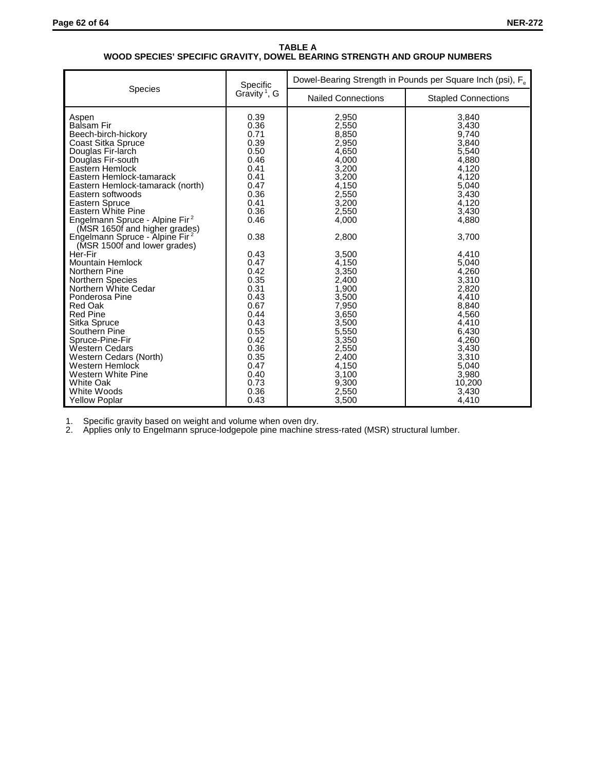#### **TABLE A WOOD SPECIES' SPECIFIC GRAVITY, DOWEL BEARING STRENGTH AND GROUP NUMBERS**

|                                                                                                                                                                                                                                                                                                                                                                                                                                       | Specific                                                                                                                                     | Dowel-Bearing Strength in Pounds per Square Inch (psi), F <sub>e</sub>                                                                                         |                                                                                                                                                                 |  |  |
|---------------------------------------------------------------------------------------------------------------------------------------------------------------------------------------------------------------------------------------------------------------------------------------------------------------------------------------------------------------------------------------------------------------------------------------|----------------------------------------------------------------------------------------------------------------------------------------------|----------------------------------------------------------------------------------------------------------------------------------------------------------------|-----------------------------------------------------------------------------------------------------------------------------------------------------------------|--|--|
| <b>Species</b>                                                                                                                                                                                                                                                                                                                                                                                                                        | Gravity <sup>1</sup> , G                                                                                                                     | <b>Nailed Connections</b>                                                                                                                                      | <b>Stapled Connections</b>                                                                                                                                      |  |  |
| Aspen<br><b>Balsam Fir</b><br>Beech-birch-hickory<br>Coast Sitka Spruce<br>Douglas Fir-larch<br>Douglas Fir-south<br>Eastern Hemlock<br>Eastern Hemlock-tamarack<br>Eastern Hemlock-tamarack (north)<br>Eastern softwoods<br><b>Eastern Spruce</b><br>Eastern White Pine<br>Engelmann Spruce - Alpine Fir <sup>2</sup><br>(MSR 1650f and higher grades)<br>Engelmann Spruce - Alpine Fir <sup>2</sup><br>(MSR 1500f and lower grades) | 0.39<br>0.36<br>0.71<br>0.39<br>0.50<br>0.46<br>0.41<br>0.41<br>0.47<br>0.36<br>0.41<br>0.36<br>0.46<br>0.38                                 | 2,950<br>2,550<br>8,850<br>2,950<br>4,650<br>4,000<br>3,200<br>3,200<br>4,150<br>2,550<br>3,200<br>2,550<br>4,000<br>2,800                                     | 3.840<br>3,430<br>9,740<br>3,840<br>5,540<br>4,880<br>4,120<br>4,120<br>5,040<br>3,430<br>4.120<br>3,430<br>4,880<br>3,700                                      |  |  |
| Her-Fir<br><b>Mountain Hemlock</b><br>Northern Pine<br><b>Northern Species</b><br>Northern White Cedar<br>Ponderosa Pine<br>Red Oak<br><b>Red Pine</b><br>Sitka Spruce<br>Southern Pine<br>Spruce-Pine-Fir<br><b>Western Cedars</b><br>Western Cedars (North)<br><b>Western Hemlock</b><br>Western White Pine<br><b>White Oak</b><br>White Woods<br><b>Yellow Poplar</b>                                                              | 0.43<br>0.47<br>0.42<br>0.35<br>0.31<br>0.43<br>0.67<br>0.44<br>0.43<br>0.55<br>0.42<br>0.36<br>0.35<br>0.47<br>0.40<br>0.73<br>0.36<br>0.43 | 3,500<br>4,150<br>3,350<br>2,400<br>1,900<br>3,500<br>7,950<br>3,650<br>3,500<br>5,550<br>3,350<br>2,550<br>2,400<br>4,150<br>3,100<br>9,300<br>2,550<br>3,500 | 4,410<br>5,040<br>4.260<br>3,310<br>2,820<br>4,410<br>8,840<br>4,560<br>4.410<br>6.430<br>4,260<br>3,430<br>3,310<br>5,040<br>3,980<br>10,200<br>3,430<br>4,410 |  |  |

1. Specific gravity based on weight and volume when oven dry.

2. Applies only to Engelmann spruce-lodgepole pine machine stress-rated (MSR) structural lumber.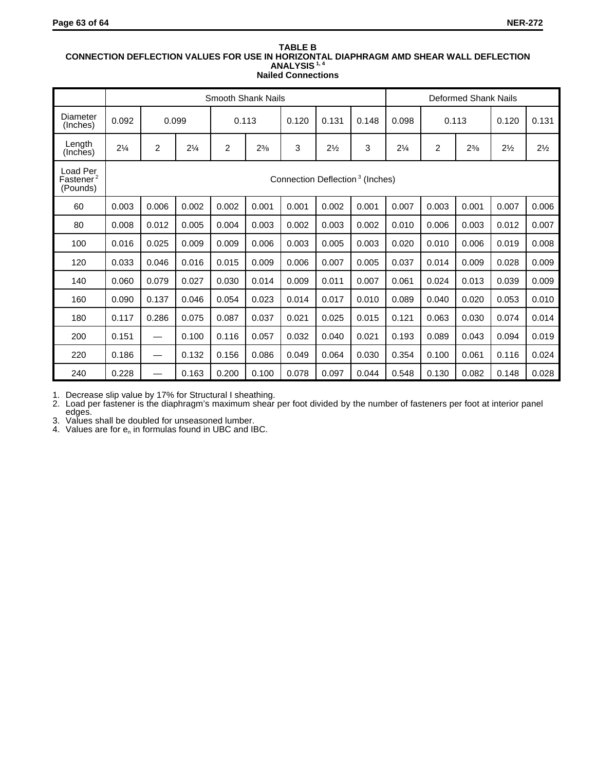#### **TABLE B CONNECTION DEFLECTION VALUES FOR USE IN HORIZONTAL DIAPHRAGM AMD SHEAR WALL DEFLECTION ANALYSIS 1, 4 Nailed Connections**

|                                               | <b>Smooth Shank Nails</b>                   |                          |                |                |           |       |                |       |                | Deformed Shank Nails |           |                |                |
|-----------------------------------------------|---------------------------------------------|--------------------------|----------------|----------------|-----------|-------|----------------|-------|----------------|----------------------|-----------|----------------|----------------|
| Diameter<br>(Inches)                          | 0.092                                       | 0.099                    |                | 0.113          |           | 0.120 | 0.131          | 0.148 | 0.098          |                      | 0.113     | 0.120          | 0.131          |
| Length<br>(Inches)                            | $2\frac{1}{4}$                              | $\overline{2}$           | $2\frac{1}{4}$ | $\overline{2}$ | $2^{3/8}$ | 3     | $2\frac{1}{2}$ | 3     | $2\frac{1}{4}$ | $\overline{2}$       | $2^{3/8}$ | $2\frac{1}{2}$ | $2\frac{1}{2}$ |
| Load Per<br>Fastener <sup>2</sup><br>(Pounds) | Connection Deflection <sup>3</sup> (Inches) |                          |                |                |           |       |                |       |                |                      |           |                |                |
| 60                                            | 0.003                                       | 0.006                    | 0.002          | 0.002          | 0.001     | 0.001 | 0.002          | 0.001 | 0.007          | 0.003                | 0.001     | 0.007          | 0.006          |
| 80                                            | 0.008                                       | 0.012                    | 0.005          | 0.004          | 0.003     | 0.002 | 0.003          | 0.002 | 0.010          | 0.006                | 0.003     | 0.012          | 0.007          |
| 100                                           | 0.016                                       | 0.025                    | 0.009          | 0.009          | 0.006     | 0.003 | 0.005          | 0.003 | 0.020          | 0.010                | 0.006     | 0.019          | 0.008          |
| 120                                           | 0.033                                       | 0.046                    | 0.016          | 0.015          | 0.009     | 0.006 | 0.007          | 0.005 | 0.037          | 0.014                | 0.009     | 0.028          | 0.009          |
| 140                                           | 0.060                                       | 0.079                    | 0.027          | 0.030          | 0.014     | 0.009 | 0.011          | 0.007 | 0.061          | 0.024                | 0.013     | 0.039          | 0.009          |
| 160                                           | 0.090                                       | 0.137                    | 0.046          | 0.054          | 0.023     | 0.014 | 0.017          | 0.010 | 0.089          | 0.040                | 0.020     | 0.053          | 0.010          |
| 180                                           | 0.117                                       | 0.286                    | 0.075          | 0.087          | 0.037     | 0.021 | 0.025          | 0.015 | 0.121          | 0.063                | 0.030     | 0.074          | 0.014          |
| 200                                           | 0.151                                       | —                        | 0.100          | 0.116          | 0.057     | 0.032 | 0.040          | 0.021 | 0.193          | 0.089                | 0.043     | 0.094          | 0.019          |
| 220                                           | 0.186                                       | —                        | 0.132          | 0.156          | 0.086     | 0.049 | 0.064          | 0.030 | 0.354          | 0.100                | 0.061     | 0.116          | 0.024          |
| 240                                           | 0.228                                       | $\overline{\phantom{0}}$ | 0.163          | 0.200          | 0.100     | 0.078 | 0.097          | 0.044 | 0.548          | 0.130                | 0.082     | 0.148          | 0.028          |

1. Decrease slip value by 17% for Structural I sheathing.

2. Load per fastener is the diaphragm's maximum shear per foot divided by the number of fasteners per foot at interior panel edges.

3. Values shall be doubled for unseasoned lumber.

4. Values are for  $e_n$  in formulas found in UBC and IBC.